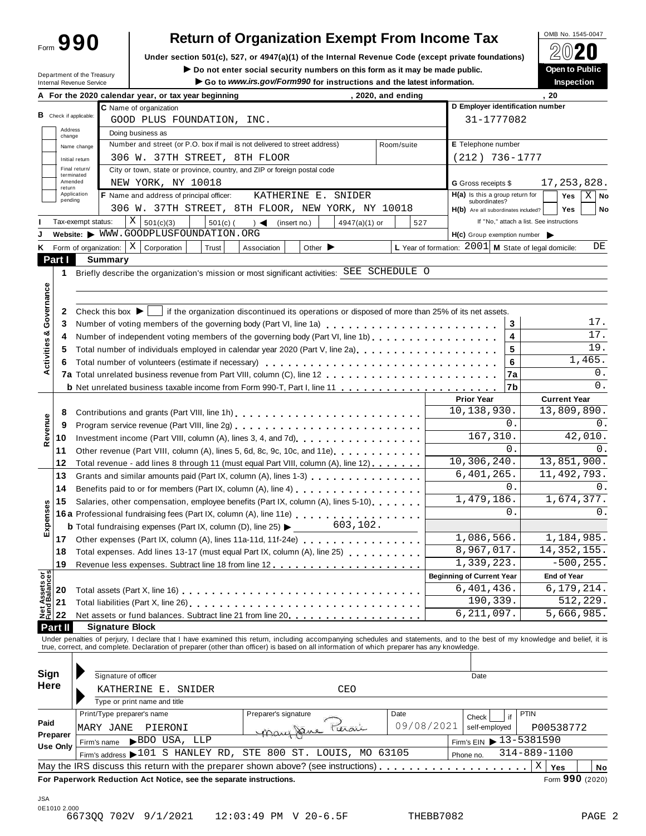Form **990**

## **Return of Organization Exempt From Income Tax**

Under section 501(c), 527, or 4947(a)(1) of the Internal Revenue Code (except private foundations) **△**<del>○</del> △ ■ △ △

**I Do not enter social security numbers on this form as it may be made public.**<br>
Do not enter social security numbers on this form as it may be made public.<br>
Do not enter social security numbers on this form as it may be

| Internal Revenue Service         | Department of the Treasury           |                                                                                                                                                                                                                                | Go to www.irs.gov/Form990 for instructions and the latest information. | $\blacktriangleright$ Do not enter social security numbers on this form as it may be made public. |                    |            |                                                      |    | <b>Open to Public</b><br><b>Inspection</b>                   |
|----------------------------------|--------------------------------------|--------------------------------------------------------------------------------------------------------------------------------------------------------------------------------------------------------------------------------|------------------------------------------------------------------------|---------------------------------------------------------------------------------------------------|--------------------|------------|------------------------------------------------------|----|--------------------------------------------------------------|
|                                  |                                      | A For the 2020 calendar year, or tax year beginning                                                                                                                                                                            |                                                                        |                                                                                                   | , 2020, and ending |            |                                                      |    | . 20                                                         |
|                                  |                                      | C Name of organization                                                                                                                                                                                                         |                                                                        |                                                                                                   |                    |            |                                                      |    | D Employer identification number                             |
| <b>B</b> Check if applicable:    |                                      | GOOD PLUS FOUNDATION, INC.                                                                                                                                                                                                     |                                                                        |                                                                                                   |                    |            | 31-1777082                                           |    |                                                              |
| Address<br>change                |                                      | Doing business as                                                                                                                                                                                                              |                                                                        |                                                                                                   |                    |            |                                                      |    |                                                              |
| Name change                      |                                      | Number and street (or P.O. box if mail is not delivered to street address)                                                                                                                                                     |                                                                        |                                                                                                   | Room/suite         |            | E Telephone number                                   |    |                                                              |
| Initial return                   |                                      | 306 W. 37TH STREET, 8TH FLOOR                                                                                                                                                                                                  |                                                                        |                                                                                                   |                    |            | $(212)$ 736-1777                                     |    |                                                              |
| Final return/                    |                                      | City or town, state or province, country, and ZIP or foreign postal code                                                                                                                                                       |                                                                        |                                                                                                   |                    |            |                                                      |    |                                                              |
| terminated<br>Amended            |                                      | NEW YORK, NY 10018                                                                                                                                                                                                             |                                                                        |                                                                                                   |                    |            | G Gross receipts \$                                  |    | 17, 253, 828.                                                |
| return<br>Application<br>pending |                                      | F Name and address of principal officer:                                                                                                                                                                                       |                                                                        | KATHERINE E. SNIDER                                                                               |                    |            | $H(a)$ is this a group return for                    |    | $X \mid$ No<br>Yes                                           |
|                                  |                                      | 306 W. 37TH STREET, 8TH FLOOR, NEW YORK, NY 10018                                                                                                                                                                              |                                                                        |                                                                                                   |                    |            | subordinates?<br>H(b) Are all subordinates included? |    | <b>Yes</b><br>No                                             |
| Tax-exempt status:               |                                      | ΧI<br>501(c)(3)<br>$501(c)$ (                                                                                                                                                                                                  | $\rightarrow$ $\blacktriangleleft$<br>(insert no.)                     | 4947(a)(1) or                                                                                     | 527                |            |                                                      |    | If "No," attach a list. See instructions                     |
|                                  |                                      | Website: WWW.GOODPLUSFOUNDATION.ORG                                                                                                                                                                                            |                                                                        |                                                                                                   |                    |            | $H(c)$ Group exemption number $\triangleright$       |    |                                                              |
|                                  | Form of organization: $ X $          | Corporation<br>Trust                                                                                                                                                                                                           | Association                                                            | Other $\blacktriangleright$                                                                       |                    |            |                                                      |    | L Year of formation: $2001$ M State of legal domicile:<br>DE |
| Part I                           | <b>Summary</b>                       |                                                                                                                                                                                                                                |                                                                        |                                                                                                   |                    |            |                                                      |    |                                                              |
| 1                                |                                      | Briefly describe the organization's mission or most significant activities: SEE SCHEDULE O                                                                                                                                     |                                                                        |                                                                                                   |                    |            |                                                      |    |                                                              |
|                                  |                                      |                                                                                                                                                                                                                                |                                                                        |                                                                                                   |                    |            |                                                      |    |                                                              |
|                                  |                                      |                                                                                                                                                                                                                                |                                                                        |                                                                                                   |                    |            |                                                      |    |                                                              |
| 2                                | Check this box $\blacktriangleright$ | if the organization discontinued its operations or disposed of more than 25% of its net assets.                                                                                                                                |                                                                        |                                                                                                   |                    |            |                                                      |    |                                                              |
| 3                                |                                      | Number of voting members of the governing body (Part VI, line 1a)                                                                                                                                                              |                                                                        |                                                                                                   |                    |            |                                                      | 3  | 17.                                                          |
| 4                                |                                      | Number of independent voting members of the governing body (Part VI, line 1b)                                                                                                                                                  |                                                                        |                                                                                                   |                    |            |                                                      | 4  | 17.                                                          |
| 5                                |                                      | Total number of individuals employed in calendar year 2020 (Part V, line 2a)                                                                                                                                                   |                                                                        |                                                                                                   |                    |            |                                                      | 5  | 19.                                                          |
| 6                                |                                      |                                                                                                                                                                                                                                |                                                                        |                                                                                                   |                    |            |                                                      | 6  | 1,465.                                                       |
|                                  |                                      |                                                                                                                                                                                                                                |                                                                        |                                                                                                   |                    |            |                                                      | 7a | 0.                                                           |
|                                  |                                      |                                                                                                                                                                                                                                |                                                                        |                                                                                                   |                    |            |                                                      | 7b | 0.                                                           |
|                                  |                                      |                                                                                                                                                                                                                                |                                                                        |                                                                                                   |                    |            | <b>Prior Year</b>                                    |    | <b>Current Year</b>                                          |
|                                  |                                      |                                                                                                                                                                                                                                |                                                                        |                                                                                                   |                    |            | 10,138,930.                                          |    | 13,809,890.                                                  |
| 8                                |                                      | Contributions and grants (Part VIII, line 1h)                                                                                                                                                                                  |                                                                        |                                                                                                   |                    |            |                                                      | 0. | 0.                                                           |
| 9                                |                                      |                                                                                                                                                                                                                                |                                                                        |                                                                                                   |                    |            | 167, 310.                                            |    | 42,010.                                                      |
| 10                               |                                      | Investment income (Part VIII, column (A), lines 3, 4, and 7d)<br>[2010]                                                                                                                                                        |                                                                        |                                                                                                   |                    |            |                                                      | 0. | 0.                                                           |
| 11                               |                                      | Other revenue (Part VIII, column (A), lines 5, 6d, 8c, 9c, 10c, and 11e)                                                                                                                                                       |                                                                        |                                                                                                   |                    |            | 10, 306, 240.                                        |    | 13,851,900.                                                  |
| 12                               |                                      | Total revenue - add lines 8 through 11 (must equal Part VIII, column (A), line 12)                                                                                                                                             |                                                                        |                                                                                                   |                    |            | 6,401,265.                                           |    | 11, 492, 793.                                                |
| 13                               |                                      | Grants and similar amounts paid (Part IX, column (A), lines 1-3)                                                                                                                                                               |                                                                        |                                                                                                   |                    |            |                                                      | 0. | 0.                                                           |
| 14                               |                                      |                                                                                                                                                                                                                                |                                                                        |                                                                                                   |                    |            | 1,479,186.                                           |    | 1,674,377.                                                   |
| 15                               |                                      | Salaries, other compensation, employee benefits (Part IX, column (A), lines 5-10)                                                                                                                                              |                                                                        |                                                                                                   |                    |            |                                                      | 0. | 0.                                                           |
|                                  |                                      |                                                                                                                                                                                                                                |                                                                        | 603,102.                                                                                          |                    |            |                                                      |    |                                                              |
|                                  |                                      | <b>b</b> Total fundraising expenses (Part IX, column (D), line 25) $\blacktriangleright$                                                                                                                                       |                                                                        |                                                                                                   |                    |            | 1,086,566.                                           |    | 1,184,985.                                                   |
| 17 <sup>2</sup>                  |                                      | Other expenses (Part IX, column (A), lines 11a-11d, 11f-24e)                                                                                                                                                                   |                                                                        |                                                                                                   |                    |            | 8,967,017.                                           |    |                                                              |
| 18                               |                                      | Total expenses. Add lines 13-17 (must equal Part IX, column (A), line 25)                                                                                                                                                      |                                                                        |                                                                                                   |                    |            | 1,339,223.                                           |    | 14, 352, 155.<br>$-500, 255.$                                |
| 19                               |                                      |                                                                                                                                                                                                                                |                                                                        |                                                                                                   |                    |            |                                                      |    |                                                              |
|                                  |                                      |                                                                                                                                                                                                                                |                                                                        |                                                                                                   |                    |            | <b>Beginning of Current Year</b>                     |    | <b>End of Year</b>                                           |
| 20                               |                                      |                                                                                                                                                                                                                                |                                                                        |                                                                                                   |                    |            | 6,401,436.                                           |    | 6, 179, 214.                                                 |
| 21                               |                                      | Total liabilities (Part X, line 26)                                                                                                                                                                                            |                                                                        |                                                                                                   |                    |            | 190,339.<br>6, 211, 097.                             |    | 512,229.                                                     |
| 22                               |                                      | Net assets or fund balances. Subtract line 21 from line 20.                                                                                                                                                                    |                                                                        |                                                                                                   |                    |            |                                                      |    | 5,666,985.                                                   |
| Part II                          | <b>Signature Block</b>               |                                                                                                                                                                                                                                |                                                                        |                                                                                                   |                    |            |                                                      |    |                                                              |
|                                  |                                      | Under penalties of perjury, I declare that I have examined this return, including accompanying schedules and statements, and to the best of my knowledge and belief, it is true, correct, and complete. Declaration of prepare |                                                                        |                                                                                                   |                    |            |                                                      |    |                                                              |
|                                  |                                      |                                                                                                                                                                                                                                |                                                                        |                                                                                                   |                    |            |                                                      |    |                                                              |
| Sign                             | Signature of officer                 |                                                                                                                                                                                                                                |                                                                        |                                                                                                   |                    |            | Date                                                 |    |                                                              |
| Here                             |                                      |                                                                                                                                                                                                                                |                                                                        | <b>CEO</b>                                                                                        |                    |            |                                                      |    |                                                              |
|                                  |                                      | KATHERINE E. SNIDER                                                                                                                                                                                                            |                                                                        |                                                                                                   |                    |            |                                                      |    |                                                              |
|                                  |                                      | Type or print name and title                                                                                                                                                                                                   |                                                                        |                                                                                                   | Date               |            |                                                      |    |                                                              |
| Paid                             | Print/Type preparer's name           |                                                                                                                                                                                                                                | Preparer's signature                                                   |                                                                                                   |                    | 09/08/2021 | Check                                                | if | <b>PTIN</b>                                                  |
| Preparer                         | MARY JANE                            | PIERONI                                                                                                                                                                                                                        |                                                                        | Mary Jane Peroni                                                                                  |                    |            | self-employed                                        |    | P00538772                                                    |
| Use Only                         | Firm's name                          | BDO USA, LLP                                                                                                                                                                                                                   |                                                                        |                                                                                                   |                    |            | Firm's EIN ▶ 13-5381590                              |    |                                                              |
|                                  |                                      | Firm's address 101 S HANLEY RD, STE 800 ST. LOUIS, MO 63105                                                                                                                                                                    |                                                                        |                                                                                                   |                    |            | Phone no.                                            |    | $314 - 889 - 1100$                                           |
|                                  |                                      | May the IRS discuss this return with the preparer shown above? (see instructions)                                                                                                                                              |                                                                        |                                                                                                   |                    |            |                                                      |    | $\mathbf X$<br>Yes<br>No                                     |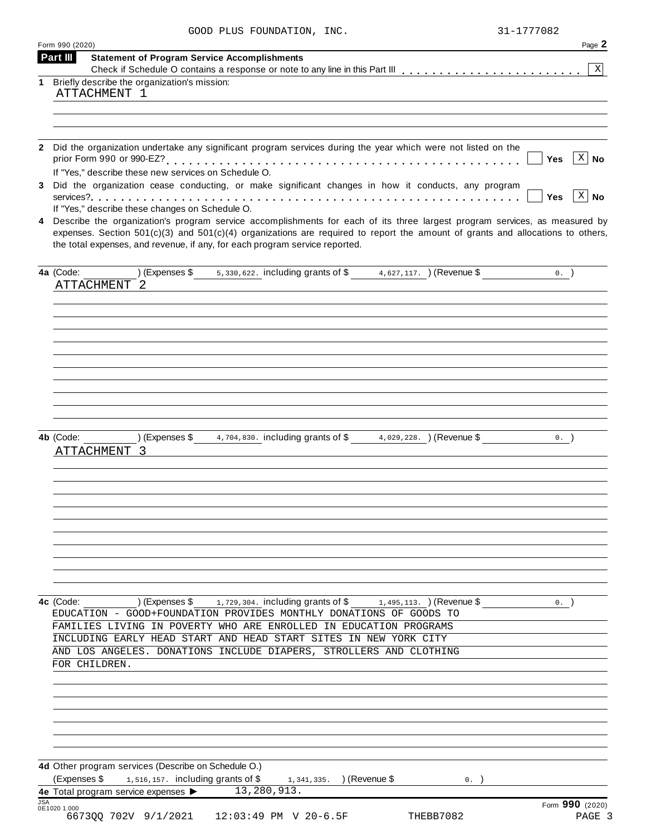|  |  |  | GOOD PLUS FOUNDATION, | INC. |
|--|--|--|-----------------------|------|
|--|--|--|-----------------------|------|

|                                                                | GOOD PLUS FOUNDATION, INC.                                                                                                                                                                                                                                                                                                                                                                                                                                                                                                                                                                                                                                                       | 31-1777082               |                                  |
|----------------------------------------------------------------|----------------------------------------------------------------------------------------------------------------------------------------------------------------------------------------------------------------------------------------------------------------------------------------------------------------------------------------------------------------------------------------------------------------------------------------------------------------------------------------------------------------------------------------------------------------------------------------------------------------------------------------------------------------------------------|--------------------------|----------------------------------|
| Form 990 (2020)<br><b>Part III</b>                             | <b>Statement of Program Service Accomplishments</b>                                                                                                                                                                                                                                                                                                                                                                                                                                                                                                                                                                                                                              |                          | Page 2                           |
|                                                                |                                                                                                                                                                                                                                                                                                                                                                                                                                                                                                                                                                                                                                                                                  |                          | $\mathbf X$                      |
| 1 Briefly describe the organization's mission:<br>ATTACHMENT 1 |                                                                                                                                                                                                                                                                                                                                                                                                                                                                                                                                                                                                                                                                                  |                          |                                  |
|                                                                | Did the organization undertake any significant program services during the year which were not listed on the<br>If "Yes," describe these new services on Schedule O.<br>Did the organization cease conducting, or make significant changes in how it conducts, any program<br>If "Yes," describe these changes on Schedule O.<br>Describe the organization's program service accomplishments for each of its three largest program services, as measured by<br>expenses. Section $501(c)(3)$ and $501(c)(4)$ organizations are required to report the amount of grants and allocations to others,<br>the total expenses, and revenue, if any, for each program service reported. | <b>Yes</b><br><b>Yes</b> | $\overline{X}$ No<br>$X \mid No$ |
| 4a (Code:<br>ATTACHMENT 2                                      | (Expenses \$ $\frac{1}{5}$ , 330, 622. including grants of \$ $\frac{4}{5}$ , 627, 117. ) (Revenue \$                                                                                                                                                                                                                                                                                                                                                                                                                                                                                                                                                                            | $0.$ )                   |                                  |
| 4b (Code:<br>ATTACHMENT                                        | ) (Expenses \$<br>4,704,830. including grants of \$<br>$4,029,228.$ (Revenue \$)                                                                                                                                                                                                                                                                                                                                                                                                                                                                                                                                                                                                 | 0.                       |                                  |
| 4c (Code:<br>FOR CHILDREN.                                     | ) (Expenses \$<br>1,729,304. including grants of \$<br>$1,495,113.$ (Revenue \$)<br>EDUCATION - GOOD+FOUNDATION PROVIDES MONTHLY DONATIONS OF GOODS TO<br>FAMILIES LIVING IN POVERTY WHO ARE ENROLLED IN EDUCATION PROGRAMS<br>INCLUDING EARLY HEAD START AND HEAD START SITES IN NEW YORK CITY<br>AND LOS ANGELES. DONATIONS INCLUDE DIAPERS, STROLLERS AND CLOTHING                                                                                                                                                                                                                                                                                                            | 0.                       |                                  |
| (Expenses \$<br>4e Total program service expenses ▶            | 4d Other program services (Describe on Schedule O.)<br>1,516,157. including grants of \$<br>) (Revenue \$<br>1,341,335.<br>0.<br>13,280,913.                                                                                                                                                                                                                                                                                                                                                                                                                                                                                                                                     |                          |                                  |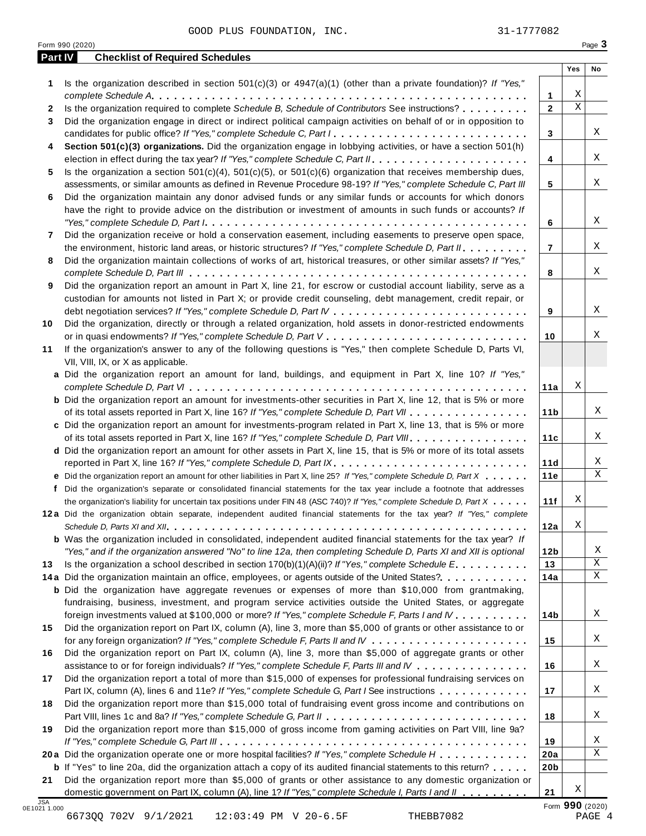|                   | Form 990 (2020)                                                                                                                                                                                                                      |                       |                  | Page 3      |
|-------------------|--------------------------------------------------------------------------------------------------------------------------------------------------------------------------------------------------------------------------------------|-----------------------|------------------|-------------|
| Part IV           | <b>Checklist of Required Schedules</b>                                                                                                                                                                                               |                       | Yes              | No          |
| 1                 | Is the organization described in section $501(c)(3)$ or $4947(a)(1)$ (other than a private foundation)? If "Yes,"                                                                                                                    |                       |                  |             |
|                   | Is the organization required to complete Schedule B, Schedule of Contributors See instructions?                                                                                                                                      | 1<br>$\overline{2}$   | Χ<br>$\mathbf X$ |             |
| $\mathbf{2}$<br>3 | Did the organization engage in direct or indirect political campaign activities on behalf of or in opposition to                                                                                                                     |                       |                  |             |
|                   | candidates for public office? If "Yes," complete Schedule C, Part I                                                                                                                                                                  | 3                     |                  | Χ           |
| 4                 | Section 501(c)(3) organizations. Did the organization engage in lobbying activities, or have a section 501(h)                                                                                                                        |                       |                  |             |
|                   |                                                                                                                                                                                                                                      | 4                     |                  | Χ           |
| 5.                | Is the organization a section $501(c)(4)$ , $501(c)(5)$ , or $501(c)(6)$ organization that receives membership dues,                                                                                                                 |                       |                  |             |
|                   | assessments, or similar amounts as defined in Revenue Procedure 98-19? If "Yes," complete Schedule C, Part III                                                                                                                       | 5                     |                  | X           |
| 6                 | Did the organization maintain any donor advised funds or any similar funds or accounts for which donors                                                                                                                              |                       |                  |             |
|                   | have the right to provide advice on the distribution or investment of amounts in such funds or accounts? If                                                                                                                          |                       |                  | Χ           |
|                   |                                                                                                                                                                                                                                      | 6                     |                  |             |
| 7                 | Did the organization receive or hold a conservation easement, including easements to preserve open space,<br>the environment, historic land areas, or historic structures? If "Yes," complete Schedule D, Part II.                   | $\overline{7}$        |                  | Χ           |
| 8                 | Did the organization maintain collections of works of art, historical treasures, or other similar assets? If "Yes,"                                                                                                                  |                       |                  |             |
|                   |                                                                                                                                                                                                                                      | 8                     |                  | Χ           |
| 9                 | Did the organization report an amount in Part X, line 21, for escrow or custodial account liability, serve as a                                                                                                                      |                       |                  |             |
|                   | custodian for amounts not listed in Part X; or provide credit counseling, debt management, credit repair, or                                                                                                                         |                       |                  |             |
|                   |                                                                                                                                                                                                                                      | 9                     |                  | Χ           |
| 10                | Did the organization, directly or through a related organization, hold assets in donor-restricted endowments                                                                                                                         |                       |                  |             |
|                   |                                                                                                                                                                                                                                      | 10                    |                  | Χ           |
| 11                | If the organization's answer to any of the following questions is "Yes," then complete Schedule D, Parts VI,                                                                                                                         |                       |                  |             |
|                   | VII, VIII, IX, or X as applicable.                                                                                                                                                                                                   |                       |                  |             |
|                   | a Did the organization report an amount for land, buildings, and equipment in Part X, line 10? If "Yes,"                                                                                                                             |                       | Χ                |             |
|                   | <b>b</b> Did the organization report an amount for investments-other securities in Part X, line 12, that is 5% or more                                                                                                               | 11a                   |                  |             |
|                   | of its total assets reported in Part X, line 16? If "Yes," complete Schedule D, Part VII                                                                                                                                             | 11 <sub>b</sub>       |                  | Χ           |
|                   | c Did the organization report an amount for investments-program related in Part X, line 13, that is 5% or more                                                                                                                       |                       |                  |             |
|                   | of its total assets reported in Part X, line 16? If "Yes," complete Schedule D, Part VIII                                                                                                                                            | 11c                   |                  | Χ           |
|                   | d Did the organization report an amount for other assets in Part X, line 15, that is 5% or more of its total assets                                                                                                                  |                       |                  |             |
|                   | reported in Part X, line 16? If "Yes," complete Schedule D, Part IX.                                                                                                                                                                 | 11d                   |                  | Χ           |
|                   | e Did the organization report an amount for other liabilities in Part X, line 25? If "Yes," complete Schedule D, Part X                                                                                                              | 11e                   |                  | $\mathbf X$ |
|                   | f Did the organization's separate or consolidated financial statements for the tax year include a footnote that addresses                                                                                                            |                       |                  |             |
|                   | the organization's liability for uncertain tax positions under FIN 48 (ASC 740)? If "Yes," complete Schedule D, Part X                                                                                                               | 11f                   | Χ                |             |
|                   | 12a Did the organization obtain separate, independent audited financial statements for the tax year? If "Yes," complete                                                                                                              |                       |                  |             |
|                   |                                                                                                                                                                                                                                      | 12a                   | Χ                |             |
|                   | <b>b</b> Was the organization included in consolidated, independent audited financial statements for the tax year? If                                                                                                                |                       |                  | Χ           |
| 13                | "Yes," and if the organization answered "No" to line 12a, then completing Schedule D, Parts XI and XII is optional<br>Is the organization a school described in section $170(b)(1)(A)(ii)?$ If "Yes," complete Schedule E.           | 12 <sub>b</sub><br>13 |                  | Χ           |
|                   | 14a Did the organization maintain an office, employees, or agents outside of the United States?                                                                                                                                      | 14a                   |                  | Χ           |
|                   | <b>b</b> Did the organization have aggregate revenues or expenses of more than \$10,000 from grantmaking,                                                                                                                            |                       |                  |             |
|                   | fundraising, business, investment, and program service activities outside the United States, or aggregate                                                                                                                            |                       |                  |             |
|                   | foreign investments valued at \$100,000 or more? If "Yes," complete Schedule F, Parts I and IV                                                                                                                                       | 14b                   |                  | X           |
| 15                | Did the organization report on Part IX, column (A), line 3, more than \$5,000 of grants or other assistance to or                                                                                                                    |                       |                  |             |
|                   |                                                                                                                                                                                                                                      | 15                    |                  | X           |
| 16                | Did the organization report on Part IX, column (A), line 3, more than \$5,000 of aggregate grants or other                                                                                                                           |                       |                  |             |
|                   | assistance to or for foreign individuals? If "Yes," complete Schedule F, Parts III and IV                                                                                                                                            | 16                    |                  | X           |
| 17                | Did the organization report a total of more than \$15,000 of expenses for professional fundraising services on                                                                                                                       |                       |                  |             |
|                   | Part IX, column (A), lines 6 and 11e? If "Yes," complete Schedule G, Part I See instructions                                                                                                                                         | 17                    |                  | X           |
| 18                | Did the organization report more than \$15,000 total of fundraising event gross income and contributions on                                                                                                                          |                       |                  | Χ           |
|                   | Did the organization report more than \$15,000 of gross income from gaming activities on Part VIII, line 9a?                                                                                                                         | 18                    |                  |             |
|                   |                                                                                                                                                                                                                                      |                       |                  | Χ           |
| 19                |                                                                                                                                                                                                                                      |                       |                  |             |
|                   |                                                                                                                                                                                                                                      | 19                    |                  | Χ           |
|                   | 20a Did the organization operate one or more hospital facilities? If "Yes," complete Schedule H                                                                                                                                      | 20a                   |                  |             |
| 21                | <b>b</b> If "Yes" to line 20a, did the organization attach a copy of its audited financial statements to this return?<br>Did the organization report more than \$5,000 of grants or other assistance to any domestic organization or | 20 <sub>b</sub>       |                  |             |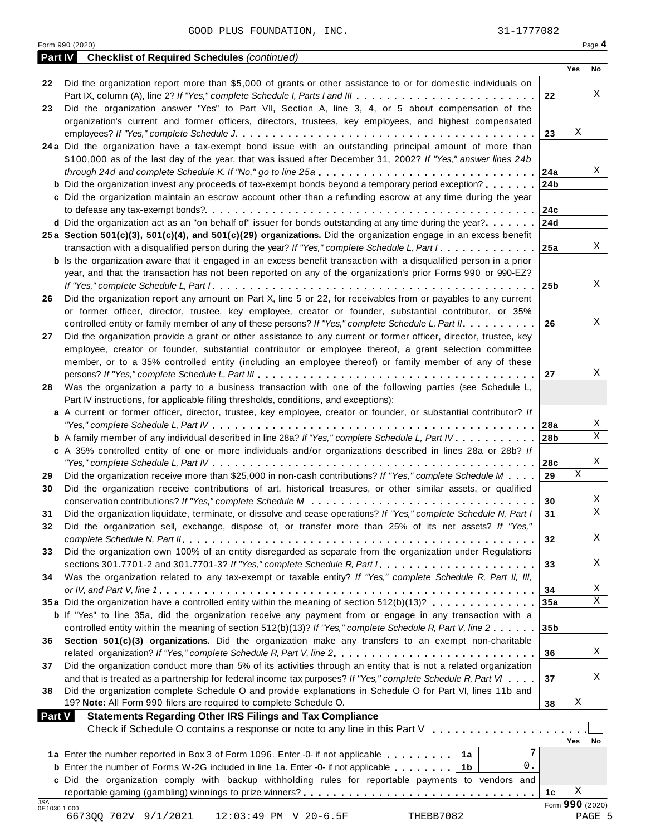|                            | 31-1777082<br>GOOD PLUS FOUNDATION, INC.                                                                                                                                           |                 |             |                 |
|----------------------------|------------------------------------------------------------------------------------------------------------------------------------------------------------------------------------|-----------------|-------------|-----------------|
|                            | Form 990 (2020)                                                                                                                                                                    |                 |             | Page 4          |
| Part IV                    | <b>Checklist of Required Schedules (continued)</b>                                                                                                                                 |                 |             |                 |
|                            |                                                                                                                                                                                    |                 | <b>Yes</b>  | <b>No</b>       |
| 22                         | Did the organization report more than \$5,000 of grants or other assistance to or for domestic individuals on                                                                      |                 |             | Χ               |
|                            | Part IX, column (A), line 2? If "Yes," complete Schedule I, Parts I and III<br>Did the organization answer "Yes" to Part VII, Section A, line 3, 4, or 5 about compensation of the | 22              |             |                 |
| 23                         | organization's current and former officers, directors, trustees, key employees, and highest compensated                                                                            |                 |             |                 |
|                            |                                                                                                                                                                                    | 23              | Χ           |                 |
|                            | 24a Did the organization have a tax-exempt bond issue with an outstanding principal amount of more than                                                                            |                 |             |                 |
|                            | \$100,000 as of the last day of the year, that was issued after December 31, 2002? If "Yes," answer lines 24b                                                                      |                 |             |                 |
|                            | through 24d and complete Schedule K. If "No," go to line 25a                                                                                                                       | 24a             |             | Χ               |
|                            | <b>b</b> Did the organization invest any proceeds of tax-exempt bonds beyond a temporary period exception?                                                                         | 24b             |             |                 |
|                            | c Did the organization maintain an escrow account other than a refunding escrow at any time during the year                                                                        |                 |             |                 |
|                            |                                                                                                                                                                                    | 24c             |             |                 |
|                            | d Did the organization act as an "on behalf of" issuer for bonds outstanding at any time during the year?                                                                          | 24d             |             |                 |
|                            | 25a Section 501(c)(3), 501(c)(4), and 501(c)(29) organizations. Did the organization engage in an excess benefit                                                                   |                 |             |                 |
|                            | transaction with a disqualified person during the year? If "Yes," complete Schedule L, Part I                                                                                      | 25a             |             | Χ               |
|                            | <b>b</b> Is the organization aware that it engaged in an excess benefit transaction with a disqualified person in a prior                                                          |                 |             |                 |
|                            | year, and that the transaction has not been reported on any of the organization's prior Forms 990 or 990-EZ?                                                                       |                 |             |                 |
|                            |                                                                                                                                                                                    | 25 <sub>b</sub> |             | Χ               |
| 26                         | Did the organization report any amount on Part X, line 5 or 22, for receivables from or payables to any current                                                                    |                 |             |                 |
|                            | or former officer, director, trustee, key employee, creator or founder, substantial contributor, or 35%                                                                            |                 |             |                 |
|                            | controlled entity or family member of any of these persons? If "Yes," complete Schedule L, Part II.                                                                                | 26              |             | Χ               |
| 27                         | Did the organization provide a grant or other assistance to any current or former officer, director, trustee, key                                                                  |                 |             |                 |
|                            | employee, creator or founder, substantial contributor or employee thereof, a grant selection committee                                                                             |                 |             |                 |
|                            | member, or to a 35% controlled entity (including an employee thereof) or family member of any of these                                                                             |                 |             |                 |
|                            |                                                                                                                                                                                    | 27              |             | Χ               |
| 28                         | Was the organization a party to a business transaction with one of the following parties (see Schedule L,                                                                          |                 |             |                 |
|                            | Part IV instructions, for applicable filing thresholds, conditions, and exceptions):                                                                                               |                 |             |                 |
|                            | a A current or former officer, director, trustee, key employee, creator or founder, or substantial contributor? If                                                                 |                 |             |                 |
|                            |                                                                                                                                                                                    | 28a             |             | Χ<br>X          |
|                            | b A family member of any individual described in line 28a? If "Yes," complete Schedule L, Part IV.                                                                                 | 28b             |             |                 |
|                            | c A 35% controlled entity of one or more individuals and/or organizations described in lines 28a or 28b? If                                                                        |                 |             | Χ               |
| 29                         | Did the organization receive more than \$25,000 in non-cash contributions? If "Yes," complete Schedule M                                                                           | 28c<br>29       | $\mathbf x$ |                 |
| 30                         | Did the organization receive contributions of art, historical treasures, or other similar assets, or qualified                                                                     |                 |             |                 |
|                            |                                                                                                                                                                                    | 30              |             | Χ               |
| 31                         | Did the organization liquidate, terminate, or dissolve and cease operations? If "Yes," complete Schedule N, Part I                                                                 | 31              |             | X               |
| 32                         | Did the organization sell, exchange, dispose of, or transfer more than 25% of its net assets? If "Yes,"                                                                            |                 |             |                 |
|                            |                                                                                                                                                                                    | 32              |             | Χ               |
| 33                         | Did the organization own 100% of an entity disregarded as separate from the organization under Regulations                                                                         |                 |             |                 |
|                            |                                                                                                                                                                                    | 33              |             | Χ               |
| 34                         | Was the organization related to any tax-exempt or taxable entity? If "Yes," complete Schedule R, Part II, III,                                                                     |                 |             |                 |
|                            |                                                                                                                                                                                    | 34              |             | Χ               |
|                            | 35a Did the organization have a controlled entity within the meaning of section 512(b)(13)?                                                                                        | 35a             |             | X               |
|                            | <b>b</b> If "Yes" to line 35a, did the organization receive any payment from or engage in any transaction with a                                                                   |                 |             |                 |
|                            | controlled entity within the meaning of section 512(b)(13)? If "Yes," complete Schedule R, Part V, line 2                                                                          | 35 <sub>b</sub> |             |                 |
| 36                         | Section 501(c)(3) organizations. Did the organization make any transfers to an exempt non-charitable                                                                               |                 |             |                 |
|                            |                                                                                                                                                                                    | 36              |             | Χ               |
| 37                         | Did the organization conduct more than 5% of its activities through an entity that is not a related organization                                                                   |                 |             |                 |
|                            | and that is treated as a partnership for federal income tax purposes? If "Yes," complete Schedule R, Part VI                                                                       | 37              |             | Χ               |
| 38                         | Did the organization complete Schedule O and provide explanations in Schedule O for Part VI, lines 11b and                                                                         |                 |             |                 |
|                            | 19? Note: All Form 990 filers are required to complete Schedule O.                                                                                                                 | 38              | Χ           |                 |
| <b>Part V</b>              | <b>Statements Regarding Other IRS Filings and Tax Compliance</b><br>Check if Schedule O contains a response or note to any line in this Part V                                     |                 |             |                 |
|                            |                                                                                                                                                                                    |                 | Yes         | No              |
|                            | 7<br>1a Enter the number reported in Box 3 of Form 1096. Enter -0- if not applicable<br>1a                                                                                         |                 |             |                 |
|                            | 0.<br><b>b</b> Enter the number of Forms W-2G included in line 1a. Enter -0- if not applicable $\ldots$ ,,,,,<br>1b                                                                |                 |             |                 |
|                            | c Did the organization comply with backup withholding rules for reportable payments to vendors and                                                                                 |                 |             |                 |
|                            |                                                                                                                                                                                    | 1c              | Χ           |                 |
| <b>JSA</b><br>0E1030 1.000 |                                                                                                                                                                                    |                 |             | Form 990 (2020) |
|                            | 6673QQ 702V 9/1/2021<br>THEBB7082<br>12:03:49 PM V 20-6.5F                                                                                                                         |                 |             | PAGE 5          |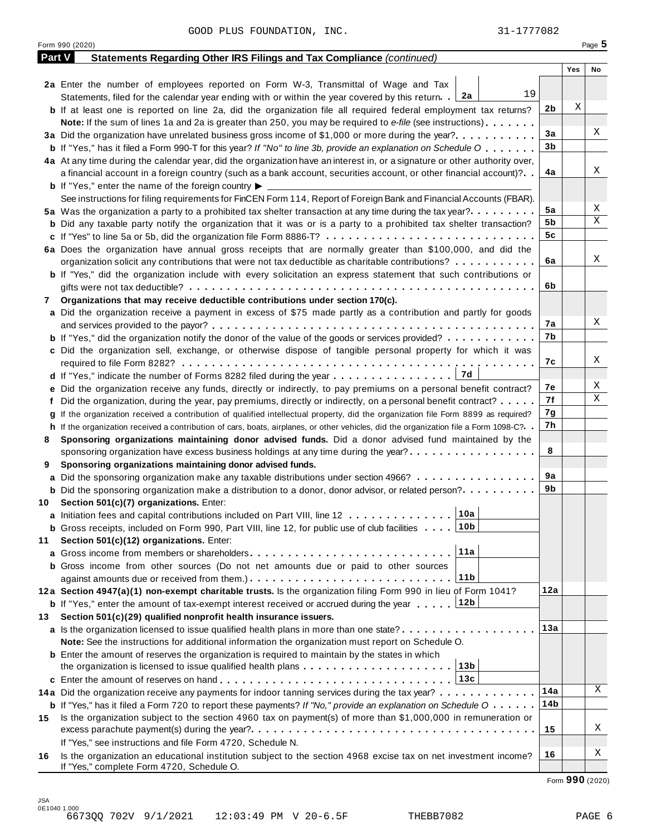|               | 31-1777082<br>GOOD PLUS FOUNDATION, INC.                                                                                                          |                |     |             |
|---------------|---------------------------------------------------------------------------------------------------------------------------------------------------|----------------|-----|-------------|
|               | Form 990 (2020)                                                                                                                                   |                |     | Page $5$    |
| <b>Part V</b> | Statements Regarding Other IRS Filings and Tax Compliance (continued)                                                                             |                |     |             |
|               |                                                                                                                                                   |                | Yes | No          |
|               | 2a Enter the number of employees reported on Form W-3, Transmittal of Wage and Tax                                                                |                |     |             |
|               | 19<br>Statements, filed for the calendar year ending with or within the year covered by this return. 2a                                           |                |     |             |
|               | <b>b</b> If at least one is reported on line 2a, did the organization file all required federal employment tax returns?                           | 2 <sub>b</sub> | Χ   |             |
|               | Note: If the sum of lines 1a and 2a is greater than 250, you may be required to e-file (see instructions)                                         |                |     |             |
|               |                                                                                                                                                   | 3a             |     | Χ           |
|               | <b>b</b> If "Yes," has it filed a Form 990-T for this year? If "No" to line 3b, provide an explanation on Schedule O                              | 3 <sub>b</sub> |     |             |
|               | 4a At any time during the calendar year, did the organization have an interest in, or a signature or other authority over,                        |                |     |             |
|               | a financial account in a foreign country (such as a bank account, securities account, or other financial account)?                                | 4a             |     | Χ           |
|               | <b>b</b> If "Yes," enter the name of the foreign country $\blacktriangleright$                                                                    |                |     |             |
|               | See instructions for filing requirements for FinCEN Form 114, Report of Foreign Bank and Financial Accounts (FBAR).                               |                |     |             |
|               | 5a Was the organization a party to a prohibited tax shelter transaction at any time during the tax year?                                          | 5a             |     | Χ           |
|               | <b>b</b> Did any taxable party notify the organization that it was or is a party to a prohibited tax shelter transaction?                         | 5b             |     | Χ           |
|               |                                                                                                                                                   | 5 <sub>c</sub> |     |             |
|               | 6a Does the organization have annual gross receipts that are normally greater than \$100,000, and did the                                         |                |     |             |
|               | organization solicit any contributions that were not tax deductible as charitable contributions?                                                  | 6a             |     | Χ           |
|               | <b>b</b> If "Yes," did the organization include with every solicitation an express statement that such contributions or                           |                |     |             |
|               |                                                                                                                                                   | 6b             |     |             |
| 7             | Organizations that may receive deductible contributions under section 170(c).                                                                     |                |     |             |
|               | a Did the organization receive a payment in excess of \$75 made partly as a contribution and partly for goods                                     |                |     | Χ           |
|               |                                                                                                                                                   | 7а             |     |             |
|               | <b>b</b> If "Yes," did the organization notify the donor of the value of the goods or services provided?                                          | 7b             |     |             |
|               | c Did the organization sell, exchange, or otherwise dispose of tangible personal property for which it was                                        |                |     | Χ           |
|               |                                                                                                                                                   | 7c             |     |             |
|               | 7d<br>d If "Yes," indicate the number of Forms 8282 filed during the year                                                                         |                |     | Χ           |
|               | e Did the organization receive any funds, directly or indirectly, to pay premiums on a personal benefit contract?                                 | 7е<br>7f       |     | $\mathbf X$ |
|               | f Did the organization, during the year, pay premiums, directly or indirectly, on a personal benefit contract?                                    |                |     |             |
| q             | If the organization received a contribution of qualified intellectual property, did the organization file Form 8899 as required?                  | 7g<br>7h       |     |             |
|               | h If the organization received a contribution of cars, boats, airplanes, or other vehicles, did the organization file a Form 1098-C?. .           |                |     |             |
| 8             | Sponsoring organizations maintaining donor advised funds. Did a donor advised fund maintained by the                                              | 8              |     |             |
|               | sponsoring organization have excess business holdings at any time during the year?                                                                |                |     |             |
| 9             | Sponsoring organizations maintaining donor advised funds.<br>a Did the sponsoring organization make any taxable distributions under section 4966? | 9a             |     |             |
|               | <b>b</b> Did the sponsoring organization make a distribution to a donor, donor advisor, or related person?                                        | 9b             |     |             |
| 10            | Section 501(c)(7) organizations. Enter:                                                                                                           |                |     |             |
|               | 10a<br>a Initiation fees and capital contributions included on Part VIII, line 12                                                                 |                |     |             |
|               | 10 <sub>b</sub><br><b>b</b> Gross receipts, included on Form 990, Part VIII, line 12, for public use of club facilities                           |                |     |             |
| 11            | Section 501(c)(12) organizations. Enter:                                                                                                          |                |     |             |
|               | 11a                                                                                                                                               |                |     |             |
|               | <b>b</b> Gross income from other sources (Do not net amounts due or paid to other sources                                                         |                |     |             |
|               | 11b                                                                                                                                               |                |     |             |
|               | 12a Section 4947(a)(1) non-exempt charitable trusts. Is the organization filing Form 990 in lieu of Form 1041?                                    | 12a            |     |             |
|               | <b>b</b> If "Yes," enter the amount of tax-exempt interest received or accrued during the year  [12b                                              |                |     |             |
| 13            | Section 501(c)(29) qualified nonprofit health insurance issuers.                                                                                  |                |     |             |
|               | a Is the organization licensed to issue qualified health plans in more than one state?                                                            | 13a            |     |             |
|               | Note: See the instructions for additional information the organization must report on Schedule O.                                                 |                |     |             |
|               | <b>b</b> Enter the amount of reserves the organization is required to maintain by the states in which                                             |                |     |             |
|               | 13 <sub>b</sub><br>the organization is licensed to issue qualified health plans                                                                   |                |     |             |
|               | 13c                                                                                                                                               |                |     |             |
|               | 14a Did the organization receive any payments for indoor tanning services during the tax year?                                                    | 14a            |     | Χ           |
|               | <b>b</b> If "Yes," has it filed a Form 720 to report these payments? If "No," provide an explanation on Schedule $0 \cdot \cdot \cdot \cdot$      | 14b            |     |             |
| 15            | Is the organization subject to the section 4960 tax on payment(s) of more than \$1,000,000 in remuneration or                                     |                |     |             |
|               |                                                                                                                                                   | 15             |     | Χ           |
|               | If "Yes," see instructions and file Form 4720, Schedule N.                                                                                        |                |     |             |
| 16            | Is the organization an educational institution subject to the section 4968 excise tax on net investment income?                                   | 16             |     | Χ           |
|               | If "Yes," complete Form 4720, Schedule O.                                                                                                         |                |     |             |

Form **990** (2020)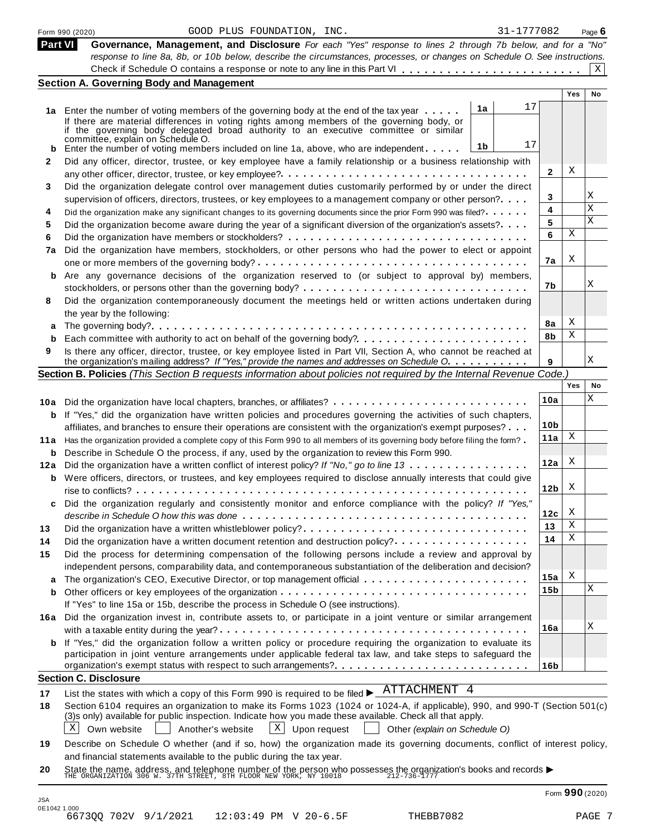|          | 31-1777082<br>GOOD PLUS FOUNDATION, INC.<br>Form 990 (2020)                                                                                                                                                                                                                                                                            |                 |     | Page $6$ |
|----------|----------------------------------------------------------------------------------------------------------------------------------------------------------------------------------------------------------------------------------------------------------------------------------------------------------------------------------------|-----------------|-----|----------|
| Part VI  | Governance, Management, and Disclosure For each "Yes" response to lines 2 through 7b below, and for a "No"                                                                                                                                                                                                                             |                 |     |          |
|          | response to line 8a, 8b, or 10b below, describe the circumstances, processes, or changes on Schedule O. See instructions.<br>Check if Schedule O contains a response or note to any line in this Part VI                                                                                                                               |                 |     | X        |
|          | <b>Section A. Governing Body and Management</b>                                                                                                                                                                                                                                                                                        |                 |     |          |
|          |                                                                                                                                                                                                                                                                                                                                        |                 | Yes | No       |
|          | 17<br>1a                                                                                                                                                                                                                                                                                                                               |                 |     |          |
|          | 1a Enter the number of voting members of the governing body at the end of the tax year<br>If there are material differences in voting rights among members of the governing body, or<br>if the governing body delegated broad authority to an executive committee or similar<br>committée, explain on Schedule O.                      |                 |     |          |
|          | 17<br>1b<br><b>b</b> Enter the number of voting members included on line 1a, above, who are independent. $\ldots$ .                                                                                                                                                                                                                    |                 |     |          |
| 2        | Did any officer, director, trustee, or key employee have a family relationship or a business relationship with                                                                                                                                                                                                                         |                 |     |          |
|          |                                                                                                                                                                                                                                                                                                                                        | 2               | X   |          |
| 3        | Did the organization delegate control over management duties customarily performed by or under the direct                                                                                                                                                                                                                              |                 |     |          |
|          | supervision of officers, directors, trustees, or key employees to a management company or other person?                                                                                                                                                                                                                                | 3               |     | Χ        |
| 4        | Did the organization make any significant changes to its governing documents since the prior Form 990 was filed?                                                                                                                                                                                                                       | 4               |     | X        |
| 5        | Did the organization become aware during the year of a significant diversion of the organization's assets?                                                                                                                                                                                                                             | 5               |     | Χ        |
| 6        |                                                                                                                                                                                                                                                                                                                                        | 6               | Χ   |          |
| 7a       | Did the organization have members, stockholders, or other persons who had the power to elect or appoint                                                                                                                                                                                                                                |                 | Χ   |          |
|          |                                                                                                                                                                                                                                                                                                                                        | 7a              |     |          |
| b        | Are any governance decisions of the organization reserved to (or subject to approval by) members,                                                                                                                                                                                                                                      | 7b              |     | Χ        |
|          |                                                                                                                                                                                                                                                                                                                                        |                 |     |          |
| 8        | Did the organization contemporaneously document the meetings held or written actions undertaken during                                                                                                                                                                                                                                 |                 |     |          |
|          | the year by the following:                                                                                                                                                                                                                                                                                                             | 8a              | Χ   |          |
| a        |                                                                                                                                                                                                                                                                                                                                        | 8b              | Χ   |          |
| b<br>9   | Is there any officer, director, trustee, or key employee listed in Part VII, Section A, who cannot be reached at                                                                                                                                                                                                                       |                 |     |          |
|          | the organization's mailing address? If "Yes," provide the names and addresses on Schedule O.                                                                                                                                                                                                                                           | 9               |     | Χ        |
|          | Section B. Policies (This Section B requests information about policies not required by the Internal Revenue Code.)                                                                                                                                                                                                                    |                 |     |          |
|          |                                                                                                                                                                                                                                                                                                                                        |                 | Yes | No       |
|          | 10a Did the organization have local chapters, branches, or affiliates?                                                                                                                                                                                                                                                                 | 10a             |     | Χ        |
|          | <b>b</b> If "Yes," did the organization have written policies and procedures governing the activities of such chapters,                                                                                                                                                                                                                |                 |     |          |
|          | affiliates, and branches to ensure their operations are consistent with the organization's exempt purposes?                                                                                                                                                                                                                            | 10 <sub>b</sub> |     |          |
|          | 11a Has the organization provided a complete copy of this Form 990 to all members of its governing body before filing the form?                                                                                                                                                                                                        | 11a             | Χ   |          |
|          | <b>b</b> Describe in Schedule O the process, if any, used by the organization to review this Form 990.                                                                                                                                                                                                                                 |                 |     |          |
|          | 12a Did the organization have a written conflict of interest policy? If "No," go to line 13                                                                                                                                                                                                                                            | 12a             | X   |          |
|          | <b>b</b> Were officers, directors, or trustees, and key employees required to disclose annually interests that could give                                                                                                                                                                                                              |                 |     |          |
|          | rise to conflicts?                                                                                                                                                                                                                                                                                                                     | 12 <sub>b</sub> | Х   |          |
| c        | Did the organization regularly and consistently monitor and enforce compliance with the policy? If "Yes,"                                                                                                                                                                                                                              |                 |     |          |
|          |                                                                                                                                                                                                                                                                                                                                        | 12c             | Х   |          |
| 13       | Did the organization have a written whistleblower policy?                                                                                                                                                                                                                                                                              | 13              | Χ   |          |
| 14       |                                                                                                                                                                                                                                                                                                                                        | 14              | Χ   |          |
| 15       | Did the process for determining compensation of the following persons include a review and approval by                                                                                                                                                                                                                                 |                 |     |          |
|          | independent persons, comparability data, and contemporaneous substantiation of the deliberation and decision?                                                                                                                                                                                                                          |                 | Χ   |          |
| а        |                                                                                                                                                                                                                                                                                                                                        | 15a<br>15b      |     | Χ        |
| b        |                                                                                                                                                                                                                                                                                                                                        |                 |     |          |
|          | If "Yes" to line 15a or 15b, describe the process in Schedule O (see instructions).                                                                                                                                                                                                                                                    |                 |     |          |
|          | 16a Did the organization invest in, contribute assets to, or participate in a joint venture or similar arrangement                                                                                                                                                                                                                     | 16a             |     | X        |
| b        | If "Yes," did the organization follow a written policy or procedure requiring the organization to evaluate its                                                                                                                                                                                                                         |                 |     |          |
|          | participation in joint venture arrangements under applicable federal tax law, and take steps to safeguard the                                                                                                                                                                                                                          |                 |     |          |
|          | organization's exempt status with respect to such arrangements?                                                                                                                                                                                                                                                                        | 16b             |     |          |
|          | <b>Section C. Disclosure</b>                                                                                                                                                                                                                                                                                                           |                 |     |          |
| 17       | List the states with which a copy of this Form 990 is required to be filed $\blacktriangleright$ $\frac{\text{ATTACHMENT}}{\text{ATTACHMENT}}$ 4                                                                                                                                                                                       |                 |     |          |
| 18       | Section 6104 requires an organization to make its Forms 1023 (1024 or 1024-A, if applicable), 990, and 990-T (Section 501(c)<br>(3)s only) available for public inspection. Indicate how you made these available. Check all that apply.<br>X<br>$X$ Upon request<br>Own website<br>Another's website<br>Other (explain on Schedule O) |                 |     |          |
|          |                                                                                                                                                                                                                                                                                                                                        |                 |     |          |
|          | Describe on Schedule O whether (and if so, how) the organization made its governing documents, conflict of interest policy,<br>and financial statements available to the public during the tax year.                                                                                                                                   |                 |     |          |
| 19<br>20 | State the name, address, and telephone number of the person who possesses the organization's books and records $\blacktriangleright$ THE ORGANIZATION 306 W. 37TH STREET, 8TH FLOOR NEW YORK, NY 10018 $\blacktriangleright$ 212-736-1777                                                                                              | Form 990 (2020) |     |          |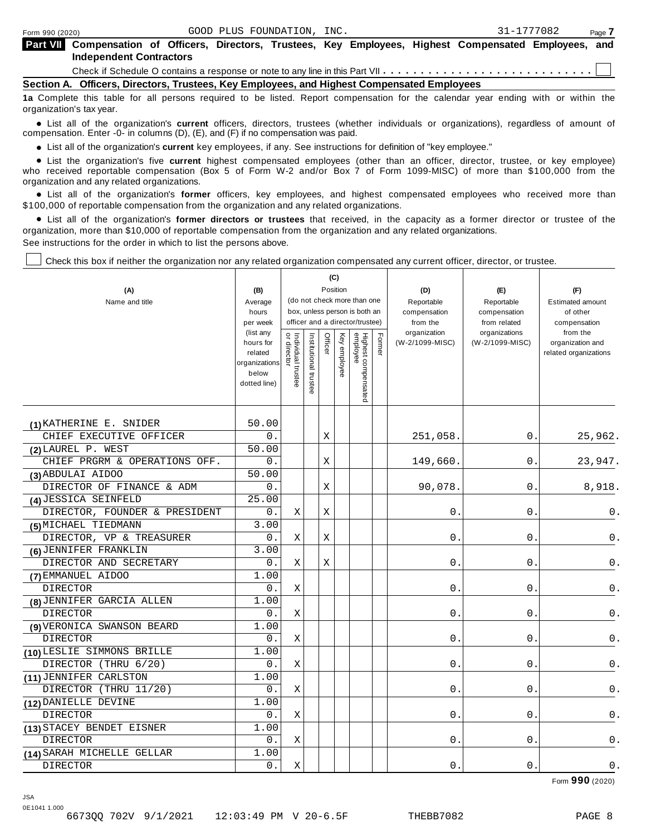| Form 990 (2020)                                                                            |                                                                                                                                    |  |  | GOOD PLUS FOUNDATION, INC. |  |  |  |  | 31-1777082 | Page 7 |
|--------------------------------------------------------------------------------------------|------------------------------------------------------------------------------------------------------------------------------------|--|--|----------------------------|--|--|--|--|------------|--------|
| <b>Part VII</b>                                                                            | Compensation of Officers, Directors, Trustees, Key Employees, Highest Compensated Employees, and<br><b>Independent Contractors</b> |  |  |                            |  |  |  |  |            |        |
|                                                                                            |                                                                                                                                    |  |  |                            |  |  |  |  |            |        |
| Section A. Officers, Directors, Trustees, Key Employees, and Highest Compensated Employees |                                                                                                                                    |  |  |                            |  |  |  |  |            |        |
|                                                                                            | da Asamalati ikki takli faa all samani wambigi ta ka Kital Dagaat samanianafan fa ika salashan man salas mbigi sa mbibba ika       |  |  |                            |  |  |  |  |            |        |

**1a** Complete this table for all persons required to be listed. Report compensation for the calendar year ending with or within the organization's tax year.

anization's lax year.<br>● List all of the organization's **current** officers, directors, trustees (whether individuals or organizations), regardless of amount of<br>nnensation Enter -0- in columns (D) (E) and (E) if no compensa compensation. Enter -0- in columns (D), (E), and (F) if no compensation was paid.

• List all of the organization's current key employees, if any. See instructions for definition of "key employee."

■ List all of the organization's current key employees, if any. See instructions for definition of "key employee."<br>■ List the organization's five current highest compensated employees (other than an officer, director, tru who received reportable compensation (Box 5 of Form W-2 and/or Box 7 of Form 1099-MISC) of more than \$100,000 from the

organization and any related organizations.<br>• List all of the organization's **former** officers, key employees, and highest compensated employees who received more than<br>\$1.00.000 of reportable componention from the erganiza \$100,000 of reportable compensation from the organization and any related organizations.

% List all of the organization's **former directors or trustees** that received, in the capacity as a former director or trustee of the organization, more than \$10,000 of reportable compensation from the organization and any related organizations. See instructions for the order in which to list the persons above.

Check this box if neither the organization nor any related organization compensated any current officer, director, or trustee.

|                               |                          |                                   |                       |             | (C)          |                                                              |        |                          |                              |                          |
|-------------------------------|--------------------------|-----------------------------------|-----------------------|-------------|--------------|--------------------------------------------------------------|--------|--------------------------|------------------------------|--------------------------|
| (A)                           | (B)                      |                                   |                       | Position    |              |                                                              |        | (D)                      | (E)                          | (F)                      |
| Name and title                | Average                  |                                   |                       |             |              | (do not check more than one<br>box, unless person is both an |        | Reportable               | Reportable                   | <b>Estimated amount</b>  |
|                               | hours<br>per week        |                                   |                       |             |              | officer and a director/trustee)                              |        | compensation<br>from the | compensation<br>from related | of other<br>compensation |
|                               | (list any                |                                   |                       |             |              |                                                              |        | organization             | organizations                | from the                 |
|                               | hours for                | Individual trustee<br>or director | Institutional trustee | Officer     | Key employee | Highest compensated<br>employee                              | Former | (W-2/1099-MISC)          | (W-2/1099-MISC)              | organization and         |
|                               | related<br>organizations |                                   |                       |             |              |                                                              |        |                          |                              | related organizations    |
|                               | below                    |                                   |                       |             |              |                                                              |        |                          |                              |                          |
|                               | dotted line)             |                                   |                       |             |              |                                                              |        |                          |                              |                          |
|                               |                          |                                   |                       |             |              |                                                              |        |                          |                              |                          |
|                               |                          |                                   |                       |             |              |                                                              |        |                          |                              |                          |
| (1) KATHERINE E. SNIDER       | 50.00                    |                                   |                       |             |              |                                                              |        |                          |                              |                          |
| CHIEF EXECUTIVE OFFICER       | 0.                       |                                   |                       | X           |              |                                                              |        | 251,058                  | 0.                           | 25,962.                  |
| (2) LAUREL P. WEST            | 50.00                    |                                   |                       |             |              |                                                              |        |                          |                              |                          |
| CHIEF PRGRM & OPERATIONS OFF. | 0.                       |                                   |                       | X           |              |                                                              |        | 149,660                  | 0.                           | 23,947.                  |
| (3) ABDULAI AIDOO             | 50.00                    |                                   |                       |             |              |                                                              |        |                          |                              |                          |
| DIRECTOR OF FINANCE & ADM     | 0.                       |                                   |                       | $\mathbf X$ |              |                                                              |        | 90,078                   | $\mathsf{O}$ .               | 8,918.                   |
| (4) JESSICA SEINFELD          | 25.00                    |                                   |                       |             |              |                                                              |        |                          |                              |                          |
| DIRECTOR, FOUNDER & PRESIDENT | 0.                       | Χ                                 |                       | Χ           |              |                                                              |        | 0                        | 0.                           | 0.                       |
| (5) MICHAEL TIEDMANN          | 3.00                     |                                   |                       |             |              |                                                              |        |                          |                              |                          |
| DIRECTOR, VP & TREASURER      | 0.                       | Χ                                 |                       | Χ           |              |                                                              |        | 0                        | $0$ .                        | 0.                       |
| (6) JENNIFER FRANKLIN         | 3.00                     |                                   |                       |             |              |                                                              |        |                          |                              |                          |
| DIRECTOR AND SECRETARY        | 0.                       | X                                 |                       | X           |              |                                                              |        | 0                        | 0                            | 0.                       |
| (7) EMMANUEL AIDOO            | 1.00                     |                                   |                       |             |              |                                                              |        |                          |                              |                          |
| <b>DIRECTOR</b>               | 0.                       | $\mathbf X$                       |                       |             |              |                                                              |        | $\mathbf 0$              | 0                            | 0.                       |
| (8) JENNIFER GARCIA ALLEN     | 1.00                     |                                   |                       |             |              |                                                              |        |                          |                              |                          |
| <b>DIRECTOR</b>               | 0.                       | X                                 |                       |             |              |                                                              |        | $\mathbf 0$              | 0                            | 0.                       |
| (9) VERONICA SWANSON BEARD    | 1.00                     |                                   |                       |             |              |                                                              |        |                          |                              |                          |
| <b>DIRECTOR</b>               | 0.                       | X                                 |                       |             |              |                                                              |        | $\mathbf 0$              | $\mathbf 0$                  | 0.                       |
| (10) LESLIE SIMMONS BRILLE    | 1.00                     |                                   |                       |             |              |                                                              |        |                          |                              |                          |
| DIRECTOR (THRU 6/20)          | 0.                       | Χ                                 |                       |             |              |                                                              |        | 0                        | $0$ .                        | 0.                       |
| (11) JENNIFER CARLSTON        | 1.00                     |                                   |                       |             |              |                                                              |        |                          |                              |                          |
| DIRECTOR (THRU 11/20)         | 0.                       | Χ                                 |                       |             |              |                                                              |        | 0                        | 0                            | 0.                       |
| (12) DANIELLE DEVINE          | 1.00                     |                                   |                       |             |              |                                                              |        |                          |                              |                          |
| <b>DIRECTOR</b>               | 0.                       | X                                 |                       |             |              |                                                              |        | 0                        | $\mathbf{0}$                 | 0.                       |
| (13) STACEY BENDET EISNER     | 1.00                     |                                   |                       |             |              |                                                              |        |                          |                              |                          |
| <b>DIRECTOR</b>               | 0.                       | X                                 |                       |             |              |                                                              |        | 0                        | 0                            | $0$ .                    |
| (14) SARAH MICHELLE GELLAR    | 1.00                     |                                   |                       |             |              |                                                              |        |                          |                              |                          |
| <b>DIRECTOR</b>               | 0.                       | $\mathbf X$                       |                       |             |              |                                                              |        | $0$ .                    | 0                            | $0$ .                    |

Form **990** (2020)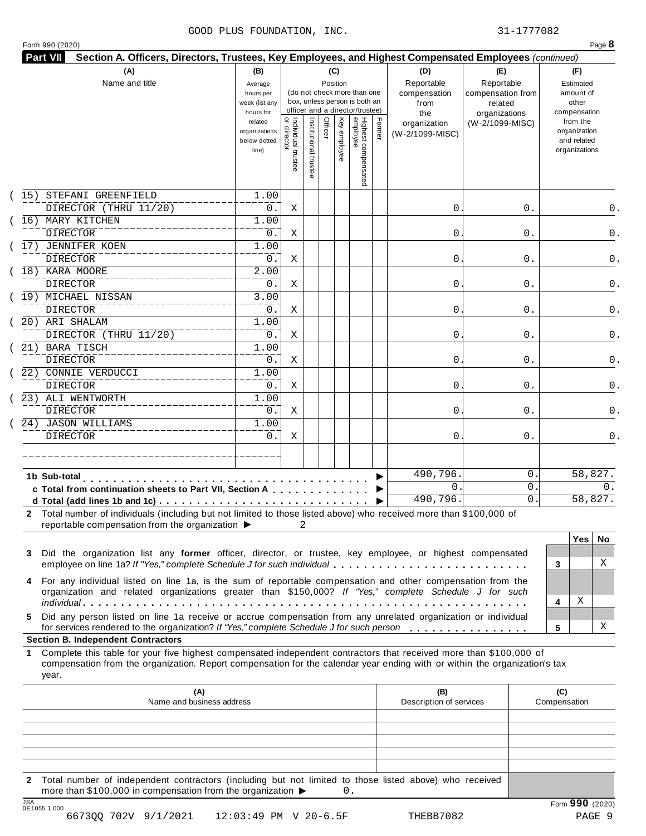#### GOOD PLUS FOUNDATION, INC. 31-1777082

|  | Form 990 (2020) |  |
|--|-----------------|--|
|  |                 |  |

|      | (A)<br>Name and title                                                                                                                                                                                                                                                                                                                                        | (B)<br>Average<br>hours per<br>week (list any<br>hours for |                                           |                       |         | (C)<br>Position | (do not check more than one<br>box, unless person is both an<br>officer and a director/trustee) |        | (D)<br>Reportable<br>compensation<br>from<br>the | (E)<br>Reportable<br>compensation from<br>related<br>organizations | (F)<br>Estimated<br>amount of<br>other<br>compensation   |
|------|--------------------------------------------------------------------------------------------------------------------------------------------------------------------------------------------------------------------------------------------------------------------------------------------------------------------------------------------------------------|------------------------------------------------------------|-------------------------------------------|-----------------------|---------|-----------------|-------------------------------------------------------------------------------------------------|--------|--------------------------------------------------|--------------------------------------------------------------------|----------------------------------------------------------|
|      |                                                                                                                                                                                                                                                                                                                                                              | related<br>organizations<br>below dotted<br>line)          | <br>  Individual trustee<br>  or director | Institutional trustee | Officer | Key employee    | Highest compensated<br>employee                                                                 | Former | organization<br>(W-2/1099-MISC)                  | (W-2/1099-MISC)                                                    | from the<br>organization<br>and related<br>organizations |
| (15) | STEFANI GREENFIELD<br>DIRECTOR (THRU 11/20)                                                                                                                                                                                                                                                                                                                  | 1.00<br>0.                                                 | Χ                                         |                       |         |                 |                                                                                                 |        | 0                                                | 0.                                                                 | 0.                                                       |
|      | 16) MARY KITCHEN<br>DIRECTOR                                                                                                                                                                                                                                                                                                                                 | 1.00<br>0.                                                 | Χ                                         |                       |         |                 |                                                                                                 |        | 0                                                | 0.                                                                 | 0.                                                       |
|      | 17) JENNIFER KOEN<br><b>DIRECTOR</b>                                                                                                                                                                                                                                                                                                                         | 1.00<br>0.                                                 | Χ                                         |                       |         |                 |                                                                                                 |        | 0                                                | 0.                                                                 | 0.                                                       |
|      | 18) KARA MOORE<br>DIRECTOR                                                                                                                                                                                                                                                                                                                                   | 2.00<br>0.                                                 | Χ                                         |                       |         |                 |                                                                                                 |        | 0                                                | 0.                                                                 | 0.                                                       |
|      | (19) MICHAEL NISSAN<br>DIRECTOR                                                                                                                                                                                                                                                                                                                              | 3.00<br>0.                                                 | Χ                                         |                       |         |                 |                                                                                                 |        | 0                                                | 0.                                                                 | 0.                                                       |
|      | 20) ARI SHALAM<br>DIRECTOR (THRU 11/20)                                                                                                                                                                                                                                                                                                                      | 1.00<br>0.                                                 | Χ                                         |                       |         |                 |                                                                                                 |        | 0                                                | 0.                                                                 | 0.                                                       |
|      | 21) BARA TISCH<br><b>DIRECTOR</b>                                                                                                                                                                                                                                                                                                                            | 1.00<br>0.                                                 | Χ                                         |                       |         |                 |                                                                                                 |        | 0                                                | 0.                                                                 | 0.                                                       |
|      | 22) CONNIE VERDUCCI<br>DIRECTOR                                                                                                                                                                                                                                                                                                                              | 1.00<br>0.                                                 | Χ                                         |                       |         |                 |                                                                                                 |        | 0                                                | 0.                                                                 | 0.                                                       |
|      | 23) ALI WENTWORTH<br><b>DIRECTOR</b>                                                                                                                                                                                                                                                                                                                         | 1.00<br>0.                                                 | Χ                                         |                       |         |                 |                                                                                                 |        | 0                                                | 0.                                                                 | 0.                                                       |
|      | 24) JASON WILLIAMS<br><b>DIRECTOR</b>                                                                                                                                                                                                                                                                                                                        | 1.00<br>$0$ .                                              | Χ                                         |                       |         |                 |                                                                                                 |        | 0                                                | 0.                                                                 | 0.                                                       |
|      |                                                                                                                                                                                                                                                                                                                                                              |                                                            |                                           |                       |         |                 |                                                                                                 |        | 490,796.                                         | 0                                                                  | 58,827.                                                  |
|      | 1b Sub-total<br>c Total from continuation sheets to Part VII, Section A                                                                                                                                                                                                                                                                                      |                                                            |                                           |                       |         |                 |                                                                                                 |        | $\mathsf{O}$ .<br>490,796.                       | 0<br>$\mathsf{O}$ .                                                | 0.<br>58,827.                                            |
| 3    | 2 Total number of individuals (including but not limited to those listed above) who received more than \$100,000 of<br>reportable compensation from the organization ▶<br>Did the organization list any former officer, director, or trustee, key employee, or highest compensated<br>employee on line 1a? If "Yes," complete Schedule J for such individual |                                                            |                                           | 2                     |         |                 |                                                                                                 |        |                                                  |                                                                    | <b>Yes</b><br>No.<br>X<br>3                              |
| 4    | For any individual listed on line 1a, is the sum of reportable compensation and other compensation from the<br>organization and related organizations greater than \$150,000? If "Yes," complete Schedule J for such                                                                                                                                         |                                                            |                                           |                       |         |                 |                                                                                                 |        |                                                  |                                                                    | Χ<br>4                                                   |
| 5.   | Did any person listed on line 1a receive or accrue compensation from any unrelated organization or individual<br>for services rendered to the organization? If "Yes," complete Schedule J for such person<br><b>Section B. Independent Contractors</b>                                                                                                       |                                                            |                                           |                       |         |                 |                                                                                                 |        |                                                  |                                                                    | Χ<br>5                                                   |
|      | Complete this table for your five highest compensated independent contractors that received more than \$100,000 of<br>compensation from the organization. Report compensation for the calendar year ending with or within the organization's tax<br>year.                                                                                                    |                                                            |                                           |                       |         |                 |                                                                                                 |        |                                                  |                                                                    |                                                          |
|      | (A)<br>Name and business address                                                                                                                                                                                                                                                                                                                             |                                                            |                                           |                       |         |                 |                                                                                                 |        | (B)<br>Description of services                   |                                                                    | (C)<br>Compensation                                      |
|      |                                                                                                                                                                                                                                                                                                                                                              |                                                            |                                           |                       |         |                 |                                                                                                 |        |                                                  |                                                                    |                                                          |
| 1    |                                                                                                                                                                                                                                                                                                                                                              |                                                            |                                           |                       |         |                 |                                                                                                 |        |                                                  |                                                                    |                                                          |

6673QQ 702V 9/1/2021 12:03:49 PM V 20-6.5F THEBB7082 PAGE 9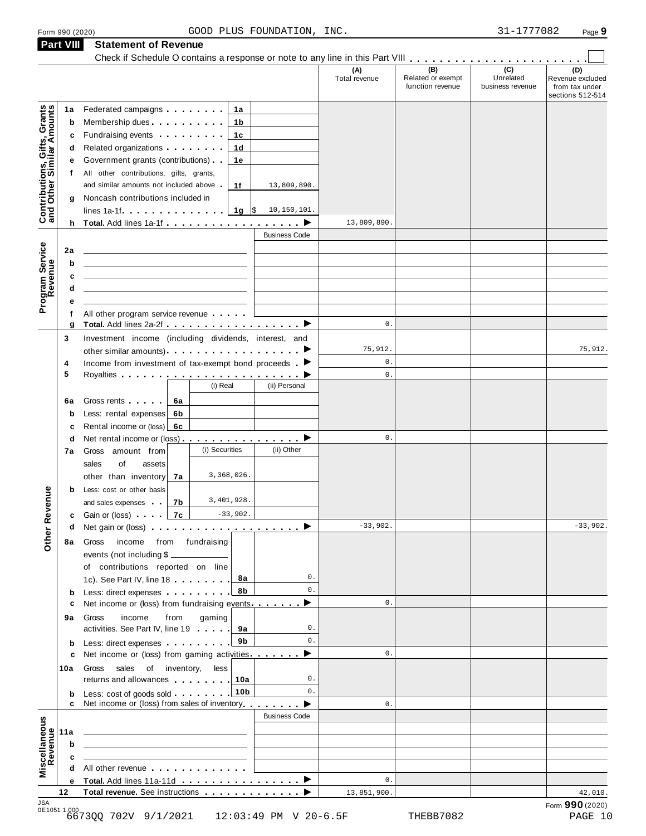|                                                           |        |                                                                                                                       | (A)<br>Total revenue | (B)<br>Related or exempt | $\overline{C}$<br>Unrelated | (D)<br>Revenue excluded            |
|-----------------------------------------------------------|--------|-----------------------------------------------------------------------------------------------------------------------|----------------------|--------------------------|-----------------------------|------------------------------------|
|                                                           |        |                                                                                                                       |                      | function revenue         | business revenue            | from tax under<br>sections 512-514 |
|                                                           | 1a     | Federated campaigns <b>Federated</b><br>1a                                                                            |                      |                          |                             |                                    |
|                                                           | b      | Membership dues<br>1b                                                                                                 |                      |                          |                             |                                    |
|                                                           | c      | Fundraising events <b>Fundraising</b><br>1с                                                                           |                      |                          |                             |                                    |
|                                                           | d      | Related organizations <b>contains</b><br>1d                                                                           |                      |                          |                             |                                    |
|                                                           |        | Government grants (contributions)<br>1e                                                                               |                      |                          |                             |                                    |
|                                                           | f.     | All other contributions, gifts, grants,                                                                               |                      |                          |                             |                                    |
|                                                           |        | and similar amounts not included above.<br>1f<br>13,809,890.                                                          |                      |                          |                             |                                    |
|                                                           | g      | Noncash contributions included in                                                                                     |                      |                          |                             |                                    |
| Contributions, Gifts, Grants<br>and Other Similar Amounts |        | lines 1a-1f. $\ldots$ 1g \\$<br>10,150,101.                                                                           |                      |                          |                             |                                    |
|                                                           |        |                                                                                                                       | 13,809,890           |                          |                             |                                    |
|                                                           |        | <b>Business Code</b>                                                                                                  |                      |                          |                             |                                    |
|                                                           |        |                                                                                                                       |                      |                          |                             |                                    |
|                                                           | 2a     |                                                                                                                       |                      |                          |                             |                                    |
|                                                           | b      |                                                                                                                       |                      |                          |                             |                                    |
|                                                           | c      |                                                                                                                       |                      |                          |                             |                                    |
|                                                           | d      |                                                                                                                       |                      |                          |                             |                                    |
| Program Service<br>Revenue                                | е      |                                                                                                                       |                      |                          |                             |                                    |
|                                                           | f      | All other program service revenue                                                                                     | $\mathbf 0$ .        |                          |                             |                                    |
|                                                           | g      | Total. Add lines 2a-2f ▶                                                                                              |                      |                          |                             |                                    |
|                                                           | 3      | Investment income (including dividends, interest, and                                                                 | 75,912.              |                          |                             | 75,912.                            |
|                                                           |        |                                                                                                                       | 0.                   |                          |                             |                                    |
|                                                           | 4<br>5 | Income from investment of tax-exempt bond proceeds $\blacksquare$                                                     | $\mathbf 0$ .        |                          |                             |                                    |
|                                                           |        | (i) Real<br>(ii) Personal                                                                                             |                      |                          |                             |                                    |
|                                                           |        |                                                                                                                       |                      |                          |                             |                                    |
|                                                           | 6a     | Gross rents <b>contains a structure</b><br>6a                                                                         |                      |                          |                             |                                    |
|                                                           | b      | Less: rental expenses<br>6b                                                                                           |                      |                          |                             |                                    |
|                                                           | c      | Rental income or (loss)<br>6с                                                                                         |                      |                          |                             |                                    |
|                                                           | d      | Net rental income or (loss) <b>example 2</b>                                                                          | $\mathbf 0$ .        |                          |                             |                                    |
|                                                           | 7а     | (i) Securities<br>(ii) Other<br>Gross amount from                                                                     |                      |                          |                             |                                    |
|                                                           |        | οf<br>sales<br>assets                                                                                                 |                      |                          |                             |                                    |
|                                                           |        | 3,368,026.<br>other than inventory<br>7a                                                                              |                      |                          |                             |                                    |
|                                                           | b      | Less: cost or other basis                                                                                             |                      |                          |                             |                                    |
| <b>Other Revenue</b>                                      |        | 3,401,928.<br>7b<br>and sales expenses                                                                                |                      |                          |                             |                                    |
|                                                           | c      | $-33,902.$<br>Gain or (loss) 7c                                                                                       |                      |                          |                             |                                    |
|                                                           | d      | Net gain or (loss) $\cdots$ $\cdots$ $\cdots$ $\cdots$ $\cdots$ $\cdots$                                              | $-33,902.$           |                          |                             | $-33,902.$                         |
|                                                           |        | income from fundraising<br>8a Gross                                                                                   |                      |                          |                             |                                    |
|                                                           |        | events (not including \$                                                                                              |                      |                          |                             |                                    |
|                                                           |        | of contributions reported on line                                                                                     |                      |                          |                             |                                    |
|                                                           |        | 1c). See Part IV, line 18<br>8а                                                                                       | 0.                   |                          |                             |                                    |
|                                                           | b      | 8b<br>Less: direct expenses                                                                                           | $\mathbf{0}$ .       |                          |                             |                                    |
|                                                           | c      | Net income or (loss) from fundraising events ▶                                                                        | $\mathbf{0}$ .       |                          |                             |                                    |
|                                                           | 9а     | gaming<br>Gross<br>income<br>from                                                                                     |                      |                          |                             |                                    |
|                                                           |        | activities. See Part IV, line 19<br>9a                                                                                | 0.                   |                          |                             |                                    |
|                                                           | b      | 9b<br>Less: direct expenses                                                                                           | $\mathbf{0}$ .       |                          |                             |                                    |
|                                                           | c      | Net income or (loss) from gaming activities ▶                                                                         | 0.                   |                          |                             |                                    |
|                                                           | 10a    | Gross<br>sales<br>of inventory, less                                                                                  |                      |                          |                             |                                    |
|                                                           |        | returns and allowances 10.10a                                                                                         | 0.                   |                          |                             |                                    |
|                                                           |        | 10 <sub>b</sub><br>Less: cost of goods sold                                                                           | $\Omega$ .           |                          |                             |                                    |
|                                                           |        | Net income or (loss) from sales of inventory                                                                          | 0.                   |                          |                             |                                    |
|                                                           |        | <b>Business Code</b>                                                                                                  |                      |                          |                             |                                    |
|                                                           | 11a    | <u> 1989 - Johann Stein, marwolaethau a bhann an t-Amhain an t-Amhain an t-Amhain an t-Amhain an t-Amhain an t-A</u>  |                      |                          |                             |                                    |
|                                                           | b      | the control of the control of the control of the control of the control of                                            |                      |                          |                             |                                    |
|                                                           | c      | <u> 1989 - Johann Barbara, martin amerikan basar dan basa dan basar dalam basa dalam basa dalam basa dalam basa d</u> |                      |                          |                             |                                    |
| Miscellaneous<br>Revenue                                  |        | All other revenue                                                                                                     |                      |                          |                             |                                    |
|                                                           |        | e Total. Add lines 11a-11d ▶                                                                                          | $\mathbf{0}$ .       |                          |                             |                                    |
|                                                           |        |                                                                                                                       | 13,851,900.          |                          |                             | 42,010.                            |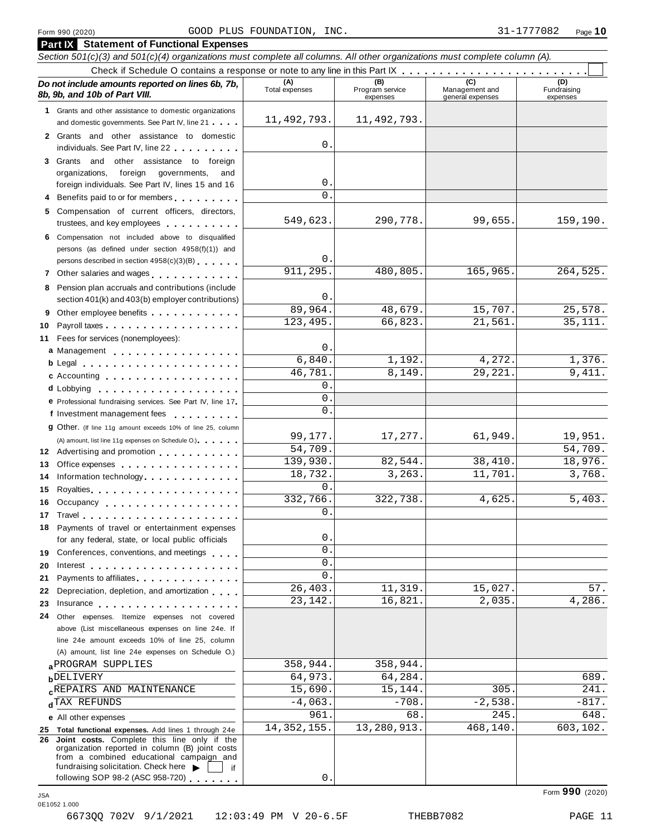| Form 990 (2020)                                                                                                                                                                                                                | GOOD PLUS FOUNDATION, INC. |                                    |                                           | 31-1777082<br>Page 10          |
|--------------------------------------------------------------------------------------------------------------------------------------------------------------------------------------------------------------------------------|----------------------------|------------------------------------|-------------------------------------------|--------------------------------|
| <b>Part IX</b> Statement of Functional Expenses                                                                                                                                                                                |                            |                                    |                                           |                                |
| Section 501(c)(3) and 501(c)(4) organizations must complete all columns. All other organizations must complete column (A).                                                                                                     |                            |                                    |                                           |                                |
|                                                                                                                                                                                                                                |                            |                                    |                                           |                                |
| Do not include amounts reported on lines 6b, 7b,<br>8b, 9b, and 10b of Part VIII.                                                                                                                                              | (A)<br>Total expenses      | (B)<br>Program service<br>expenses | (C)<br>Management and<br>general expenses | (D)<br>Fundraising<br>expenses |
| 1 Grants and other assistance to domestic organizations                                                                                                                                                                        |                            |                                    |                                           |                                |
| and domestic governments. See Part IV, line 21                                                                                                                                                                                 | 11, 492, 793.              | 11, 492, 793.                      |                                           |                                |
| 2 Grants and other assistance to domestic<br>individuals. See Part IV, line 22                                                                                                                                                 | 0.                         |                                    |                                           |                                |
| 3 Grants and other assistance to foreign                                                                                                                                                                                       |                            |                                    |                                           |                                |
| organizations,<br>foreign<br>governments,<br>and<br>foreign individuals. See Part IV, lines 15 and 16                                                                                                                          | 0.                         |                                    |                                           |                                |
| 4 Benefits paid to or for members                                                                                                                                                                                              | $\Omega$ .                 |                                    |                                           |                                |
| 5 Compensation of current officers, directors,                                                                                                                                                                                 |                            |                                    |                                           |                                |
| trustees, and key employees                                                                                                                                                                                                    | 549,623.                   | 290,778.                           | 99,655.                                   | 159,190.                       |
| 6 Compensation not included above to disqualified<br>persons (as defined under section 4958(f)(1)) and                                                                                                                         |                            |                                    |                                           |                                |
| persons described in section 4958(c)(3)(B)                                                                                                                                                                                     | 0.<br>911, 295.            | 480,805.                           | 165,965.                                  | 264,525.                       |
| 7 Other salaries and wages                                                                                                                                                                                                     |                            |                                    |                                           |                                |
| 8 Pension plan accruals and contributions (include<br>section 401(k) and 403(b) employer contributions)                                                                                                                        | 0.                         |                                    |                                           |                                |
| 9 Other employee benefits                                                                                                                                                                                                      | 89,964.                    | 48,679.                            | 15,707.                                   | 25,578.                        |
| 10                                                                                                                                                                                                                             | 123,495.                   | 66,823.                            | 21,561                                    | 35,111.                        |
| Fees for services (nonemployees):<br>11                                                                                                                                                                                        |                            |                                    |                                           |                                |
| a Management entering the state of the state of the state of the state of the state of the state of the state                                                                                                                  | 0.                         |                                    |                                           |                                |
|                                                                                                                                                                                                                                | 6,840.<br>46,781           | 1,192.<br>8,149.                   | 4,272.<br>29,221.                         | 1,376.<br>9,411.               |
| c Accounting entering the set of the set of the set of the set of the set of the set of the set of the set of the set of the set of the set of the set of the set of the set of the set of the set of the set of the set of th | $\mathbf{0}$ .             |                                    |                                           |                                |
| e Professional fundraising services. See Part IV, line 17                                                                                                                                                                      | $\mathbf{0}$               |                                    |                                           |                                |
| f Investment management fees                                                                                                                                                                                                   | 0.                         |                                    |                                           |                                |
| <b>g</b> Other. (If line 11g amount exceeds 10% of line 25, column                                                                                                                                                             |                            |                                    |                                           |                                |
| (A) amount, list line 11g expenses on Schedule O.)                                                                                                                                                                             | 99,177.                    | 17,277.                            | 61,949.                                   | 19,951.                        |
| 12 Advertising and promotion                                                                                                                                                                                                   | 54,709.                    |                                    |                                           | 54,709.                        |
| 13 Office expenses                                                                                                                                                                                                             | 139,930.<br>18,732.        | 82,544.<br>3, 263.                 | 38,410.<br>11,701.                        | 18,976.<br>3,768.              |
| 14 Information technology<br>15                                                                                                                                                                                                | $\Omega$                   |                                    |                                           |                                |
| Royalties<br>Occupancy<br>16                                                                                                                                                                                                   | 332,766.                   | 322,738.                           | 4,625.                                    | 5,403.                         |
| 17                                                                                                                                                                                                                             | $0$ .                      |                                    |                                           |                                |
| 18 Payments of travel or entertainment expenses                                                                                                                                                                                |                            |                                    |                                           |                                |
| for any federal, state, or local public officials                                                                                                                                                                              | 0.                         |                                    |                                           |                                |
| Conferences, conventions, and meetings<br>19                                                                                                                                                                                   | $\mathsf{O}$ .             |                                    |                                           |                                |
| 20<br>Interest $\ldots$ , $\ldots$ , $\ldots$ , $\ldots$ , $\ldots$ , $\ldots$ , $\ldots$                                                                                                                                      | 0.<br>0                    |                                    |                                           |                                |
| Payments to affiliates <b>Exercise Services</b><br>21                                                                                                                                                                          | 26,403.                    | 11,319.                            | 15,027.                                   | 57.                            |
| Depreciation, depletion, and amortization<br>22<br>23                                                                                                                                                                          | 23, 142.                   | 16,821.                            | 2,035.                                    | 4,286.                         |
| Other expenses. Itemize expenses not covered<br>24                                                                                                                                                                             |                            |                                    |                                           |                                |
| above (List miscellaneous expenses on line 24e. If                                                                                                                                                                             |                            |                                    |                                           |                                |
| line 24e amount exceeds 10% of line 25, column                                                                                                                                                                                 |                            |                                    |                                           |                                |
| (A) amount, list line 24e expenses on Schedule O.)                                                                                                                                                                             |                            |                                    |                                           |                                |
| <b>a PROGRAM SUPPLIES</b>                                                                                                                                                                                                      | 358,944.<br>64,973.        | 358,944.<br>64,284.                |                                           | 689.                           |
| <b>b</b> DELIVERY<br><b>CREPAIRS AND MAINTENANCE</b>                                                                                                                                                                           | 15,690.                    | 15,144.                            | 305                                       | 241.                           |
| dTAX REFUNDS                                                                                                                                                                                                                   | $-4,063.$                  | $-708$                             | $-2,538.$                                 | $-817.$                        |
| <b>e</b> All other expenses                                                                                                                                                                                                    | 961                        | 68                                 | 245                                       | 648.                           |
| 25 Total functional expenses. Add lines 1 through 24e                                                                                                                                                                          | 14,352,155.                | 13,280,913.                        | 468,140.                                  | 603,102.                       |
| 26 Joint costs. Complete this line only if the<br>organization reported in column (B) joint costs<br>from a combined educational campaign and<br>fundraising solicitation. Check here<br>if                                    |                            |                                    |                                           |                                |
| following SOP 98-2 (ASC 958-720)                                                                                                                                                                                               | 0.                         |                                    |                                           |                                |
|                                                                                                                                                                                                                                |                            |                                    |                                           | Form 990 (2020)                |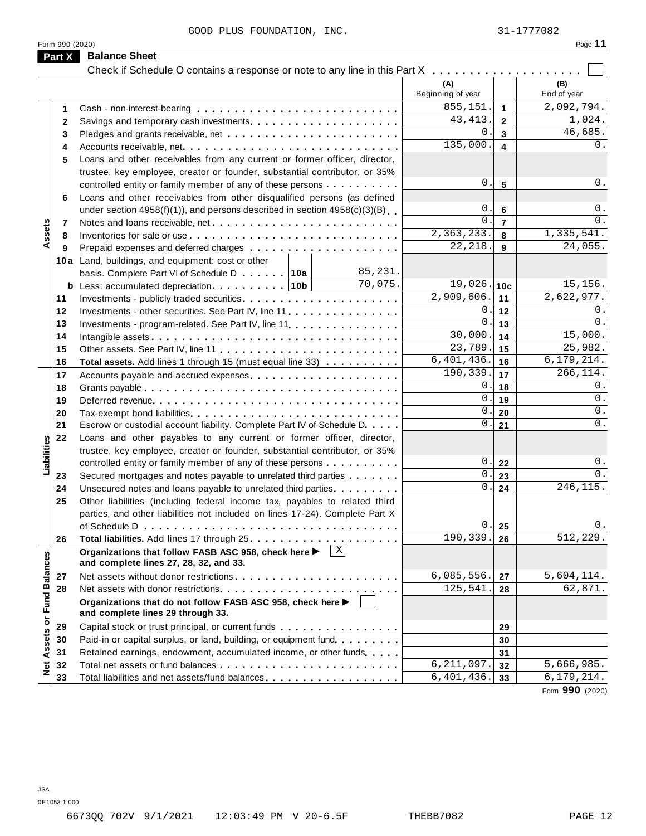|                      | GOOD PLUS FOUNDATION, INC.                                                                                                                               |                          |                         | 31-1777082             |
|----------------------|----------------------------------------------------------------------------------------------------------------------------------------------------------|--------------------------|-------------------------|------------------------|
| Form 990 (2020)      |                                                                                                                                                          |                          |                         | Page 11                |
| Part X               | <b>Balance Sheet</b>                                                                                                                                     |                          |                         |                        |
|                      | Check if Schedule O contains a response or note to any line in this Part X                                                                               |                          |                         |                        |
|                      |                                                                                                                                                          | (A)<br>Beginning of year |                         | (B)<br>End of year     |
|                      |                                                                                                                                                          | 855,151.                 | $\mathbf{1}$            | 2,092,794.             |
| 1                    |                                                                                                                                                          | 43, 413.                 | $\overline{2}$          | 1,024.                 |
| $\mathbf{2}$         |                                                                                                                                                          | 0.                       | $\overline{\mathbf{3}}$ | 46,685.                |
| 3                    |                                                                                                                                                          | 135,000.                 | $\blacktriangle$        | $0$ .                  |
| 4                    |                                                                                                                                                          |                          |                         |                        |
| 5                    | Loans and other receivables from any current or former officer, director,                                                                                |                          |                         |                        |
|                      | trustee, key employee, creator or founder, substantial contributor, or 35%                                                                               | 0.                       | 5                       | $0$ .                  |
|                      | controlled entity or family member of any of these persons                                                                                               |                          |                         |                        |
| 6                    | Loans and other receivables from other disqualified persons (as defined<br>under section $4958(f)(1)$ , and persons described in section $4958(c)(3)(B)$ | 0                        | 6                       | $0$ .                  |
|                      |                                                                                                                                                          | $\Omega$                 | $\overline{7}$          | $0$ .                  |
| 7                    |                                                                                                                                                          | 2,363,233.               | 8                       | 1,335,541.             |
| Assets<br>8          |                                                                                                                                                          | 22, 218.                 | 9                       | $\overline{24}$ , 055. |
| 9                    |                                                                                                                                                          |                          |                         |                        |
|                      | 10a Land, buildings, and equipment: cost or other<br>85,231.                                                                                             |                          |                         |                        |
|                      | basis. Complete Part VI of Schedule D 10a<br>70,075.                                                                                                     | 19,026.                  | 10c                     | 15,156.                |
| 11                   |                                                                                                                                                          | 2,909,606.               | 11                      | 2,622,977.             |
| 12                   | Investments - other securities. See Part IV, line 11                                                                                                     | 0                        | 12                      | $0$ .                  |
| 13                   | Investments - program-related. See Part IV, line 11                                                                                                      | $\mathbf 0$              | 13                      | $0$ .                  |
| 14                   |                                                                                                                                                          | 30,000.                  | 14                      | 15,000.                |
| 15                   | Other assets. See Part IV, line 11                                                                                                                       | 23,789.                  | 15                      | 25,982.                |
| 16                   | Total assets. Add lines 1 through 15 (must equal line 33)                                                                                                | 6,401,436.               | 16                      | 6, 179, 214.           |
| 17                   |                                                                                                                                                          | 190,339.                 | 17                      | 266,114.               |
| 18                   |                                                                                                                                                          | 0                        | 18                      | $0$ .                  |
| 19                   |                                                                                                                                                          | 0.                       | 19                      | $0$ .                  |
| 20                   | Tax-exempt bond liabilities                                                                                                                              | 0                        | 20                      | $0$ .                  |
| 21                   | Escrow or custodial account liability. Complete Part IV of Schedule D.                                                                                   | 0.                       | 21                      | $0$ .                  |
| 22                   | Loans and other payables to any current or former officer, director,                                                                                     |                          |                         |                        |
| abilities            | trustee, key employee, creator or founder, substantial contributor, or 35%                                                                               |                          |                         |                        |
|                      | controlled entity or family member of any of these persons                                                                                               | 0.                       | 22                      | $0$ .                  |
| ⊐<br>23              | Secured mortgages and notes payable to unrelated third parties                                                                                           | 0                        | 23                      | $0$ .                  |
| 24                   | Unsecured notes and loans payable to unrelated third parties.                                                                                            | $\overline{0}$ .         | 24                      | 246, 115.              |
| 25                   | Other liabilities (including federal income tax, payables to related third                                                                               |                          |                         |                        |
|                      | parties, and other liabilities not included on lines 17-24). Complete Part X                                                                             |                          |                         |                        |
|                      |                                                                                                                                                          | 0                        | 25                      | 0.                     |
| 26                   |                                                                                                                                                          | 190,339.                 | 26                      | 512, 229.              |
| <b>Fund Balances</b> | Organizations that follow FASB ASC 958, check here ▶<br>and complete lines 27, 28, 32, and 33.                                                           |                          |                         |                        |
| 27                   |                                                                                                                                                          | 6,085,556.               | 27                      | 5,604,114.             |
| 28                   |                                                                                                                                                          | 125,541.                 | 28                      | 62,871.                |
|                      | Organizations that do not follow FASB ASC 958, check here ▶<br>and complete lines 29 through 33.                                                         |                          |                         |                        |
| ŏ<br>29              | Capital stock or trust principal, or current funds <b>Capital Stock of the Capital Stock of the Capital</b>                                              |                          | 29                      |                        |
| 30                   | Paid-in or capital surplus, or land, building, or equipment fund.                                                                                        |                          | 30                      |                        |
| Assets<br>31         | Retained earnings, endowment, accumulated income, or other funds                                                                                         |                          | 31                      |                        |
| $\frac{1}{2}$<br>32  |                                                                                                                                                          | 6, 211, 097.             | 32                      | 5,666,985.             |
| 33                   | Total liabilities and net assets/fund balances                                                                                                           | 6,401,436.               | 33                      | 6, 179, 214.           |
|                      |                                                                                                                                                          |                          |                         | Form 990 (2020)        |

JSA 0E1053 1.000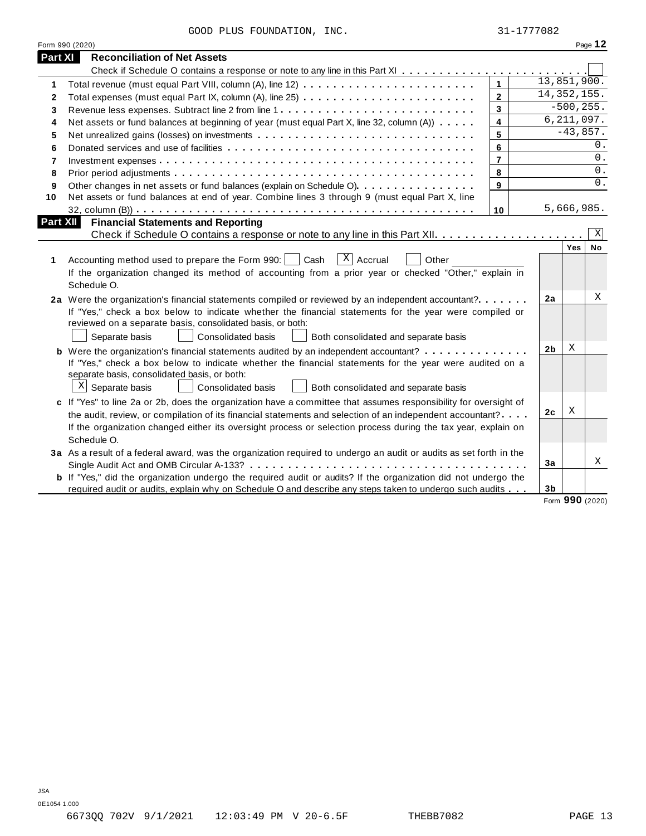|                | GOOD PLUS FOUNDATION, INC.                                                                                            |                | 31-1777082     |              |           |
|----------------|-----------------------------------------------------------------------------------------------------------------------|----------------|----------------|--------------|-----------|
|                | Form 990 (2020)                                                                                                       |                |                |              | Page 12   |
| <b>Part XI</b> | <b>Reconciliation of Net Assets</b>                                                                                   |                |                |              |           |
|                |                                                                                                                       |                |                |              |           |
| 1              |                                                                                                                       | $\mathbf{1}$   | 13,851,900.    |              |           |
| 2              |                                                                                                                       | $\overline{2}$ | 14, 352, 155.  |              |           |
| 3              | Revenue less expenses. Subtract line 2 from line 1                                                                    | $\mathbf{3}$   |                | $-500, 255.$ |           |
| 4              | Net assets or fund balances at beginning of year (must equal Part X, line 32, column (A))                             | $\overline{4}$ |                | 6, 211, 097. |           |
| 5              |                                                                                                                       | 5              |                | $-43,857.$   |           |
| 6              |                                                                                                                       | 6              |                |              | 0.        |
| $\overline{7}$ |                                                                                                                       | $\overline{7}$ |                |              | $0$ .     |
| 8              |                                                                                                                       | 8              |                |              | 0.        |
| 9              | Other changes in net assets or fund balances (explain on Schedule O)                                                  | 9              |                |              | 0.        |
| 10             | Net assets or fund balances at end of year. Combine lines 3 through 9 (must equal Part X, line                        |                |                |              |           |
|                |                                                                                                                       | 10             |                | 5,666,985.   |           |
|                | Part XII<br><b>Financial Statements and Reporting</b>                                                                 |                |                |              |           |
|                |                                                                                                                       |                |                |              | Χ         |
|                |                                                                                                                       |                |                | <b>Yes</b>   | <b>No</b> |
| 1              | $\vert X \vert$<br>Accrual<br>Accounting method used to prepare the Form 990:<br>Cash<br>Other                        |                |                |              |           |
|                | If the organization changed its method of accounting from a prior year or checked "Other," explain in                 |                |                |              |           |
|                | Schedule O.                                                                                                           |                |                |              |           |
|                | 2a Were the organization's financial statements compiled or reviewed by an independent accountant?                    |                | 2a             |              | Χ         |
|                | If "Yes," check a box below to indicate whether the financial statements for the year were compiled or                |                |                |              |           |
|                | reviewed on a separate basis, consolidated basis, or both:                                                            |                |                |              |           |
|                | Separate basis<br>Consolidated basis<br>Both consolidated and separate basis                                          |                |                |              |           |
|                | <b>b</b> Were the organization's financial statements audited by an independent accountant?                           |                | 2 <sub>b</sub> | X            |           |
|                | If "Yes," check a box below to indicate whether the financial statements for the year were audited on a               |                |                |              |           |
|                | separate basis, consolidated basis, or both:                                                                          |                |                |              |           |
|                | $X$ Separate basis<br>Consolidated basis<br>Both consolidated and separate basis                                      |                |                |              |           |
|                | c If "Yes" to line 2a or 2b, does the organization have a committee that assumes responsibility for oversight of      |                |                |              |           |
|                | the audit, review, or compilation of its financial statements and selection of an independent accountant?             |                | 2 <sub>c</sub> | Χ            |           |
|                | If the organization changed either its oversight process or selection process during the tax year, explain on         |                |                |              |           |
|                | Schedule O.                                                                                                           |                |                |              |           |
|                | 3a As a result of a federal award, was the organization required to undergo an audit or audits as set forth in the    |                |                |              |           |
|                |                                                                                                                       |                | 3a             |              | X         |
|                | <b>b</b> If "Yes," did the organization undergo the required audit or audits? If the organization did not undergo the |                |                |              |           |
|                |                                                                                                                       |                |                |              |           |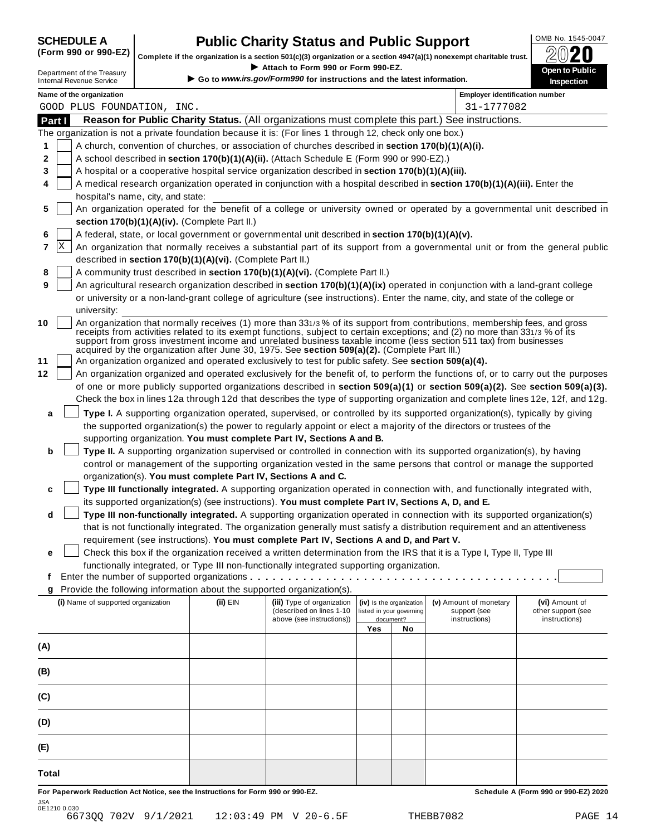## **SCHEDULE A Public Charity Status and Public Support** (Form 990 or 990-EZ) complete if the cranization is a section 501(c)(3) cranization or a section 4947(a)(1) popeyempt charitable trust  $\oslash$  () **20**

**(Form 990-EZ)** Complete if the organization is a section 501(c)(3) organization or a section 4947(a)(1) nonexempt charitable trust.<br>
Attach to Form 990 or Form 990-EZ. If Strip Complete if the organization is a section 501(c)(3) organization or a section 4947(a)(1) nonexempt charitable trust.<br>Department of the Treasury<br>Department of the Treasury

|        |   | Department of the Treasury<br><b>Internal Revenue Service</b>                                                                                                                                                                                                                                                                                                                                                                                                                   |          | ▶ Attach to Form 990 or Form 990-EZ.<br>Go to www.irs.gov/Form990 for instructions and the latest information. |     |                          |                                       | <b>Open to Public</b><br><b>Inspection</b> |
|--------|---|---------------------------------------------------------------------------------------------------------------------------------------------------------------------------------------------------------------------------------------------------------------------------------------------------------------------------------------------------------------------------------------------------------------------------------------------------------------------------------|----------|----------------------------------------------------------------------------------------------------------------|-----|--------------------------|---------------------------------------|--------------------------------------------|
|        |   | Name of the organization                                                                                                                                                                                                                                                                                                                                                                                                                                                        |          |                                                                                                                |     |                          | <b>Employer identification number</b> |                                            |
|        |   | GOOD PLUS FOUNDATION, INC.                                                                                                                                                                                                                                                                                                                                                                                                                                                      |          |                                                                                                                |     |                          | 31-1777082                            |                                            |
| Part I |   | Reason for Public Charity Status. (All organizations must complete this part.) See instructions.                                                                                                                                                                                                                                                                                                                                                                                |          |                                                                                                                |     |                          |                                       |                                            |
|        |   | The organization is not a private foundation because it is: (For lines 1 through 12, check only one box.)                                                                                                                                                                                                                                                                                                                                                                       |          |                                                                                                                |     |                          |                                       |                                            |
| 1      |   | A church, convention of churches, or association of churches described in section 170(b)(1)(A)(i).                                                                                                                                                                                                                                                                                                                                                                              |          |                                                                                                                |     |                          |                                       |                                            |
| 2      |   | A school described in section 170(b)(1)(A)(ii). (Attach Schedule E (Form 990 or 990-EZ).)                                                                                                                                                                                                                                                                                                                                                                                       |          |                                                                                                                |     |                          |                                       |                                            |
| 3      |   | A hospital or a cooperative hospital service organization described in section 170(b)(1)(A)(iii).                                                                                                                                                                                                                                                                                                                                                                               |          |                                                                                                                |     |                          |                                       |                                            |
| 4      |   | A medical research organization operated in conjunction with a hospital described in section 170(b)(1)(A)(iii). Enter the                                                                                                                                                                                                                                                                                                                                                       |          |                                                                                                                |     |                          |                                       |                                            |
|        |   | hospital's name, city, and state:                                                                                                                                                                                                                                                                                                                                                                                                                                               |          |                                                                                                                |     |                          |                                       |                                            |
| 5      |   | An organization operated for the benefit of a college or university owned or operated by a governmental unit described in<br>section 170(b)(1)(A)(iv). (Complete Part II.)                                                                                                                                                                                                                                                                                                      |          |                                                                                                                |     |                          |                                       |                                            |
| 6      |   | A federal, state, or local government or governmental unit described in section 170(b)(1)(A)(v).                                                                                                                                                                                                                                                                                                                                                                                |          |                                                                                                                |     |                          |                                       |                                            |
| 7      | X | An organization that normally receives a substantial part of its support from a governmental unit or from the general public                                                                                                                                                                                                                                                                                                                                                    |          |                                                                                                                |     |                          |                                       |                                            |
|        |   | described in section 170(b)(1)(A)(vi). (Complete Part II.)                                                                                                                                                                                                                                                                                                                                                                                                                      |          |                                                                                                                |     |                          |                                       |                                            |
| 8      |   | A community trust described in section 170(b)(1)(A)(vi). (Complete Part II.)                                                                                                                                                                                                                                                                                                                                                                                                    |          |                                                                                                                |     |                          |                                       |                                            |
| 9      |   | An agricultural research organization described in section 170(b)(1)(A)(ix) operated in conjunction with a land-grant college                                                                                                                                                                                                                                                                                                                                                   |          |                                                                                                                |     |                          |                                       |                                            |
|        |   | or university or a non-land-grant college of agriculture (see instructions). Enter the name, city, and state of the college or                                                                                                                                                                                                                                                                                                                                                  |          |                                                                                                                |     |                          |                                       |                                            |
|        |   | university:                                                                                                                                                                                                                                                                                                                                                                                                                                                                     |          |                                                                                                                |     |                          |                                       |                                            |
| 10     |   | An organization that normally receives (1) more than 331/3% of its support from contributions, membership fees, and gross<br>receipts from activities related to its exempt functions, subject to certain exceptions; and (2) no more than 331/3 % of its<br>support from gross investment income and unrelated business taxable income (less section 511 tax) from businesses<br>acquired by the organization after June 30, 1975. See section 509(a)(2). (Complete Part III.) |          |                                                                                                                |     |                          |                                       |                                            |
| 11     |   | An organization organized and operated exclusively to test for public safety. See section 509(a)(4).                                                                                                                                                                                                                                                                                                                                                                            |          |                                                                                                                |     |                          |                                       |                                            |
| 12     |   | An organization organized and operated exclusively for the benefit of, to perform the functions of, or to carry out the purposes                                                                                                                                                                                                                                                                                                                                                |          |                                                                                                                |     |                          |                                       |                                            |
|        |   | of one or more publicly supported organizations described in section 509(a)(1) or section 509(a)(2). See section 509(a)(3).                                                                                                                                                                                                                                                                                                                                                     |          |                                                                                                                |     |                          |                                       |                                            |
|        |   | Check the box in lines 12a through 12d that describes the type of supporting organization and complete lines 12e, 12f, and 12g.                                                                                                                                                                                                                                                                                                                                                 |          |                                                                                                                |     |                          |                                       |                                            |
| a      |   | Type I. A supporting organization operated, supervised, or controlled by its supported organization(s), typically by giving                                                                                                                                                                                                                                                                                                                                                     |          |                                                                                                                |     |                          |                                       |                                            |
|        |   | the supported organization(s) the power to regularly appoint or elect a majority of the directors or trustees of the                                                                                                                                                                                                                                                                                                                                                            |          |                                                                                                                |     |                          |                                       |                                            |
|        |   | supporting organization. You must complete Part IV, Sections A and B.                                                                                                                                                                                                                                                                                                                                                                                                           |          |                                                                                                                |     |                          |                                       |                                            |
| b      |   | Type II. A supporting organization supervised or controlled in connection with its supported organization(s), by having                                                                                                                                                                                                                                                                                                                                                         |          |                                                                                                                |     |                          |                                       |                                            |
|        |   | control or management of the supporting organization vested in the same persons that control or manage the supported                                                                                                                                                                                                                                                                                                                                                            |          |                                                                                                                |     |                          |                                       |                                            |
|        |   | organization(s). You must complete Part IV, Sections A and C.                                                                                                                                                                                                                                                                                                                                                                                                                   |          |                                                                                                                |     |                          |                                       |                                            |
| c      |   | Type III functionally integrated. A supporting organization operated in connection with, and functionally integrated with,                                                                                                                                                                                                                                                                                                                                                      |          |                                                                                                                |     |                          |                                       |                                            |
|        |   | its supported organization(s) (see instructions). You must complete Part IV, Sections A, D, and E.                                                                                                                                                                                                                                                                                                                                                                              |          |                                                                                                                |     |                          |                                       |                                            |
| d      |   | Type III non-functionally integrated. A supporting organization operated in connection with its supported organization(s)                                                                                                                                                                                                                                                                                                                                                       |          |                                                                                                                |     |                          |                                       |                                            |
|        |   | that is not functionally integrated. The organization generally must satisfy a distribution requirement and an attentiveness                                                                                                                                                                                                                                                                                                                                                    |          |                                                                                                                |     |                          |                                       |                                            |
| е      |   | requirement (see instructions). You must complete Part IV, Sections A and D, and Part V.<br>Check this box if the organization received a written determination from the IRS that it is a Type I, Type II, Type III                                                                                                                                                                                                                                                             |          |                                                                                                                |     |                          |                                       |                                            |
|        |   | functionally integrated, or Type III non-functionally integrated supporting organization.                                                                                                                                                                                                                                                                                                                                                                                       |          |                                                                                                                |     |                          |                                       |                                            |
| t      |   | Enter the number of supported organizations                                                                                                                                                                                                                                                                                                                                                                                                                                     |          |                                                                                                                |     |                          |                                       |                                            |
|        |   | Provide the following information about the supported organization(s).                                                                                                                                                                                                                                                                                                                                                                                                          |          |                                                                                                                |     |                          |                                       |                                            |
|        |   | (i) Name of supported organization                                                                                                                                                                                                                                                                                                                                                                                                                                              | (ii) EIN | (iii) Type of organization                                                                                     |     | (iv) Is the organization | (v) Amount of monetary                | (vi) Amount of                             |
|        |   |                                                                                                                                                                                                                                                                                                                                                                                                                                                                                 |          | (described on lines 1-10                                                                                       |     | listed in your governing | support (see                          | other support (see                         |
|        |   |                                                                                                                                                                                                                                                                                                                                                                                                                                                                                 |          | above (see instructions))                                                                                      | Yes | document?<br>No          | instructions)                         | instructions)                              |
| (A)    |   |                                                                                                                                                                                                                                                                                                                                                                                                                                                                                 |          |                                                                                                                |     |                          |                                       |                                            |
|        |   |                                                                                                                                                                                                                                                                                                                                                                                                                                                                                 |          |                                                                                                                |     |                          |                                       |                                            |
| (B)    |   |                                                                                                                                                                                                                                                                                                                                                                                                                                                                                 |          |                                                                                                                |     |                          |                                       |                                            |
| (C)    |   |                                                                                                                                                                                                                                                                                                                                                                                                                                                                                 |          |                                                                                                                |     |                          |                                       |                                            |
|        |   |                                                                                                                                                                                                                                                                                                                                                                                                                                                                                 |          |                                                                                                                |     |                          |                                       |                                            |
| (D)    |   |                                                                                                                                                                                                                                                                                                                                                                                                                                                                                 |          |                                                                                                                |     |                          |                                       |                                            |
| (E)    |   |                                                                                                                                                                                                                                                                                                                                                                                                                                                                                 |          |                                                                                                                |     |                          |                                       |                                            |
| Total  |   |                                                                                                                                                                                                                                                                                                                                                                                                                                                                                 |          |                                                                                                                |     |                          |                                       |                                            |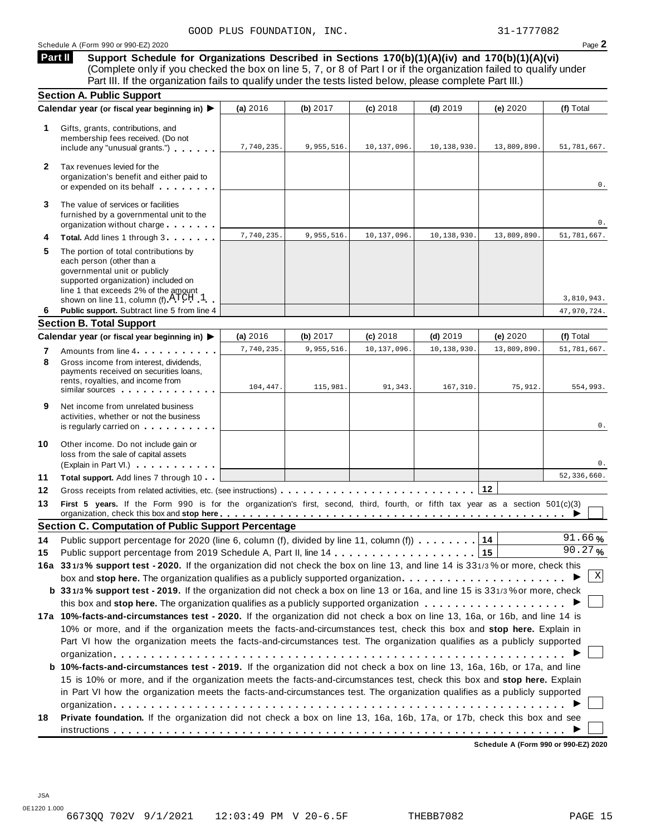#### Schedule A (Form 990 or 990-EZ) 2020 Page **2**

**Support Schedule for Organizations Described in Sections 170(b)(1)(A)(iv) and 170(b)(1)(A)(vi)** (Complete only if you checked the box on line 5, 7, or 8 of Part I or if the organization failed to qualify under **Part II** 

|              | Part III. If the organization fails to qualify under the tests listed below, please complete Part III.)                                                                                                                                                                                                                                                                          |                        |                        |                        |                        |                        |                         |
|--------------|----------------------------------------------------------------------------------------------------------------------------------------------------------------------------------------------------------------------------------------------------------------------------------------------------------------------------------------------------------------------------------|------------------------|------------------------|------------------------|------------------------|------------------------|-------------------------|
|              | <b>Section A. Public Support</b>                                                                                                                                                                                                                                                                                                                                                 |                        |                        |                        |                        |                        |                         |
|              | Calendar year (or fiscal year beginning in) ▶                                                                                                                                                                                                                                                                                                                                    | (a) 2016               | (b) 2017               | $(c)$ 2018             | $(d)$ 2019             | (e) 2020               | (f) Total               |
| 1            | Gifts, grants, contributions, and<br>membership fees received. (Do not<br>include any "unusual grants.")                                                                                                                                                                                                                                                                         | 7,740,235.             | 9,955,516.             | 10,137,096.            | 10,138,930.            | 13,809,890.            | 51,781,667.             |
| $\mathbf{2}$ | Tax revenues levied for the<br>organization's benefit and either paid to<br>or expended on its behalf                                                                                                                                                                                                                                                                            |                        |                        |                        |                        |                        | 0.                      |
| 3            | The value of services or facilities<br>furnished by a governmental unit to the<br>organization without charge                                                                                                                                                                                                                                                                    |                        |                        |                        |                        |                        | 0.                      |
| 4            | Total. Add lines 1 through 3                                                                                                                                                                                                                                                                                                                                                     | 7,740,235.             | 9,955,516.             | 10,137,096.            | 10,138,930.            | 13,809,890.            | 51,781,667.             |
| 5            | The portion of total contributions by<br>each person (other than a<br>governmental unit or publicly<br>supported organization) included on<br>line 1 that exceeds 2% of the amount<br>shown on line 11, column (f) $\text{ATCH}$ 1                                                                                                                                               |                        |                        |                        |                        |                        | 3,810,943.              |
| 6            | Public support. Subtract line 5 from line 4                                                                                                                                                                                                                                                                                                                                      |                        |                        |                        |                        |                        | 47,970,724.             |
|              | <b>Section B. Total Support</b>                                                                                                                                                                                                                                                                                                                                                  |                        |                        |                        |                        |                        |                         |
|              | Calendar year (or fiscal year beginning in) ▶                                                                                                                                                                                                                                                                                                                                    | (a) 2016               | (b) $2017$             | $(c)$ 2018             | $(d)$ 2019             | (e) 2020               | (f) Total               |
| 7<br>8       | Amounts from line 4<br>Gross income from interest, dividends,<br>payments received on securities loans,<br>rents, royalties, and income from<br>similar sources experiences                                                                                                                                                                                                      | 7,740,235.<br>104,447. | 9,955,516.<br>115,981. | 10,137,096.<br>91,343. | 10,138,930<br>167,310. | 13,809,890.<br>75,912. | 51,781,667.<br>554,993. |
| 9            | Net income from unrelated business<br>activities, whether or not the business<br>is regularly carried on the control of the set of the set of the set of the set of the set of the set of the s                                                                                                                                                                                  |                        |                        |                        |                        |                        | 0.                      |
| 10           | Other income. Do not include gain or<br>loss from the sale of capital assets<br>(Explain in Part VI.) <b>COMPLAINER</b>                                                                                                                                                                                                                                                          |                        |                        |                        |                        |                        | 0.                      |
| 11           | Total support. Add lines 7 through 10                                                                                                                                                                                                                                                                                                                                            |                        |                        |                        |                        |                        | 52,336,660.             |
| 12           |                                                                                                                                                                                                                                                                                                                                                                                  |                        |                        |                        |                        | 12                     |                         |
| 13           | First 5 years. If the Form 990 is for the organization's first, second, third, fourth, or fifth tax year as a section 501(c)(3)<br>organization, check this box and stop here equitarian enterity or an example that there is no stop here example the state of $\blacktriangleright$                                                                                            |                        |                        |                        |                        |                        |                         |
|              | <b>Section C. Computation of Public Support Percentage</b>                                                                                                                                                                                                                                                                                                                       |                        |                        |                        |                        |                        |                         |
| 14           | Public support percentage for 2020 (line 6, column (f), divided by line 11, column (f) $\ldots \ldots$                                                                                                                                                                                                                                                                           |                        |                        |                        |                        | 14                     | 91.66%                  |
| 15           |                                                                                                                                                                                                                                                                                                                                                                                  |                        |                        |                        |                        |                        | 90.27%                  |
|              | 16a 331/3% support test - 2020. If the organization did not check the box on line 13, and line 14 is 331/3% or more, check this                                                                                                                                                                                                                                                  |                        |                        |                        |                        |                        |                         |
|              | box and stop here. The organization qualifies as a publicly supported organization                                                                                                                                                                                                                                                                                               |                        |                        |                        |                        |                        | Χ                       |
|              | b 331/3% support test - 2019. If the organization did not check a box on line 13 or 16a, and line 15 is 331/3% or more, check                                                                                                                                                                                                                                                    |                        |                        |                        |                        |                        |                         |
|              |                                                                                                                                                                                                                                                                                                                                                                                  |                        |                        |                        |                        |                        |                         |
|              | 17a 10%-facts-and-circumstances test - 2020. If the organization did not check a box on line 13, 16a, or 16b, and line 14 is<br>10% or more, and if the organization meets the facts-and-circumstances test, check this box and stop here. Explain in<br>Part VI how the organization meets the facts-and-circumstances test. The organization qualifies as a publicly supported |                        |                        |                        |                        |                        |                         |
|              | <b>b</b> 10%-facts-and-circumstances test - 2019. If the organization did not check a box on line 13, 16a, 16b, or 17a, and line<br>15 is 10% or more, and if the organization meets the facts-and-circumstances test, check this box and stop here. Explain                                                                                                                     |                        |                        |                        |                        |                        |                         |
|              | in Part VI how the organization meets the facts-and-circumstances test. The organization qualifies as a publicly supported<br>Private foundation. If the organization did not check a box on line 13, 16a, 16b, 17a, or 17b, check this box and see                                                                                                                              |                        |                        |                        |                        |                        |                         |
|              |                                                                                                                                                                                                                                                                                                                                                                                  |                        |                        |                        |                        |                        |                         |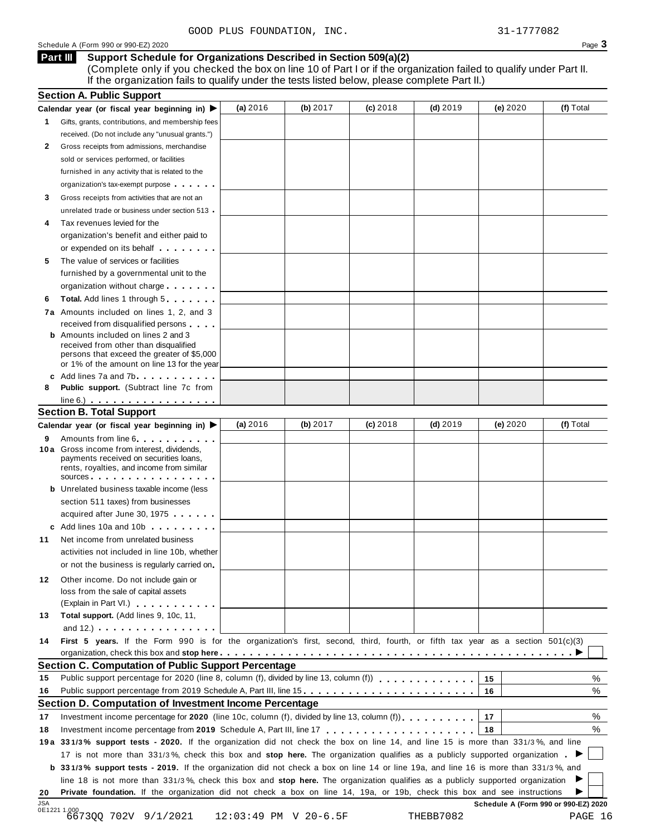#### **Support Schedule for Organizations Described in Section 509(a)(2) Part III**

(Complete only if you checked the box on line 10 of Part I or if the organization failed to qualify under Part II. If the organization fails to qualify under the tests listed below, please complete Part II.)

| (f) Total<br>(a) $2016$<br>(b) $2017$<br>$(c)$ 2018<br>(d) $2019$<br>(e) 2020<br>Calendar year (or fiscal year beginning in)<br>Gifts, grants, contributions, and membership fees<br>1.<br>received. (Do not include any "unusual grants.")<br>2<br>Gross receipts from admissions, merchandise<br>sold or services performed, or facilities<br>furnished in any activity that is related to the<br>organization's tax-exempt purpose<br>Gross receipts from activities that are not an<br>3<br>unrelated trade or business under section 513 .<br>Tax revenues levied for the<br>organization's benefit and either paid to<br>or expended on its behalf <b>contains the set of the set of the set of the set of the set of the set of the set of the set of the set of the set of the set of the set of the set of the set of the set of the set of the set of</b><br>The value of services or facilities<br>5<br>furnished by a governmental unit to the<br>organization without charge<br><b>Total.</b> Add lines 1 through 5<br>6<br>7a Amounts included on lines 1, 2, and 3<br>received from disqualified persons<br><b>b</b> Amounts included on lines 2 and 3<br>received from other than disqualified<br>persons that exceed the greater of \$5,000<br>or 1% of the amount on line 13 for the year<br>c Add lines 7a and 7b<br>Public support. (Subtract line 7c from<br>8<br>$line 6.)$<br><b>Section B. Total Support</b><br>(a) 2016<br>(b) 2017<br>$(c)$ 2018<br>(f) Total<br>(d) $2019$<br>(e) $2020$<br>Calendar year (or fiscal year beginning in)<br>Amounts from line 6<br>9<br>10 a Gross income from interest, dividends,<br>payments received on securities loans,<br>rents, royalties, and income from similar<br>SOUICES<br><b>b</b> Unrelated business taxable income (less<br>section 511 taxes) from businesses<br>acquired after June 30, 1975<br>c Add lines 10a and 10b<br>Net income from unrelated business<br>11<br>activities not included in line 10b, whether<br>or not the business is regularly carried on.<br>Other income. Do not include gain or<br>12<br>loss from the sale of capital assets<br>(Explain in Part VI.)<br>Total support. (Add lines 9, 10c, 11,<br>13<br>and 12.) $\cdots$ $\cdots$ $\cdots$ $\cdots$<br>First 5 years. If the Form 990 is for the organization's first, second, third, fourth, or fifth tax year as a section 501(c)(3)<br>14<br><b>Section C. Computation of Public Support Percentage</b><br>%<br>15<br>15<br>Public support percentage from 2019 Schedule A, Part III, line 15.<br>%<br>16<br>16<br>Section D. Computation of Investment Income Percentage<br>%<br>17<br>Investment income percentage for 2020 (line 10c, column (f), divided by line 13, column (f)), $\ldots$ , , , , , , , ,<br>17<br>%<br>18<br>18<br>19a 331/3% support tests - 2020. If the organization did not check the box on line 14, and line 15 is more than 331/3%, and line<br>17 is not more than 331/3%, check this box and stop here. The organization qualifies as a publicly supported organization.<br><b>b</b> 331/3% support tests - 2019. If the organization did not check a box on line 14 or line 19a, and line 16 is more than 331/3%, and<br>line 18 is not more than 331/3%, check this box and stop here. The organization qualifies as a publicly supported organization<br>Private foundation. If the organization did not check a box on line 14, 19a, or 19b, check this box and see instructions<br>Schedule A (Form 990 or 990-EZ) 2020<br>0E1221 1.000<br>6673QQ 702V 9/1/2021<br>12:03:49 PM V 20-6.5F<br>THEBB7082<br>PAGE 16 |     | <b>Section A. Public Support</b> |  |  |  |
|--------------------------------------------------------------------------------------------------------------------------------------------------------------------------------------------------------------------------------------------------------------------------------------------------------------------------------------------------------------------------------------------------------------------------------------------------------------------------------------------------------------------------------------------------------------------------------------------------------------------------------------------------------------------------------------------------------------------------------------------------------------------------------------------------------------------------------------------------------------------------------------------------------------------------------------------------------------------------------------------------------------------------------------------------------------------------------------------------------------------------------------------------------------------------------------------------------------------------------------------------------------------------------------------------------------------------------------------------------------------------------------------------------------------------------------------------------------------------------------------------------------------------------------------------------------------------------------------------------------------------------------------------------------------------------------------------------------------------------------------------------------------------------------------------------------------------------------------------------------------------------------------------------------------------------------------------------------------------------------------------------------------------------------------------------------------------------------------------------------------------------------------------------------------------------------------------------------------------------------------------------------------------------------------------------------------------------------------------------------------------------------------------------------------------------------------------------------------------------------------------------------------------------------------------------------------------------------------------------------------------------------------------------------------------------------------------------------------------------------------------------------------------------------------------------------------------------------------------------------------------------------------------------------------------------------------------------------------------------------------------------------------------------------------------------------------------------------------------------------------------------------------------------------------------------------------------------------------------------------------------------------------------------------------------------------------------------------------------------------------------------------------------------------------------------------------------------------------------------------------------------------------------------------------------------------------------------------------------------------------|-----|----------------------------------|--|--|--|
|                                                                                                                                                                                                                                                                                                                                                                                                                                                                                                                                                                                                                                                                                                                                                                                                                                                                                                                                                                                                                                                                                                                                                                                                                                                                                                                                                                                                                                                                                                                                                                                                                                                                                                                                                                                                                                                                                                                                                                                                                                                                                                                                                                                                                                                                                                                                                                                                                                                                                                                                                                                                                                                                                                                                                                                                                                                                                                                                                                                                                                                                                                                                                                                                                                                                                                                                                                                                                                                                                                                                                                                                                    |     |                                  |  |  |  |
|                                                                                                                                                                                                                                                                                                                                                                                                                                                                                                                                                                                                                                                                                                                                                                                                                                                                                                                                                                                                                                                                                                                                                                                                                                                                                                                                                                                                                                                                                                                                                                                                                                                                                                                                                                                                                                                                                                                                                                                                                                                                                                                                                                                                                                                                                                                                                                                                                                                                                                                                                                                                                                                                                                                                                                                                                                                                                                                                                                                                                                                                                                                                                                                                                                                                                                                                                                                                                                                                                                                                                                                                                    |     |                                  |  |  |  |
|                                                                                                                                                                                                                                                                                                                                                                                                                                                                                                                                                                                                                                                                                                                                                                                                                                                                                                                                                                                                                                                                                                                                                                                                                                                                                                                                                                                                                                                                                                                                                                                                                                                                                                                                                                                                                                                                                                                                                                                                                                                                                                                                                                                                                                                                                                                                                                                                                                                                                                                                                                                                                                                                                                                                                                                                                                                                                                                                                                                                                                                                                                                                                                                                                                                                                                                                                                                                                                                                                                                                                                                                                    |     |                                  |  |  |  |
|                                                                                                                                                                                                                                                                                                                                                                                                                                                                                                                                                                                                                                                                                                                                                                                                                                                                                                                                                                                                                                                                                                                                                                                                                                                                                                                                                                                                                                                                                                                                                                                                                                                                                                                                                                                                                                                                                                                                                                                                                                                                                                                                                                                                                                                                                                                                                                                                                                                                                                                                                                                                                                                                                                                                                                                                                                                                                                                                                                                                                                                                                                                                                                                                                                                                                                                                                                                                                                                                                                                                                                                                                    |     |                                  |  |  |  |
|                                                                                                                                                                                                                                                                                                                                                                                                                                                                                                                                                                                                                                                                                                                                                                                                                                                                                                                                                                                                                                                                                                                                                                                                                                                                                                                                                                                                                                                                                                                                                                                                                                                                                                                                                                                                                                                                                                                                                                                                                                                                                                                                                                                                                                                                                                                                                                                                                                                                                                                                                                                                                                                                                                                                                                                                                                                                                                                                                                                                                                                                                                                                                                                                                                                                                                                                                                                                                                                                                                                                                                                                                    |     |                                  |  |  |  |
|                                                                                                                                                                                                                                                                                                                                                                                                                                                                                                                                                                                                                                                                                                                                                                                                                                                                                                                                                                                                                                                                                                                                                                                                                                                                                                                                                                                                                                                                                                                                                                                                                                                                                                                                                                                                                                                                                                                                                                                                                                                                                                                                                                                                                                                                                                                                                                                                                                                                                                                                                                                                                                                                                                                                                                                                                                                                                                                                                                                                                                                                                                                                                                                                                                                                                                                                                                                                                                                                                                                                                                                                                    |     |                                  |  |  |  |
|                                                                                                                                                                                                                                                                                                                                                                                                                                                                                                                                                                                                                                                                                                                                                                                                                                                                                                                                                                                                                                                                                                                                                                                                                                                                                                                                                                                                                                                                                                                                                                                                                                                                                                                                                                                                                                                                                                                                                                                                                                                                                                                                                                                                                                                                                                                                                                                                                                                                                                                                                                                                                                                                                                                                                                                                                                                                                                                                                                                                                                                                                                                                                                                                                                                                                                                                                                                                                                                                                                                                                                                                                    |     |                                  |  |  |  |
|                                                                                                                                                                                                                                                                                                                                                                                                                                                                                                                                                                                                                                                                                                                                                                                                                                                                                                                                                                                                                                                                                                                                                                                                                                                                                                                                                                                                                                                                                                                                                                                                                                                                                                                                                                                                                                                                                                                                                                                                                                                                                                                                                                                                                                                                                                                                                                                                                                                                                                                                                                                                                                                                                                                                                                                                                                                                                                                                                                                                                                                                                                                                                                                                                                                                                                                                                                                                                                                                                                                                                                                                                    |     |                                  |  |  |  |
|                                                                                                                                                                                                                                                                                                                                                                                                                                                                                                                                                                                                                                                                                                                                                                                                                                                                                                                                                                                                                                                                                                                                                                                                                                                                                                                                                                                                                                                                                                                                                                                                                                                                                                                                                                                                                                                                                                                                                                                                                                                                                                                                                                                                                                                                                                                                                                                                                                                                                                                                                                                                                                                                                                                                                                                                                                                                                                                                                                                                                                                                                                                                                                                                                                                                                                                                                                                                                                                                                                                                                                                                                    |     |                                  |  |  |  |
|                                                                                                                                                                                                                                                                                                                                                                                                                                                                                                                                                                                                                                                                                                                                                                                                                                                                                                                                                                                                                                                                                                                                                                                                                                                                                                                                                                                                                                                                                                                                                                                                                                                                                                                                                                                                                                                                                                                                                                                                                                                                                                                                                                                                                                                                                                                                                                                                                                                                                                                                                                                                                                                                                                                                                                                                                                                                                                                                                                                                                                                                                                                                                                                                                                                                                                                                                                                                                                                                                                                                                                                                                    |     |                                  |  |  |  |
|                                                                                                                                                                                                                                                                                                                                                                                                                                                                                                                                                                                                                                                                                                                                                                                                                                                                                                                                                                                                                                                                                                                                                                                                                                                                                                                                                                                                                                                                                                                                                                                                                                                                                                                                                                                                                                                                                                                                                                                                                                                                                                                                                                                                                                                                                                                                                                                                                                                                                                                                                                                                                                                                                                                                                                                                                                                                                                                                                                                                                                                                                                                                                                                                                                                                                                                                                                                                                                                                                                                                                                                                                    |     |                                  |  |  |  |
|                                                                                                                                                                                                                                                                                                                                                                                                                                                                                                                                                                                                                                                                                                                                                                                                                                                                                                                                                                                                                                                                                                                                                                                                                                                                                                                                                                                                                                                                                                                                                                                                                                                                                                                                                                                                                                                                                                                                                                                                                                                                                                                                                                                                                                                                                                                                                                                                                                                                                                                                                                                                                                                                                                                                                                                                                                                                                                                                                                                                                                                                                                                                                                                                                                                                                                                                                                                                                                                                                                                                                                                                                    |     |                                  |  |  |  |
|                                                                                                                                                                                                                                                                                                                                                                                                                                                                                                                                                                                                                                                                                                                                                                                                                                                                                                                                                                                                                                                                                                                                                                                                                                                                                                                                                                                                                                                                                                                                                                                                                                                                                                                                                                                                                                                                                                                                                                                                                                                                                                                                                                                                                                                                                                                                                                                                                                                                                                                                                                                                                                                                                                                                                                                                                                                                                                                                                                                                                                                                                                                                                                                                                                                                                                                                                                                                                                                                                                                                                                                                                    |     |                                  |  |  |  |
|                                                                                                                                                                                                                                                                                                                                                                                                                                                                                                                                                                                                                                                                                                                                                                                                                                                                                                                                                                                                                                                                                                                                                                                                                                                                                                                                                                                                                                                                                                                                                                                                                                                                                                                                                                                                                                                                                                                                                                                                                                                                                                                                                                                                                                                                                                                                                                                                                                                                                                                                                                                                                                                                                                                                                                                                                                                                                                                                                                                                                                                                                                                                                                                                                                                                                                                                                                                                                                                                                                                                                                                                                    |     |                                  |  |  |  |
|                                                                                                                                                                                                                                                                                                                                                                                                                                                                                                                                                                                                                                                                                                                                                                                                                                                                                                                                                                                                                                                                                                                                                                                                                                                                                                                                                                                                                                                                                                                                                                                                                                                                                                                                                                                                                                                                                                                                                                                                                                                                                                                                                                                                                                                                                                                                                                                                                                                                                                                                                                                                                                                                                                                                                                                                                                                                                                                                                                                                                                                                                                                                                                                                                                                                                                                                                                                                                                                                                                                                                                                                                    |     |                                  |  |  |  |
|                                                                                                                                                                                                                                                                                                                                                                                                                                                                                                                                                                                                                                                                                                                                                                                                                                                                                                                                                                                                                                                                                                                                                                                                                                                                                                                                                                                                                                                                                                                                                                                                                                                                                                                                                                                                                                                                                                                                                                                                                                                                                                                                                                                                                                                                                                                                                                                                                                                                                                                                                                                                                                                                                                                                                                                                                                                                                                                                                                                                                                                                                                                                                                                                                                                                                                                                                                                                                                                                                                                                                                                                                    |     |                                  |  |  |  |
|                                                                                                                                                                                                                                                                                                                                                                                                                                                                                                                                                                                                                                                                                                                                                                                                                                                                                                                                                                                                                                                                                                                                                                                                                                                                                                                                                                                                                                                                                                                                                                                                                                                                                                                                                                                                                                                                                                                                                                                                                                                                                                                                                                                                                                                                                                                                                                                                                                                                                                                                                                                                                                                                                                                                                                                                                                                                                                                                                                                                                                                                                                                                                                                                                                                                                                                                                                                                                                                                                                                                                                                                                    |     |                                  |  |  |  |
|                                                                                                                                                                                                                                                                                                                                                                                                                                                                                                                                                                                                                                                                                                                                                                                                                                                                                                                                                                                                                                                                                                                                                                                                                                                                                                                                                                                                                                                                                                                                                                                                                                                                                                                                                                                                                                                                                                                                                                                                                                                                                                                                                                                                                                                                                                                                                                                                                                                                                                                                                                                                                                                                                                                                                                                                                                                                                                                                                                                                                                                                                                                                                                                                                                                                                                                                                                                                                                                                                                                                                                                                                    |     |                                  |  |  |  |
|                                                                                                                                                                                                                                                                                                                                                                                                                                                                                                                                                                                                                                                                                                                                                                                                                                                                                                                                                                                                                                                                                                                                                                                                                                                                                                                                                                                                                                                                                                                                                                                                                                                                                                                                                                                                                                                                                                                                                                                                                                                                                                                                                                                                                                                                                                                                                                                                                                                                                                                                                                                                                                                                                                                                                                                                                                                                                                                                                                                                                                                                                                                                                                                                                                                                                                                                                                                                                                                                                                                                                                                                                    |     |                                  |  |  |  |
|                                                                                                                                                                                                                                                                                                                                                                                                                                                                                                                                                                                                                                                                                                                                                                                                                                                                                                                                                                                                                                                                                                                                                                                                                                                                                                                                                                                                                                                                                                                                                                                                                                                                                                                                                                                                                                                                                                                                                                                                                                                                                                                                                                                                                                                                                                                                                                                                                                                                                                                                                                                                                                                                                                                                                                                                                                                                                                                                                                                                                                                                                                                                                                                                                                                                                                                                                                                                                                                                                                                                                                                                                    |     |                                  |  |  |  |
|                                                                                                                                                                                                                                                                                                                                                                                                                                                                                                                                                                                                                                                                                                                                                                                                                                                                                                                                                                                                                                                                                                                                                                                                                                                                                                                                                                                                                                                                                                                                                                                                                                                                                                                                                                                                                                                                                                                                                                                                                                                                                                                                                                                                                                                                                                                                                                                                                                                                                                                                                                                                                                                                                                                                                                                                                                                                                                                                                                                                                                                                                                                                                                                                                                                                                                                                                                                                                                                                                                                                                                                                                    |     |                                  |  |  |  |
|                                                                                                                                                                                                                                                                                                                                                                                                                                                                                                                                                                                                                                                                                                                                                                                                                                                                                                                                                                                                                                                                                                                                                                                                                                                                                                                                                                                                                                                                                                                                                                                                                                                                                                                                                                                                                                                                                                                                                                                                                                                                                                                                                                                                                                                                                                                                                                                                                                                                                                                                                                                                                                                                                                                                                                                                                                                                                                                                                                                                                                                                                                                                                                                                                                                                                                                                                                                                                                                                                                                                                                                                                    |     |                                  |  |  |  |
|                                                                                                                                                                                                                                                                                                                                                                                                                                                                                                                                                                                                                                                                                                                                                                                                                                                                                                                                                                                                                                                                                                                                                                                                                                                                                                                                                                                                                                                                                                                                                                                                                                                                                                                                                                                                                                                                                                                                                                                                                                                                                                                                                                                                                                                                                                                                                                                                                                                                                                                                                                                                                                                                                                                                                                                                                                                                                                                                                                                                                                                                                                                                                                                                                                                                                                                                                                                                                                                                                                                                                                                                                    |     |                                  |  |  |  |
|                                                                                                                                                                                                                                                                                                                                                                                                                                                                                                                                                                                                                                                                                                                                                                                                                                                                                                                                                                                                                                                                                                                                                                                                                                                                                                                                                                                                                                                                                                                                                                                                                                                                                                                                                                                                                                                                                                                                                                                                                                                                                                                                                                                                                                                                                                                                                                                                                                                                                                                                                                                                                                                                                                                                                                                                                                                                                                                                                                                                                                                                                                                                                                                                                                                                                                                                                                                                                                                                                                                                                                                                                    |     |                                  |  |  |  |
|                                                                                                                                                                                                                                                                                                                                                                                                                                                                                                                                                                                                                                                                                                                                                                                                                                                                                                                                                                                                                                                                                                                                                                                                                                                                                                                                                                                                                                                                                                                                                                                                                                                                                                                                                                                                                                                                                                                                                                                                                                                                                                                                                                                                                                                                                                                                                                                                                                                                                                                                                                                                                                                                                                                                                                                                                                                                                                                                                                                                                                                                                                                                                                                                                                                                                                                                                                                                                                                                                                                                                                                                                    |     |                                  |  |  |  |
|                                                                                                                                                                                                                                                                                                                                                                                                                                                                                                                                                                                                                                                                                                                                                                                                                                                                                                                                                                                                                                                                                                                                                                                                                                                                                                                                                                                                                                                                                                                                                                                                                                                                                                                                                                                                                                                                                                                                                                                                                                                                                                                                                                                                                                                                                                                                                                                                                                                                                                                                                                                                                                                                                                                                                                                                                                                                                                                                                                                                                                                                                                                                                                                                                                                                                                                                                                                                                                                                                                                                                                                                                    |     |                                  |  |  |  |
|                                                                                                                                                                                                                                                                                                                                                                                                                                                                                                                                                                                                                                                                                                                                                                                                                                                                                                                                                                                                                                                                                                                                                                                                                                                                                                                                                                                                                                                                                                                                                                                                                                                                                                                                                                                                                                                                                                                                                                                                                                                                                                                                                                                                                                                                                                                                                                                                                                                                                                                                                                                                                                                                                                                                                                                                                                                                                                                                                                                                                                                                                                                                                                                                                                                                                                                                                                                                                                                                                                                                                                                                                    |     |                                  |  |  |  |
|                                                                                                                                                                                                                                                                                                                                                                                                                                                                                                                                                                                                                                                                                                                                                                                                                                                                                                                                                                                                                                                                                                                                                                                                                                                                                                                                                                                                                                                                                                                                                                                                                                                                                                                                                                                                                                                                                                                                                                                                                                                                                                                                                                                                                                                                                                                                                                                                                                                                                                                                                                                                                                                                                                                                                                                                                                                                                                                                                                                                                                                                                                                                                                                                                                                                                                                                                                                                                                                                                                                                                                                                                    |     |                                  |  |  |  |
|                                                                                                                                                                                                                                                                                                                                                                                                                                                                                                                                                                                                                                                                                                                                                                                                                                                                                                                                                                                                                                                                                                                                                                                                                                                                                                                                                                                                                                                                                                                                                                                                                                                                                                                                                                                                                                                                                                                                                                                                                                                                                                                                                                                                                                                                                                                                                                                                                                                                                                                                                                                                                                                                                                                                                                                                                                                                                                                                                                                                                                                                                                                                                                                                                                                                                                                                                                                                                                                                                                                                                                                                                    |     |                                  |  |  |  |
|                                                                                                                                                                                                                                                                                                                                                                                                                                                                                                                                                                                                                                                                                                                                                                                                                                                                                                                                                                                                                                                                                                                                                                                                                                                                                                                                                                                                                                                                                                                                                                                                                                                                                                                                                                                                                                                                                                                                                                                                                                                                                                                                                                                                                                                                                                                                                                                                                                                                                                                                                                                                                                                                                                                                                                                                                                                                                                                                                                                                                                                                                                                                                                                                                                                                                                                                                                                                                                                                                                                                                                                                                    |     |                                  |  |  |  |
|                                                                                                                                                                                                                                                                                                                                                                                                                                                                                                                                                                                                                                                                                                                                                                                                                                                                                                                                                                                                                                                                                                                                                                                                                                                                                                                                                                                                                                                                                                                                                                                                                                                                                                                                                                                                                                                                                                                                                                                                                                                                                                                                                                                                                                                                                                                                                                                                                                                                                                                                                                                                                                                                                                                                                                                                                                                                                                                                                                                                                                                                                                                                                                                                                                                                                                                                                                                                                                                                                                                                                                                                                    |     |                                  |  |  |  |
|                                                                                                                                                                                                                                                                                                                                                                                                                                                                                                                                                                                                                                                                                                                                                                                                                                                                                                                                                                                                                                                                                                                                                                                                                                                                                                                                                                                                                                                                                                                                                                                                                                                                                                                                                                                                                                                                                                                                                                                                                                                                                                                                                                                                                                                                                                                                                                                                                                                                                                                                                                                                                                                                                                                                                                                                                                                                                                                                                                                                                                                                                                                                                                                                                                                                                                                                                                                                                                                                                                                                                                                                                    |     |                                  |  |  |  |
|                                                                                                                                                                                                                                                                                                                                                                                                                                                                                                                                                                                                                                                                                                                                                                                                                                                                                                                                                                                                                                                                                                                                                                                                                                                                                                                                                                                                                                                                                                                                                                                                                                                                                                                                                                                                                                                                                                                                                                                                                                                                                                                                                                                                                                                                                                                                                                                                                                                                                                                                                                                                                                                                                                                                                                                                                                                                                                                                                                                                                                                                                                                                                                                                                                                                                                                                                                                                                                                                                                                                                                                                                    |     |                                  |  |  |  |
|                                                                                                                                                                                                                                                                                                                                                                                                                                                                                                                                                                                                                                                                                                                                                                                                                                                                                                                                                                                                                                                                                                                                                                                                                                                                                                                                                                                                                                                                                                                                                                                                                                                                                                                                                                                                                                                                                                                                                                                                                                                                                                                                                                                                                                                                                                                                                                                                                                                                                                                                                                                                                                                                                                                                                                                                                                                                                                                                                                                                                                                                                                                                                                                                                                                                                                                                                                                                                                                                                                                                                                                                                    |     |                                  |  |  |  |
|                                                                                                                                                                                                                                                                                                                                                                                                                                                                                                                                                                                                                                                                                                                                                                                                                                                                                                                                                                                                                                                                                                                                                                                                                                                                                                                                                                                                                                                                                                                                                                                                                                                                                                                                                                                                                                                                                                                                                                                                                                                                                                                                                                                                                                                                                                                                                                                                                                                                                                                                                                                                                                                                                                                                                                                                                                                                                                                                                                                                                                                                                                                                                                                                                                                                                                                                                                                                                                                                                                                                                                                                                    |     |                                  |  |  |  |
|                                                                                                                                                                                                                                                                                                                                                                                                                                                                                                                                                                                                                                                                                                                                                                                                                                                                                                                                                                                                                                                                                                                                                                                                                                                                                                                                                                                                                                                                                                                                                                                                                                                                                                                                                                                                                                                                                                                                                                                                                                                                                                                                                                                                                                                                                                                                                                                                                                                                                                                                                                                                                                                                                                                                                                                                                                                                                                                                                                                                                                                                                                                                                                                                                                                                                                                                                                                                                                                                                                                                                                                                                    |     |                                  |  |  |  |
|                                                                                                                                                                                                                                                                                                                                                                                                                                                                                                                                                                                                                                                                                                                                                                                                                                                                                                                                                                                                                                                                                                                                                                                                                                                                                                                                                                                                                                                                                                                                                                                                                                                                                                                                                                                                                                                                                                                                                                                                                                                                                                                                                                                                                                                                                                                                                                                                                                                                                                                                                                                                                                                                                                                                                                                                                                                                                                                                                                                                                                                                                                                                                                                                                                                                                                                                                                                                                                                                                                                                                                                                                    |     |                                  |  |  |  |
|                                                                                                                                                                                                                                                                                                                                                                                                                                                                                                                                                                                                                                                                                                                                                                                                                                                                                                                                                                                                                                                                                                                                                                                                                                                                                                                                                                                                                                                                                                                                                                                                                                                                                                                                                                                                                                                                                                                                                                                                                                                                                                                                                                                                                                                                                                                                                                                                                                                                                                                                                                                                                                                                                                                                                                                                                                                                                                                                                                                                                                                                                                                                                                                                                                                                                                                                                                                                                                                                                                                                                                                                                    |     |                                  |  |  |  |
|                                                                                                                                                                                                                                                                                                                                                                                                                                                                                                                                                                                                                                                                                                                                                                                                                                                                                                                                                                                                                                                                                                                                                                                                                                                                                                                                                                                                                                                                                                                                                                                                                                                                                                                                                                                                                                                                                                                                                                                                                                                                                                                                                                                                                                                                                                                                                                                                                                                                                                                                                                                                                                                                                                                                                                                                                                                                                                                                                                                                                                                                                                                                                                                                                                                                                                                                                                                                                                                                                                                                                                                                                    |     |                                  |  |  |  |
|                                                                                                                                                                                                                                                                                                                                                                                                                                                                                                                                                                                                                                                                                                                                                                                                                                                                                                                                                                                                                                                                                                                                                                                                                                                                                                                                                                                                                                                                                                                                                                                                                                                                                                                                                                                                                                                                                                                                                                                                                                                                                                                                                                                                                                                                                                                                                                                                                                                                                                                                                                                                                                                                                                                                                                                                                                                                                                                                                                                                                                                                                                                                                                                                                                                                                                                                                                                                                                                                                                                                                                                                                    |     |                                  |  |  |  |
|                                                                                                                                                                                                                                                                                                                                                                                                                                                                                                                                                                                                                                                                                                                                                                                                                                                                                                                                                                                                                                                                                                                                                                                                                                                                                                                                                                                                                                                                                                                                                                                                                                                                                                                                                                                                                                                                                                                                                                                                                                                                                                                                                                                                                                                                                                                                                                                                                                                                                                                                                                                                                                                                                                                                                                                                                                                                                                                                                                                                                                                                                                                                                                                                                                                                                                                                                                                                                                                                                                                                                                                                                    |     |                                  |  |  |  |
|                                                                                                                                                                                                                                                                                                                                                                                                                                                                                                                                                                                                                                                                                                                                                                                                                                                                                                                                                                                                                                                                                                                                                                                                                                                                                                                                                                                                                                                                                                                                                                                                                                                                                                                                                                                                                                                                                                                                                                                                                                                                                                                                                                                                                                                                                                                                                                                                                                                                                                                                                                                                                                                                                                                                                                                                                                                                                                                                                                                                                                                                                                                                                                                                                                                                                                                                                                                                                                                                                                                                                                                                                    |     |                                  |  |  |  |
|                                                                                                                                                                                                                                                                                                                                                                                                                                                                                                                                                                                                                                                                                                                                                                                                                                                                                                                                                                                                                                                                                                                                                                                                                                                                                                                                                                                                                                                                                                                                                                                                                                                                                                                                                                                                                                                                                                                                                                                                                                                                                                                                                                                                                                                                                                                                                                                                                                                                                                                                                                                                                                                                                                                                                                                                                                                                                                                                                                                                                                                                                                                                                                                                                                                                                                                                                                                                                                                                                                                                                                                                                    |     |                                  |  |  |  |
|                                                                                                                                                                                                                                                                                                                                                                                                                                                                                                                                                                                                                                                                                                                                                                                                                                                                                                                                                                                                                                                                                                                                                                                                                                                                                                                                                                                                                                                                                                                                                                                                                                                                                                                                                                                                                                                                                                                                                                                                                                                                                                                                                                                                                                                                                                                                                                                                                                                                                                                                                                                                                                                                                                                                                                                                                                                                                                                                                                                                                                                                                                                                                                                                                                                                                                                                                                                                                                                                                                                                                                                                                    |     |                                  |  |  |  |
|                                                                                                                                                                                                                                                                                                                                                                                                                                                                                                                                                                                                                                                                                                                                                                                                                                                                                                                                                                                                                                                                                                                                                                                                                                                                                                                                                                                                                                                                                                                                                                                                                                                                                                                                                                                                                                                                                                                                                                                                                                                                                                                                                                                                                                                                                                                                                                                                                                                                                                                                                                                                                                                                                                                                                                                                                                                                                                                                                                                                                                                                                                                                                                                                                                                                                                                                                                                                                                                                                                                                                                                                                    |     |                                  |  |  |  |
|                                                                                                                                                                                                                                                                                                                                                                                                                                                                                                                                                                                                                                                                                                                                                                                                                                                                                                                                                                                                                                                                                                                                                                                                                                                                                                                                                                                                                                                                                                                                                                                                                                                                                                                                                                                                                                                                                                                                                                                                                                                                                                                                                                                                                                                                                                                                                                                                                                                                                                                                                                                                                                                                                                                                                                                                                                                                                                                                                                                                                                                                                                                                                                                                                                                                                                                                                                                                                                                                                                                                                                                                                    |     |                                  |  |  |  |
|                                                                                                                                                                                                                                                                                                                                                                                                                                                                                                                                                                                                                                                                                                                                                                                                                                                                                                                                                                                                                                                                                                                                                                                                                                                                                                                                                                                                                                                                                                                                                                                                                                                                                                                                                                                                                                                                                                                                                                                                                                                                                                                                                                                                                                                                                                                                                                                                                                                                                                                                                                                                                                                                                                                                                                                                                                                                                                                                                                                                                                                                                                                                                                                                                                                                                                                                                                                                                                                                                                                                                                                                                    |     |                                  |  |  |  |
|                                                                                                                                                                                                                                                                                                                                                                                                                                                                                                                                                                                                                                                                                                                                                                                                                                                                                                                                                                                                                                                                                                                                                                                                                                                                                                                                                                                                                                                                                                                                                                                                                                                                                                                                                                                                                                                                                                                                                                                                                                                                                                                                                                                                                                                                                                                                                                                                                                                                                                                                                                                                                                                                                                                                                                                                                                                                                                                                                                                                                                                                                                                                                                                                                                                                                                                                                                                                                                                                                                                                                                                                                    |     |                                  |  |  |  |
|                                                                                                                                                                                                                                                                                                                                                                                                                                                                                                                                                                                                                                                                                                                                                                                                                                                                                                                                                                                                                                                                                                                                                                                                                                                                                                                                                                                                                                                                                                                                                                                                                                                                                                                                                                                                                                                                                                                                                                                                                                                                                                                                                                                                                                                                                                                                                                                                                                                                                                                                                                                                                                                                                                                                                                                                                                                                                                                                                                                                                                                                                                                                                                                                                                                                                                                                                                                                                                                                                                                                                                                                                    |     |                                  |  |  |  |
|                                                                                                                                                                                                                                                                                                                                                                                                                                                                                                                                                                                                                                                                                                                                                                                                                                                                                                                                                                                                                                                                                                                                                                                                                                                                                                                                                                                                                                                                                                                                                                                                                                                                                                                                                                                                                                                                                                                                                                                                                                                                                                                                                                                                                                                                                                                                                                                                                                                                                                                                                                                                                                                                                                                                                                                                                                                                                                                                                                                                                                                                                                                                                                                                                                                                                                                                                                                                                                                                                                                                                                                                                    |     |                                  |  |  |  |
|                                                                                                                                                                                                                                                                                                                                                                                                                                                                                                                                                                                                                                                                                                                                                                                                                                                                                                                                                                                                                                                                                                                                                                                                                                                                                                                                                                                                                                                                                                                                                                                                                                                                                                                                                                                                                                                                                                                                                                                                                                                                                                                                                                                                                                                                                                                                                                                                                                                                                                                                                                                                                                                                                                                                                                                                                                                                                                                                                                                                                                                                                                                                                                                                                                                                                                                                                                                                                                                                                                                                                                                                                    |     |                                  |  |  |  |
|                                                                                                                                                                                                                                                                                                                                                                                                                                                                                                                                                                                                                                                                                                                                                                                                                                                                                                                                                                                                                                                                                                                                                                                                                                                                                                                                                                                                                                                                                                                                                                                                                                                                                                                                                                                                                                                                                                                                                                                                                                                                                                                                                                                                                                                                                                                                                                                                                                                                                                                                                                                                                                                                                                                                                                                                                                                                                                                                                                                                                                                                                                                                                                                                                                                                                                                                                                                                                                                                                                                                                                                                                    |     |                                  |  |  |  |
|                                                                                                                                                                                                                                                                                                                                                                                                                                                                                                                                                                                                                                                                                                                                                                                                                                                                                                                                                                                                                                                                                                                                                                                                                                                                                                                                                                                                                                                                                                                                                                                                                                                                                                                                                                                                                                                                                                                                                                                                                                                                                                                                                                                                                                                                                                                                                                                                                                                                                                                                                                                                                                                                                                                                                                                                                                                                                                                                                                                                                                                                                                                                                                                                                                                                                                                                                                                                                                                                                                                                                                                                                    |     |                                  |  |  |  |
|                                                                                                                                                                                                                                                                                                                                                                                                                                                                                                                                                                                                                                                                                                                                                                                                                                                                                                                                                                                                                                                                                                                                                                                                                                                                                                                                                                                                                                                                                                                                                                                                                                                                                                                                                                                                                                                                                                                                                                                                                                                                                                                                                                                                                                                                                                                                                                                                                                                                                                                                                                                                                                                                                                                                                                                                                                                                                                                                                                                                                                                                                                                                                                                                                                                                                                                                                                                                                                                                                                                                                                                                                    |     |                                  |  |  |  |
|                                                                                                                                                                                                                                                                                                                                                                                                                                                                                                                                                                                                                                                                                                                                                                                                                                                                                                                                                                                                                                                                                                                                                                                                                                                                                                                                                                                                                                                                                                                                                                                                                                                                                                                                                                                                                                                                                                                                                                                                                                                                                                                                                                                                                                                                                                                                                                                                                                                                                                                                                                                                                                                                                                                                                                                                                                                                                                                                                                                                                                                                                                                                                                                                                                                                                                                                                                                                                                                                                                                                                                                                                    |     |                                  |  |  |  |
|                                                                                                                                                                                                                                                                                                                                                                                                                                                                                                                                                                                                                                                                                                                                                                                                                                                                                                                                                                                                                                                                                                                                                                                                                                                                                                                                                                                                                                                                                                                                                                                                                                                                                                                                                                                                                                                                                                                                                                                                                                                                                                                                                                                                                                                                                                                                                                                                                                                                                                                                                                                                                                                                                                                                                                                                                                                                                                                                                                                                                                                                                                                                                                                                                                                                                                                                                                                                                                                                                                                                                                                                                    | 20  |                                  |  |  |  |
|                                                                                                                                                                                                                                                                                                                                                                                                                                                                                                                                                                                                                                                                                                                                                                                                                                                                                                                                                                                                                                                                                                                                                                                                                                                                                                                                                                                                                                                                                                                                                                                                                                                                                                                                                                                                                                                                                                                                                                                                                                                                                                                                                                                                                                                                                                                                                                                                                                                                                                                                                                                                                                                                                                                                                                                                                                                                                                                                                                                                                                                                                                                                                                                                                                                                                                                                                                                                                                                                                                                                                                                                                    | JSA |                                  |  |  |  |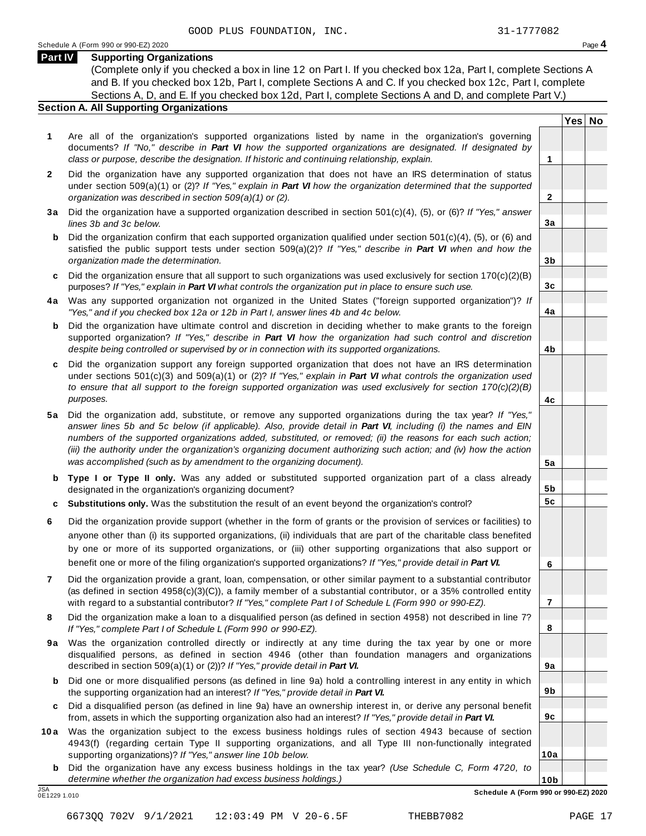**Yes No**

**2**

**3a**

**3b**

**3c**

**4a**

**4b**

**4c**

**5a**

**5b 5c**

**6**

**7**

**8**

**9a**

**9b**

**9c**

**10a**

#### **Part IV Supporting Organizations**

(Complete only if you checked a box in line 12 on Part I. If you checked box 12a, Part I, complete Sections A and B. If you checked box 12b, Part I, complete Sections A and C. If you checked box 12c, Part I, complete Sections A, D, and E. If you checked box 12d, Part I, complete Sections A and D, and complete Part V.)

#### **Section A. All Supporting Organizations**

- **1** Are all of the organization's supported organizations listed by name in the organization's governing documents? *If "No," describe in Part VI how the supported organizations are designated. If designated by class or purpose, describe the designation. If historic and continuing relationship, explain.* **1**
- **2** Did the organization have any supported organization that does not have an IRS determination of status under section 509(a)(1) or (2)? *If "Yes," explain in Part VI how the organization determined that the supported organization was described in section 509(a)(1) or (2).*
- **3 a** Did the organization have a supported organization described in section 501(c)(4), (5), or (6)? *If "Yes," answer lines 3b and 3c below.*
- **b** Did the organization confirm that each supported organization qualified under section 501(c)(4), (5), or (6) and | satisfied the public support tests under section 509(a)(2)? *If "Yes," describe in Part VI when and how the organization made the determination.*
- **c** Did the organization ensure that all support to such organizations was used exclusively for section 170(c)(2)(B) purposes? *If "Yes," explain in Part VI what controls the organization put in place to ensure such use.*
- **4 a** Was any supported organization not organized in the United States ("foreign supported organization")? *If "Yes," and if you checked box 12a or 12b in Part I, answer lines 4b and 4c below.*
- **b** Did the organization have ultimate control and discretion in deciding whether to make grants to the foreign | supported organization? *If "Yes," describe in Part VI how the organization had such control and discretion despite being controlled or supervised by or in connection with its supported organizations.*
- **c** Did the organization support any foreign supported organization that does not have an IRS determination | under sections 501(c)(3) and 509(a)(1) or (2)? *If "Yes," explain in Part VI what controls the organization used to ensure that all support to the foreign supported organization was used exclusively for section 170(c)(2)(B) purposes.*
- **5 a** Did the organization add, substitute, or remove any supported organizations during the tax year? *If "Yes," answer lines 5b and 5c below (if applicable). Also, provide detail in Part VI, including (i) the names and EIN numbers of the supported organizations added, substituted, or removed; (ii) the reasons for each such action; (iii) the authority under the organization's organizing document authorizing such action; and (iv) how the action was accomplished (such as by amendment to the organizing document).*
- **b** Type I or Type II only. Was any added or substituted supported organization part of a class already | designated in the organization's organizing document?
- **c Substitutions only.** Was the substitution the result of an event beyond the organization's control?
- **6** Did the organization provide support (whether in the form of grants or the provision of services or facilities) to anyone other than (i) its supported organizations, (ii) individuals that are part of the charitable class benefited by one or more of its supported organizations, or (iii) other supporting organizations that also support or benefit one or more of the filing organization's supported organizations? *If "Yes," provide detail in Part VI.*
- **7** Did the organization provide a grant, loan, compensation, or other similar payment to a substantial contributor (as defined in section 4958(c)(3)(C)), a family member of a substantial contributor, or a 35% controlled entity with regard to a substantial contributor? *If "Yes," complete Part I of Schedule L (Form 990 or 990-EZ).*
- **8** Did the organization make a loan to a disqualified person (as defined in section 4958) not described in line 7? *If "Yes," complete Part I of Schedule L (Form 990 or 990-EZ).*
- **9a** Was the organization controlled directly or indirectly at any time during the tax year by one or more | disqualified persons, as defined in section 4946 (other than foundation managers and organizations described in section 509(a)(1) or (2))? *If "Yes," provide detail in Part VI.*
- **b** Did one or more disqualified persons (as defined in line 9a) hold a controlling interest in any entity in which | the supporting organization had an interest? *If "Yes," provide detail in Part VI.*
- **c** Did a disqualified person (as defined in line 9a) have an ownership interest in, or derive any personal benefit from, assets in which the supporting organization also had an interest? *If "Yes," provide detail in Part VI.*
- **10a** Was the organization subject to the excess business holdings rules of section 4943 because of section | 4943(f) (regarding certain Type II supporting organizations, and all Type III non-functionally integrated supporting organizations)? *If "Yes," answer line 10b below.*
	- **b** Did the organization have any excess business holdings in the tax year? *(Use Schedule C, Form 4720, to determine whether the organization had excess business holdings.)*

**10b** JSA **Schedule A (Form 990 or 990-EZ) 2020** 0E1229 1.010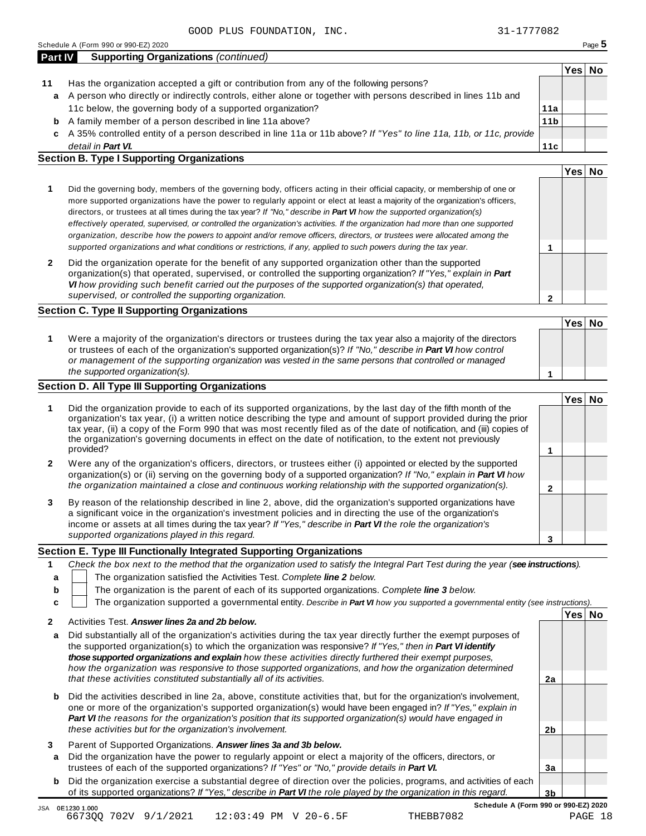|    | Part IV<br><b>Supporting Organizations (continued)</b>                                                             |                 | Yes⊺ | No |
|----|--------------------------------------------------------------------------------------------------------------------|-----------------|------|----|
| 11 | Has the organization accepted a gift or contribution from any of the following persons?                            |                 |      |    |
|    | a A person who directly or indirectly controls, either alone or together with persons described in lines 11b and   |                 |      |    |
|    | 11c below, the governing body of a supported organization?                                                         | 11a             |      |    |
| b  | A family member of a person described in line 11a above?                                                           | 11 <sub>b</sub> |      |    |
| c  | A 35% controlled entity of a person described in line 11a or 11b above? If "Yes" to line 11a, 11b, or 11c, provide |                 |      |    |
|    | detail in <b>Part VI.</b>                                                                                          | 11c             |      |    |

|   | Did the governing body, members of the governing body, officers acting in their official capacity, or membership of one or<br>more supported organizations have the power to regularly appoint or elect at least a majority of the organization's officers,<br>directors, or trustees at all times during the tax year? If "No," describe in Part VI how the supported organization(s)<br>effectively operated, supervised, or controlled the organization's activities. If the organization had more than one supported<br>organization, describe how the powers to appoint and/or remove officers, directors, or trustees were allocated among the<br>supported organizations and what conditions or restrictions, if any, applied to such powers during the tax year. |  |  |
|---|--------------------------------------------------------------------------------------------------------------------------------------------------------------------------------------------------------------------------------------------------------------------------------------------------------------------------------------------------------------------------------------------------------------------------------------------------------------------------------------------------------------------------------------------------------------------------------------------------------------------------------------------------------------------------------------------------------------------------------------------------------------------------|--|--|
| 2 | Did the organization operate for the benefit of any supported organization other than the supported<br>$\mathcal{L} = \mathcal{L} \times \mathcal{L} = \mathcal{L} \times \mathcal{L} = \mathcal{L} \times \mathcal{L} = \mathcal{L} \times \mathcal{L} = \mathcal{L} \times \mathcal{L} = \mathcal{L} \times \mathcal{L} = \mathcal{L} \times \mathcal{L} = \mathcal{L} \times \mathcal{L} = \mathcal{L} \times \mathcal{L} = \mathcal{L} \times \mathcal{L} = \mathcal{L} \times \mathcal{L} = \mathcal{L} \times \mathcal{L} = \mathcal{L} \times \mathcal{L} = \mathcal{L} \times \mathcal{L} = \mathcal$                                                                                                                                                            |  |  |

#### organization(s) that operated, supervised, or controlled the supporting organization? *If "Yes," explain in Part VI how providing such benefit carried out the purposes of the supported organization(s) that operated, supervised, or controlled the supporting organization.*

#### **Section C. Type II Supporting Organizations**

|                                                                                                                                                                                                                                                                                                                                                                               | Yes   No |  |
|-------------------------------------------------------------------------------------------------------------------------------------------------------------------------------------------------------------------------------------------------------------------------------------------------------------------------------------------------------------------------------|----------|--|
| Were a majority of the organization's directors or trustees during the tax year also a majority of the directors<br>or trustees of each of the organization's supported organization(s)? If "No," describe in Part VI how control<br>or management of the supporting organization was vested in the same persons that controlled or managed<br>the supported organization(s). |          |  |

#### **Section D. All Type III Supporting Organizations**

|   | the supported organization(s).                                                                                                                                                                                                                                                                                                                                                                                                                                                           |        |  |
|---|------------------------------------------------------------------------------------------------------------------------------------------------------------------------------------------------------------------------------------------------------------------------------------------------------------------------------------------------------------------------------------------------------------------------------------------------------------------------------------------|--------|--|
|   | ection D. All Type III Supporting Organizations                                                                                                                                                                                                                                                                                                                                                                                                                                          |        |  |
|   |                                                                                                                                                                                                                                                                                                                                                                                                                                                                                          | Yes∃No |  |
| 1 | Did the organization provide to each of its supported organizations, by the last day of the fifth month of the<br>organization's tax year, (i) a written notice describing the type and amount of support provided during the prior<br>tax year, (ii) a copy of the Form 990 that was most recently filed as of the date of notification, and (iii) copies of<br>the organization's governing documents in effect on the date of notification, to the extent not previously<br>provided? |        |  |
|   |                                                                                                                                                                                                                                                                                                                                                                                                                                                                                          |        |  |
| 2 | Were any of the organization's officers, directors, or trustees either (i) appointed or elected by the supported<br>organization(s) or (ii) serving on the governing body of a supported organization? If "No," explain in <b>Part VI</b> how                                                                                                                                                                                                                                            |        |  |
|   | the organization maintained a close and continuous working relationship with the supported organization(s).                                                                                                                                                                                                                                                                                                                                                                              |        |  |
| 3 | By reason of the relationship described in line 2, above, did the organization's supported organizations have<br>a significant voice in the organization's investment policies and in directing the use of the organization's<br>income or assets at all times during the tax year? If "Yes," describe in Part VI the role the organization's                                                                                                                                            |        |  |
|   | supported organizations played in this regard.                                                                                                                                                                                                                                                                                                                                                                                                                                           |        |  |

#### **Section E. Type III Functionally Integrated Supporting Organizations**

|   | Check the box next to the method that the organization used to satisfy the Integral Part Test during the year (see instructions). |
|---|-----------------------------------------------------------------------------------------------------------------------------------|
| а | The organization satisfied the Activities Test. Complete line 2 below.                                                            |
| b | The organization is the parent of each of its supported organizations. Complete line 3 below.                                     |
|   | The organization supported a governmental entity. Describe in Part VI how you supported a governmental entity (see instructions). |
|   | Yes <sub>1</sub><br>Nο<br>Activities Test. Answer lines 2a and 2b below.                                                          |

|   | AUTRILICS TCSL. ANSWCI INICS ZO ONU ZU DCIUW.                                                                                                                                                                                                                                                                                                                                                                                                                    |    |  |
|---|------------------------------------------------------------------------------------------------------------------------------------------------------------------------------------------------------------------------------------------------------------------------------------------------------------------------------------------------------------------------------------------------------------------------------------------------------------------|----|--|
| a | Did substantially all of the organization's activities during the tax year directly further the exempt purposes of<br>the supported organization(s) to which the organization was responsive? If "Yes," then in <b>Part VI identify</b><br>those supported organizations and explain how these activities directly furthered their exempt purposes.<br>how the organization was responsive to those supported organizations, and how the organization determined |    |  |
|   | that these activities constituted substantially all of its activities.                                                                                                                                                                                                                                                                                                                                                                                           | 2a |  |
| b | Did the activities described in line 2a, above, constitute activities that, but for the organization's involvement,<br>one or more of the organization's supported organization(s) would have been engaged in? If "Yes," explain in<br>Part VI the reasons for the organization's position that its supported organization(s) would have engaged in<br>these activities but for the organization's involvement.                                                  | 2b |  |
| 3 | Parent of Supported Organizations. Answer lines 3a and 3b below.                                                                                                                                                                                                                                                                                                                                                                                                 |    |  |
| a | Did the organization have the power to regularly appoint or elect a majority of the officers, directors, or                                                                                                                                                                                                                                                                                                                                                      |    |  |
|   | trustees of each of the supported organizations? If "Yes" or "No," provide details in Part VI.                                                                                                                                                                                                                                                                                                                                                                   | 3a |  |
| b | Did the organization exercise a substantial degree of direction over the policies, programs, and activities of each                                                                                                                                                                                                                                                                                                                                              |    |  |
|   | of its supported organizations? If "Yes," describe in Part VI the role played by the organization in this regard.                                                                                                                                                                                                                                                                                                                                                | 3b |  |

**2**

Of its supported organizations? If "Yes," describe in **Part Vi** the role played by the organization in this regard.<br>JSA 0E1230 1.000<br>JSA 0E1230 1.000 JO 201 1.2001 12:02:49 DM V 20 6 EE 56690 6673QQ 702V 9/1/2021 12:03:49 PM V 20−6.5F 566edule A (Form 990 or 990-E<mark>Z) 2020</mark><br>18 PAGE 18 PAGE 18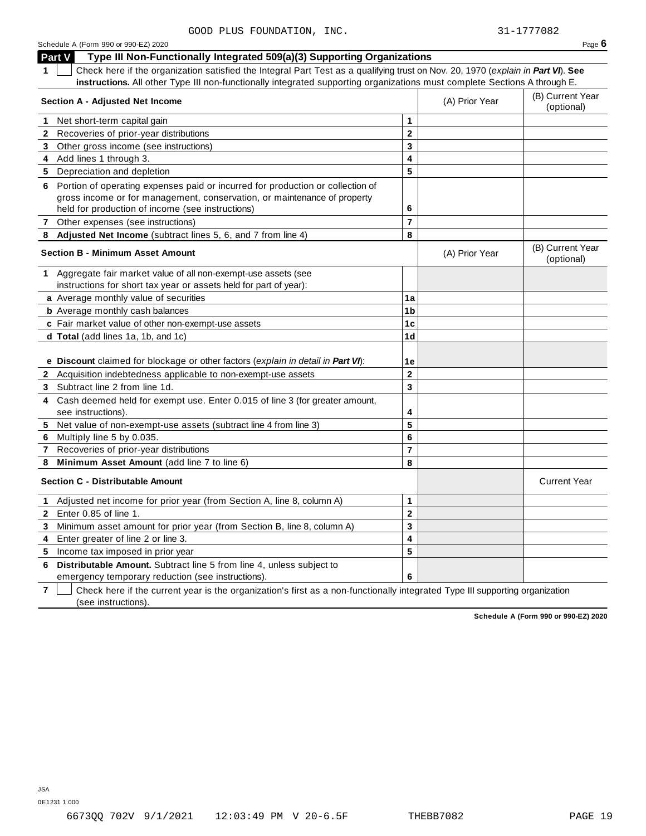| Schedule A (Form 990 or 990-EZ) 2020 | Page $6$ |
|--------------------------------------|----------|
|--------------------------------------|----------|

|              | Part V<br>Type III Non-Functionally Integrated 509(a)(3) Supporting Organizations                                                                                                                                |                         |                                |                                |
|--------------|------------------------------------------------------------------------------------------------------------------------------------------------------------------------------------------------------------------|-------------------------|--------------------------------|--------------------------------|
| 1.           | Check here if the organization satisfied the Integral Part Test as a qualifying trust on Nov. 20, 1970 (explain in Part VI). See                                                                                 |                         |                                |                                |
|              | instructions. All other Type III non-functionally integrated supporting organizations must complete Sections A through E.                                                                                        |                         |                                |                                |
|              | <b>Section A - Adjusted Net Income</b>                                                                                                                                                                           | (A) Prior Year          | (B) Current Year<br>(optional) |                                |
| 1.           | Net short-term capital gain                                                                                                                                                                                      | $\mathbf{1}$            |                                |                                |
| 2            | Recoveries of prior-year distributions                                                                                                                                                                           | $\mathbf{2}$            |                                |                                |
| 3            | Other gross income (see instructions)                                                                                                                                                                            | 3                       |                                |                                |
| 4            | Add lines 1 through 3.                                                                                                                                                                                           | 4                       |                                |                                |
|              | 5 Depreciation and depletion                                                                                                                                                                                     | 5                       |                                |                                |
|              | 6 Portion of operating expenses paid or incurred for production or collection of<br>gross income or for management, conservation, or maintenance of property<br>held for production of income (see instructions) | 6                       |                                |                                |
|              | 7 Other expenses (see instructions)                                                                                                                                                                              | $\overline{7}$          |                                |                                |
| 8            | Adjusted Net Income (subtract lines 5, 6, and 7 from line 4)                                                                                                                                                     | 8                       |                                |                                |
|              | <b>Section B - Minimum Asset Amount</b>                                                                                                                                                                          |                         | (A) Prior Year                 | (B) Current Year<br>(optional) |
|              | 1 Aggregate fair market value of all non-exempt-use assets (see                                                                                                                                                  |                         |                                |                                |
|              | instructions for short tax year or assets held for part of year):                                                                                                                                                |                         |                                |                                |
|              | a Average monthly value of securities                                                                                                                                                                            | 1a                      |                                |                                |
|              | <b>b</b> Average monthly cash balances                                                                                                                                                                           | 1 <sub>b</sub>          |                                |                                |
|              | c Fair market value of other non-exempt-use assets                                                                                                                                                               | 1 <sub>c</sub>          |                                |                                |
|              | d Total (add lines 1a, 1b, and 1c)                                                                                                                                                                               | 1 <sub>d</sub>          |                                |                                |
|              |                                                                                                                                                                                                                  |                         |                                |                                |
|              | e Discount claimed for blockage or other factors (explain in detail in Part VI):                                                                                                                                 | 1e                      |                                |                                |
| $\mathbf{2}$ | Acquisition indebtedness applicable to non-exempt-use assets                                                                                                                                                     | $\bf 2$                 |                                |                                |
| 3.           | Subtract line 2 from line 1d.                                                                                                                                                                                    | 3                       |                                |                                |
| 4            | Cash deemed held for exempt use. Enter 0.015 of line 3 (for greater amount,                                                                                                                                      |                         |                                |                                |
|              | see instructions).                                                                                                                                                                                               | 4                       |                                |                                |
| 5            | Net value of non-exempt-use assets (subtract line 4 from line 3)                                                                                                                                                 | $\overline{\mathbf{5}}$ |                                |                                |
| 6            | Multiply line 5 by 0.035.                                                                                                                                                                                        | 6                       |                                |                                |
| 7            | Recoveries of prior-year distributions                                                                                                                                                                           | $\overline{7}$          |                                |                                |
| 8            | Minimum Asset Amount (add line 7 to line 6)                                                                                                                                                                      | 8                       |                                |                                |
|              | <b>Section C - Distributable Amount</b>                                                                                                                                                                          |                         |                                | <b>Current Year</b>            |
| 1            | Adjusted net income for prior year (from Section A, line 8, column A)                                                                                                                                            | 1                       |                                |                                |
| $\mathbf{2}$ | Enter 0.85 of line 1.                                                                                                                                                                                            | $\overline{2}$          |                                |                                |
| 3            | Minimum asset amount for prior year (from Section B, line 8, column A)                                                                                                                                           | $\mathbf{3}$            |                                |                                |
| 4            | Enter greater of line 2 or line 3.                                                                                                                                                                               | 4                       |                                |                                |
| 5            | Income tax imposed in prior year                                                                                                                                                                                 | 5                       |                                |                                |
| 6            | <b>Distributable Amount.</b> Subtract line 5 from line 4, unless subject to                                                                                                                                      |                         |                                |                                |
|              | emergency temporary reduction (see instructions).                                                                                                                                                                | 6                       |                                |                                |

**7** Check here if the current year is the organization's first as a non-functionally integrated Type III supporting organization (see instructions).

**Schedule A (Form 990 or 990-EZ) 2020**

JSA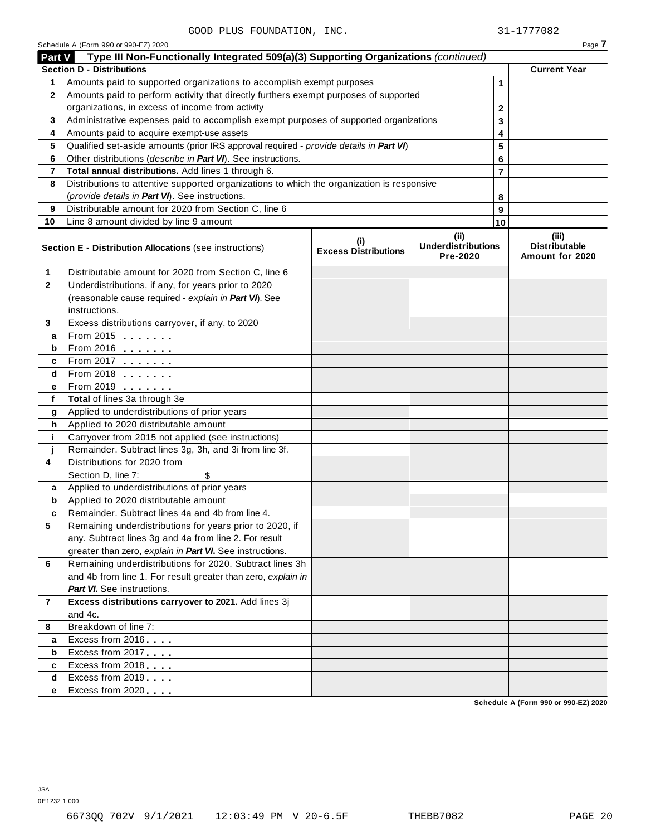Schedule A (Form 990 or 990-EZ) 2020 Page **7**

|                         | Part V Type III Non-Functionally Integrated 509(a)(3) Supporting Organizations (continued) |                                            |                                       |                |                                         |
|-------------------------|--------------------------------------------------------------------------------------------|--------------------------------------------|---------------------------------------|----------------|-----------------------------------------|
|                         | <b>Section D - Distributions</b>                                                           |                                            |                                       |                | <b>Current Year</b>                     |
| 1                       | Amounts paid to supported organizations to accomplish exempt purposes                      |                                            |                                       | $\mathbf{1}$   |                                         |
| $\mathbf{2}$            | Amounts paid to perform activity that directly furthers exempt purposes of supported       |                                            |                                       |                |                                         |
|                         | organizations, in excess of income from activity                                           |                                            | $\mathbf{2}$                          |                |                                         |
| 3                       | Administrative expenses paid to accomplish exempt purposes of supported organizations      | 3                                          |                                       |                |                                         |
| 4                       | Amounts paid to acquire exempt-use assets                                                  |                                            |                                       | 4              |                                         |
| 5                       | Qualified set-aside amounts (prior IRS approval required - provide details in Part VI)     |                                            |                                       | 5              |                                         |
| 6                       | Other distributions (describe in Part VI). See instructions.                               |                                            |                                       | 6              |                                         |
| 7                       | Total annual distributions. Add lines 1 through 6.                                         |                                            |                                       | $\overline{7}$ |                                         |
| 8                       | Distributions to attentive supported organizations to which the organization is responsive |                                            |                                       |                |                                         |
|                         | (provide details in Part VI). See instructions.                                            |                                            |                                       | 8              |                                         |
| 9                       | Distributable amount for 2020 from Section C, line 6                                       |                                            |                                       | 9              |                                         |
| 10                      | Line 8 amount divided by line 9 amount                                                     |                                            |                                       | 10             |                                         |
|                         |                                                                                            |                                            | (ii)                                  |                | (iii)                                   |
|                         | Section E - Distribution Allocations (see instructions)                                    | $\sf^{(i)}$<br><b>Excess Distributions</b> | <b>Underdistributions</b><br>Pre-2020 |                | <b>Distributable</b><br>Amount for 2020 |
| 1                       | Distributable amount for 2020 from Section C, line 6                                       |                                            |                                       |                |                                         |
| $\mathbf{2}$            | Underdistributions, if any, for years prior to 2020                                        |                                            |                                       |                |                                         |
|                         | (reasonable cause required - explain in Part VI). See                                      |                                            |                                       |                |                                         |
|                         | instructions.                                                                              |                                            |                                       |                |                                         |
| 3                       | Excess distributions carryover, if any, to 2020                                            |                                            |                                       |                |                                         |
| a                       | From 2015 <b></b>                                                                          |                                            |                                       |                |                                         |
| b                       |                                                                                            |                                            |                                       |                |                                         |
| c                       | From 2017                                                                                  |                                            |                                       |                |                                         |
| d                       | From 2018                                                                                  |                                            |                                       |                |                                         |
| е                       | From 2019                                                                                  |                                            |                                       |                |                                         |
| f                       | Total of lines 3a through 3e                                                               |                                            |                                       |                |                                         |
| g                       | Applied to underdistributions of prior years                                               |                                            |                                       |                |                                         |
| h                       | Applied to 2020 distributable amount                                                       |                                            |                                       |                |                                         |
| j.                      | Carryover from 2015 not applied (see instructions)                                         |                                            |                                       |                |                                         |
|                         | Remainder. Subtract lines 3g, 3h, and 3i from line 3f.                                     |                                            |                                       |                |                                         |
| 4                       | Distributions for 2020 from                                                                |                                            |                                       |                |                                         |
|                         | Section D, line 7:                                                                         |                                            |                                       |                |                                         |
| a                       | Applied to underdistributions of prior years                                               |                                            |                                       |                |                                         |
| b                       | Applied to 2020 distributable amount                                                       |                                            |                                       |                |                                         |
| c                       | Remainder. Subtract lines 4a and 4b from line 4.                                           |                                            |                                       |                |                                         |
| $\overline{\mathbf{5}}$ | Remaining underdistributions for years prior to 2020, if                                   |                                            |                                       |                |                                         |
|                         | any. Subtract lines 3g and 4a from line 2. For result                                      |                                            |                                       |                |                                         |
|                         | greater than zero, explain in Part VI. See instructions.                                   |                                            |                                       |                |                                         |
| 6                       | Remaining underdistributions for 2020. Subtract lines 3h                                   |                                            |                                       |                |                                         |
|                         | and 4b from line 1. For result greater than zero, explain in                               |                                            |                                       |                |                                         |
|                         | <b>Part VI.</b> See instructions.                                                          |                                            |                                       |                |                                         |
| 7                       | Excess distributions carryover to 2021. Add lines 3j                                       |                                            |                                       |                |                                         |
|                         | and 4c.                                                                                    |                                            |                                       |                |                                         |
| 8                       | Breakdown of line 7:                                                                       |                                            |                                       |                |                                         |
| a                       | Excess from 2016                                                                           |                                            |                                       |                |                                         |
| b                       | Excess from 2017                                                                           |                                            |                                       |                |                                         |
| c                       | Excess from 2018                                                                           |                                            |                                       |                |                                         |
| d                       | Excess from 2019                                                                           |                                            |                                       |                |                                         |
| е                       | Excess from 2020                                                                           |                                            |                                       |                |                                         |
|                         |                                                                                            |                                            |                                       |                | Schedule A (Form 990 or 990-EZ) 2020    |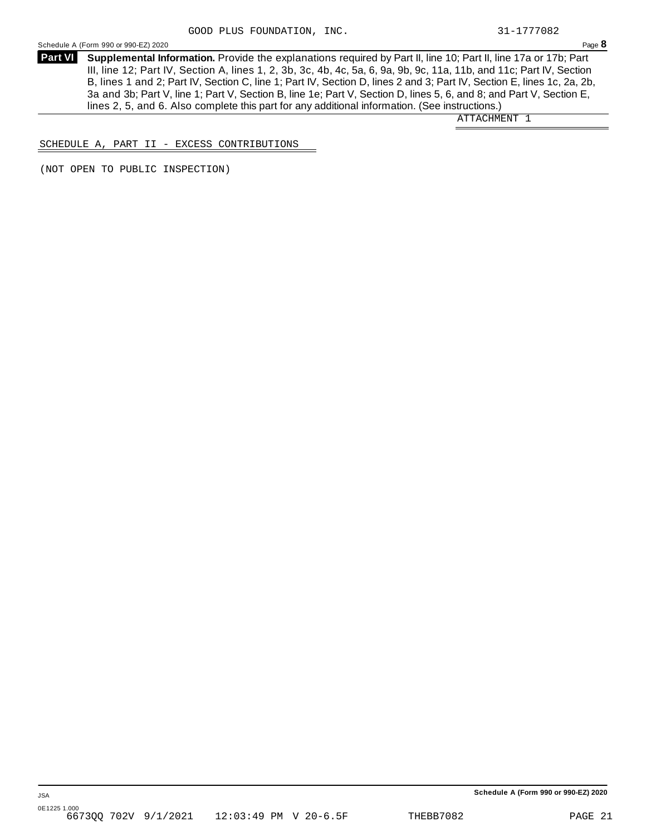Schedule A (Form 990 or 990-EZ) 2020 Page **8**

**Supplemental Information.** Provide the explanations required by Part II, line 10; Part II, line 17a or 17b; Part **Part VI**  III, line 12; Part IV, Section A, lines 1, 2, 3b, 3c, 4b, 4c, 5a, 6, 9a, 9b, 9c, 11a, 11b, and 11c; Part IV, Section B, lines 1 and 2; Part IV, Section C, line 1; Part IV, Section D, lines 2 and 3; Part IV, Section E, lines 1c, 2a, 2b, 3a and 3b; Part V, line 1; Part V, Section B, line 1e; Part V, Section D, lines 5, 6, and 8; and Part V, Section E, lines 2, 5, and 6. Also complete this part for any additional information. (See instructions.)

ATTACHMENT 1

SCHEDULE A, PART II - EXCESS CONTRIBUTIONS

(NOT OPEN TO PUBLIC INSPECTION)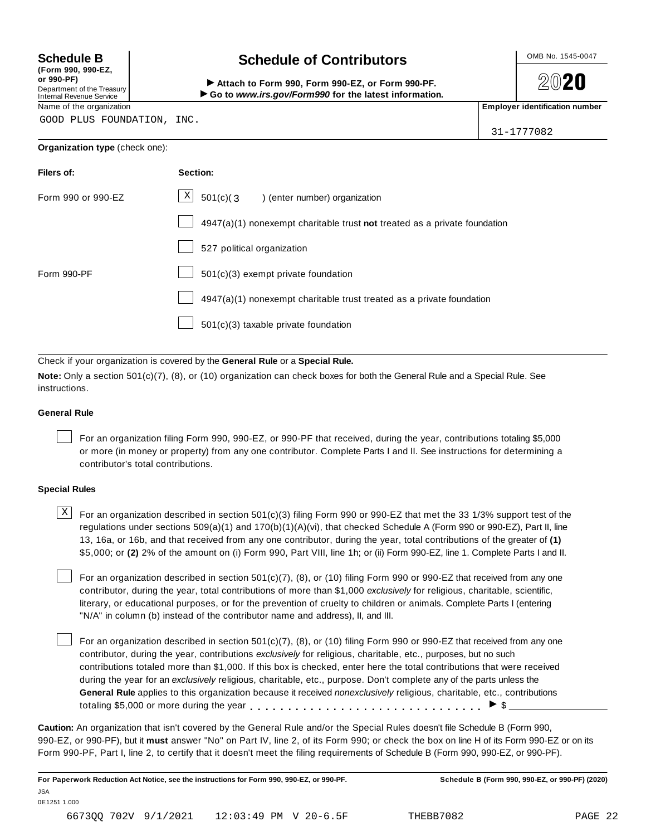**File** 

Fo

**(Form 990, 990-EZ, or 990-PF)** Department of the Treasury Internal Revenue Service

## Schedule B **Schedule of Contributors**

Attach to Form 990, Form 990-EZ, or Form 990-PF. ▶ Go to www.irs.gov/Form990 for the latest information.

**2020** 

31-1777082

Name of the organization **Employer identification number Employer identification number** 

GOOD PLUS FOUNDATION, INC.

| Organization type (check one): |  |
|--------------------------------|--|
|                                |  |

| Filers of:         | Section:                                                                    |
|--------------------|-----------------------------------------------------------------------------|
| Form 990 or 990-EZ | $\vert X \vert$<br>$501(c)(3)$ (enter number) organization                  |
|                    | $4947(a)(1)$ nonexempt charitable trust not treated as a private foundation |
|                    | 527 political organization                                                  |
| Form 990-PF        | $501(c)(3)$ exempt private foundation                                       |
|                    | 4947(a)(1) nonexempt charitable trust treated as a private foundation       |
|                    | $501(c)(3)$ taxable private foundation                                      |

Check if your organization is covered by the **General Rule** or a **Special Rule.**

**Note:** Only a section 501(c)(7), (8), or (10) organization can check boxes for both the General Rule and a Special Rule. See instructions.

#### **General Rule**

For an organization filing Form 990, 990-EZ, or 990-PF that received, during the year, contributions totaling \$5,000 or more (in money or property) from any one contributor. Complete Parts I and II. See instructions for determining a contributor's total contributions.

#### **Special Rules**

 $\text{X}$  For an organization described in section 501(c)(3) filing Form 990 or 990-EZ that met the 33 1/3% support test of the regulations under sections 509(a)(1) and 170(b)(1)(A)(vi), that checked Schedule A (Form 990 or 990-EZ), Part II, line 13, 16a, or 16b, and that received from any one contributor, during the year, total contributions of the greater of **(1)** \$5,000; or **(2)** 2% of the amount on (i) Form 990, Part VIII, line 1h; or (ii) Form 990-EZ, line 1. Complete Parts I and II.

For an organization described in section 501(c)(7), (8), or (10) filing Form 990 or 990-EZ that received from any one contributor, during the year, total contributions of more than \$1,000 *exclusively* for religious, charitable, scientific, literary, or educational purposes, or for the prevention of cruelty to children or animals. Complete Parts I (entering "N/A" in column (b) instead of the contributor name and address), II, and III.

For an organization described in section  $501(c)(7)$ ,  $(8)$ , or  $(10)$  filing Form 990 or 990-EZ that received from any one contributor, during the year, contributions *exclusively* for religious, charitable, etc., purposes, but no such contributions totaled more than \$1,000. If this box is checked, enter here the total contributions that were received during the year for an *exclusively* religious, charitable, etc., purpose. Don't complete any of the parts unless the **General Rule** applies to this organization because it received *nonexclusively* religious, charitable, etc., contributions totaling \$5,000 or more during the year m m m m m m m m m m m m m m m m m m m m m m m m m m m m m m m <sup>I</sup> \$

**Caution:** An organization that isn't covered by the General Rule and/or the Special Rules doesn't file Schedule B (Form 990, 990-EZ, or 990-PF), but it **must** answer "No" on Part IV, line 2, of its Form 990; or check the box on line H of its Form 990-EZ or on its Form 990-PF, Part I, line 2, to certify that it doesn't meet the filing requirements of Schedule B (Form 990, 990-EZ, or 990-PF).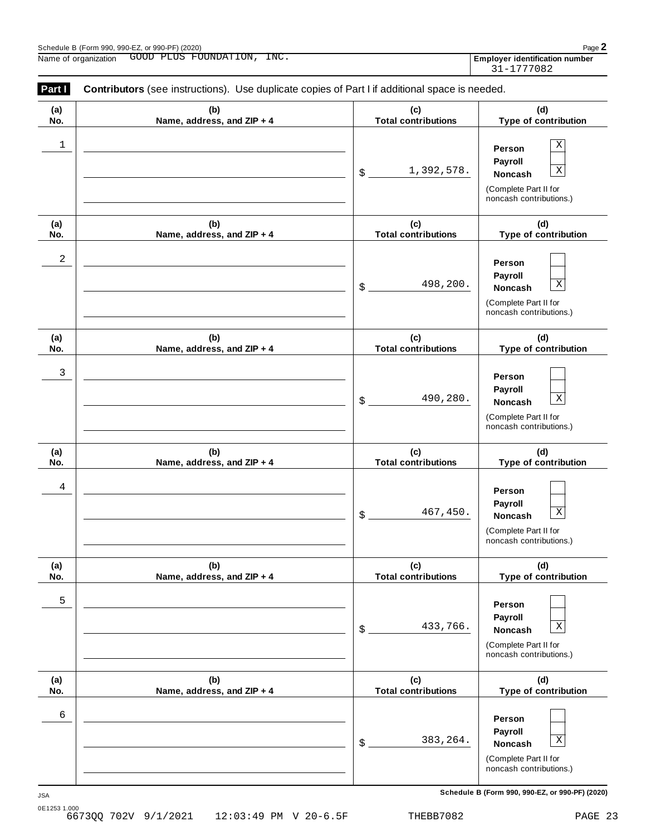| Schedule B (Form 990, 990-EZ, or 990-PF) (2020) |                                        |                                     |  |  |  |
|-------------------------------------------------|----------------------------------------|-------------------------------------|--|--|--|
| $\ddot{\phantom{1}}$<br>Name of<br>organization | INC.<br>GOOD<br>ON<br>FOUNDAT<br>PLUS. | ∶ identification number<br>Emplover |  |  |  |

| Part I     | <b>Contributors</b> (see instructions). Use duplicate copies of Part I if additional space is needed. |                                   |                                                                                                                |
|------------|-------------------------------------------------------------------------------------------------------|-----------------------------------|----------------------------------------------------------------------------------------------------------------|
| (a)<br>No. | (b)<br>Name, address, and ZIP + 4                                                                     | (c)<br><b>Total contributions</b> | (d)<br>Type of contribution                                                                                    |
| 1          |                                                                                                       | 1,392,578.<br>\$                  | $\mathbf X$<br>Person<br>Payroll<br>$\mathbf X$<br>Noncash<br>(Complete Part II for<br>noncash contributions.) |
| (a)<br>No. | (b)<br>Name, address, and ZIP + 4                                                                     | (c)<br><b>Total contributions</b> | (d)<br>Type of contribution                                                                                    |
| 2          |                                                                                                       | 498,200.<br>\$                    | Person<br>Payroll<br>$\mathbf X$<br>Noncash<br>(Complete Part II for<br>noncash contributions.)                |
| (a)<br>No. | (b)<br>Name, address, and ZIP + 4                                                                     | (c)<br><b>Total contributions</b> | (d)<br>Type of contribution                                                                                    |
| 3          |                                                                                                       | 490,280.<br>\$                    | Person<br>Payroll<br>$\mathbf X$<br>Noncash<br>(Complete Part II for<br>noncash contributions.)                |
| (a)<br>No. | (b)<br>Name, address, and ZIP + 4                                                                     | (c)<br><b>Total contributions</b> | (d)<br>Type of contribution                                                                                    |
| 4          |                                                                                                       | 467,450.<br>\$                    | Person<br>Payroll<br>$\overline{\textbf{X}}$<br>Noncash<br>(Complete Part II for<br>noncash contributions.)    |
| (a)<br>No. | (b)<br>Name, address, and ZIP + 4                                                                     | (c)<br><b>Total contributions</b> | (d)<br>Type of contribution                                                                                    |
| 5          |                                                                                                       | 433,766.<br>\$                    | Person<br>Payroll<br>$\mathbf X$<br>Noncash<br>(Complete Part II for<br>noncash contributions.)                |
| (a)<br>No. | (b)<br>Name, address, and ZIP + 4                                                                     | (c)<br><b>Total contributions</b> | (d)<br>Type of contribution                                                                                    |
| 6          |                                                                                                       | 383, 264.<br>\$                   | Person<br>Payroll<br>$\mathbf X$<br>Noncash<br>(Complete Part II for<br>noncash contributions.)                |

**Schedule B (Form 990, 990-EZ, or 990-PF) (2020)** JSA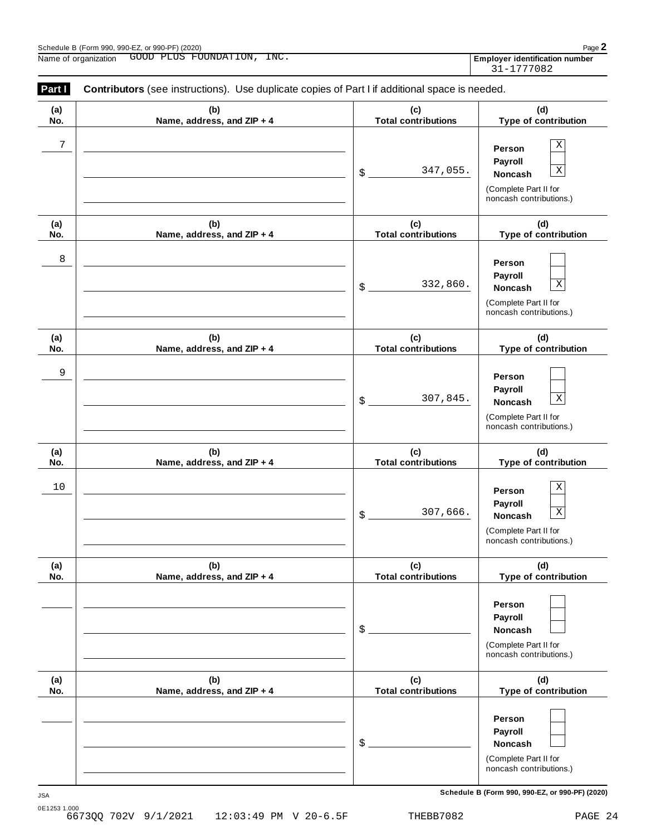| Schedule B (Form 990, 990-EZ, or 990-PF) (2020)<br>Page |              |                  |      |  |                                     |
|---------------------------------------------------------|--------------|------------------|------|--|-------------------------------------|
| Name of<br>, organization                               | GOOD<br>PLUS | FOUNDA'<br>1 O.N | INC. |  | r identification number<br>Emplover |

| Part I     | <b>Contributors</b> (see instructions). Use duplicate copies of Part I if additional space is needed. |                                   |                                                                                                                  |
|------------|-------------------------------------------------------------------------------------------------------|-----------------------------------|------------------------------------------------------------------------------------------------------------------|
| (a)<br>No. | (b)<br>Name, address, and ZIP + 4                                                                     | (c)<br><b>Total contributions</b> | (d)<br>Type of contribution                                                                                      |
| 7          |                                                                                                       | 347,055.<br>\$                    | Χ<br>Person<br>Payroll<br>$\mathbf X$<br>Noncash<br>(Complete Part II for<br>noncash contributions.)             |
| (a)<br>No. | (b)<br>Name, address, and ZIP + 4                                                                     | (c)<br><b>Total contributions</b> | (d)<br>Type of contribution                                                                                      |
| 8          |                                                                                                       | 332,860.<br>\$                    | Person<br>Payroll<br>$\mathbf X$<br>Noncash<br>(Complete Part II for<br>noncash contributions.)                  |
| (a)<br>No. | (b)<br>Name, address, and ZIP + 4                                                                     | (c)<br><b>Total contributions</b> | (d)<br>Type of contribution                                                                                      |
| 9          |                                                                                                       | 307,845.<br>\$                    | Person<br>Payroll<br>$\mathbf X$<br>Noncash<br>(Complete Part II for<br>noncash contributions.)                  |
| (a)<br>No. | (b)<br>Name, address, and ZIP + 4                                                                     | (c)<br><b>Total contributions</b> | (d)<br>Type of contribution                                                                                      |
| 10         |                                                                                                       | 307,666.<br>\$                    | Χ<br>Person<br>Payroll<br>$\overline{\mathbf{X}}$<br>Noncash<br>(Complete Part II for<br>noncash contributions.) |
| (a)<br>No. | (b)<br>Name, address, and ZIP + 4                                                                     | (c)<br><b>Total contributions</b> | (d)<br>Type of contribution                                                                                      |
|            |                                                                                                       | \$                                | Person<br>Payroll<br>Noncash<br>(Complete Part II for<br>noncash contributions.)                                 |
| (a)<br>No. | (b)<br>Name, address, and ZIP + 4                                                                     | (c)<br><b>Total contributions</b> | (d)<br>Type of contribution                                                                                      |
|            |                                                                                                       | \$                                | Person<br>Payroll<br>Noncash<br>(Complete Part II for<br>noncash contributions.)                                 |

**Schedule B (Form 990, 990-EZ, or 990-PF) (2020)** JSA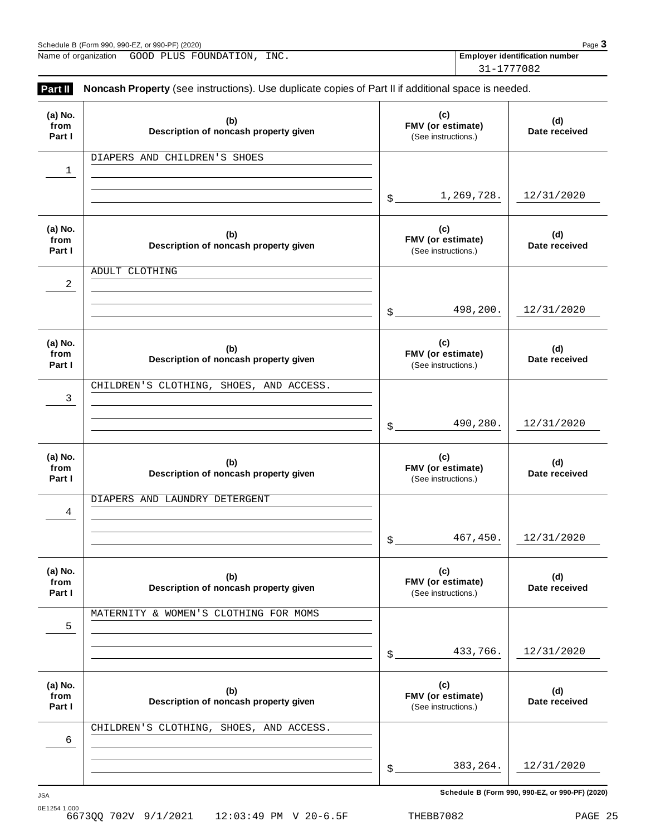| Page 3<br>Schedule B (Form 990, 990-EZ, or 990-PF) (2020) |                            |                                       |  |  |            |  |
|-----------------------------------------------------------|----------------------------|---------------------------------------|--|--|------------|--|
| Name of organization                                      | GOOD PLUS FOUNDATION, INC. | <b>Employer identification number</b> |  |  |            |  |
|                                                           |                            |                                       |  |  | 31-1777082 |  |

| Part II                   | Noncash Property (see instructions). Use duplicate copies of Part II if additional space is needed. |                                                 |                      |
|---------------------------|-----------------------------------------------------------------------------------------------------|-------------------------------------------------|----------------------|
| (a) No.<br>from<br>Part I | (b)<br>Description of noncash property given                                                        | (c)<br>FMV (or estimate)<br>(See instructions.) | (d)<br>Date received |
| ı                         | DIAPERS AND CHILDREN'S SHOES                                                                        |                                                 |                      |
|                           |                                                                                                     | 1,269,728.<br>$$^{\circ}$                       | 12/31/2020           |
| (a) No.<br>from<br>Part I | (b)<br>Description of noncash property given                                                        | (c)<br>FMV (or estimate)<br>(See instructions.) | (d)<br>Date received |
| 2                         | ADULT CLOTHING                                                                                      |                                                 |                      |
|                           |                                                                                                     | 498,200.<br>$\mathcal{L}$                       | 12/31/2020           |
| (a) No.<br>from<br>Part I | (b)<br>Description of noncash property given                                                        | (c)<br>FMV (or estimate)<br>(See instructions.) | (d)<br>Date received |
| 3                         | CHILDREN'S CLOTHING, SHOES, AND ACCESS.                                                             |                                                 |                      |
|                           |                                                                                                     | 490,280.<br>$\mathcal{L}$                       | 12/31/2020           |
| (a) No.<br>from<br>Part I | (b)<br>Description of noncash property given                                                        | (c)<br>FMV (or estimate)<br>(See instructions.) | (d)<br>Date received |
| 4                         | DIAPERS AND LAUNDRY DETERGENT                                                                       |                                                 |                      |
|                           |                                                                                                     | 467,450.<br>\$                                  | 12/31/2020           |
| (a) No.<br>from<br>Part I | (b)<br>Description of noncash property given                                                        | (c)<br>FMV (or estimate)<br>(See instructions.) | (d)<br>Date received |
| 5                         | MATERNITY & WOMEN'S CLOTHING FOR MOMS                                                               |                                                 |                      |
|                           |                                                                                                     | 433,766.<br>\$                                  | 12/31/2020           |
| (a) No.<br>from<br>Part I | (b)<br>Description of noncash property given                                                        | (c)<br>FMV (or estimate)<br>(See instructions.) | (d)<br>Date received |
| 6                         | CHILDREN'S CLOTHING, SHOES, AND ACCESS.                                                             |                                                 |                      |
|                           |                                                                                                     | 383, 264.<br>\$                                 | 12/31/2020           |
|                           |                                                                                                     |                                                 |                      |

**Schedule B (Form 990, 990-EZ, or 990-PF) (2020)** JSA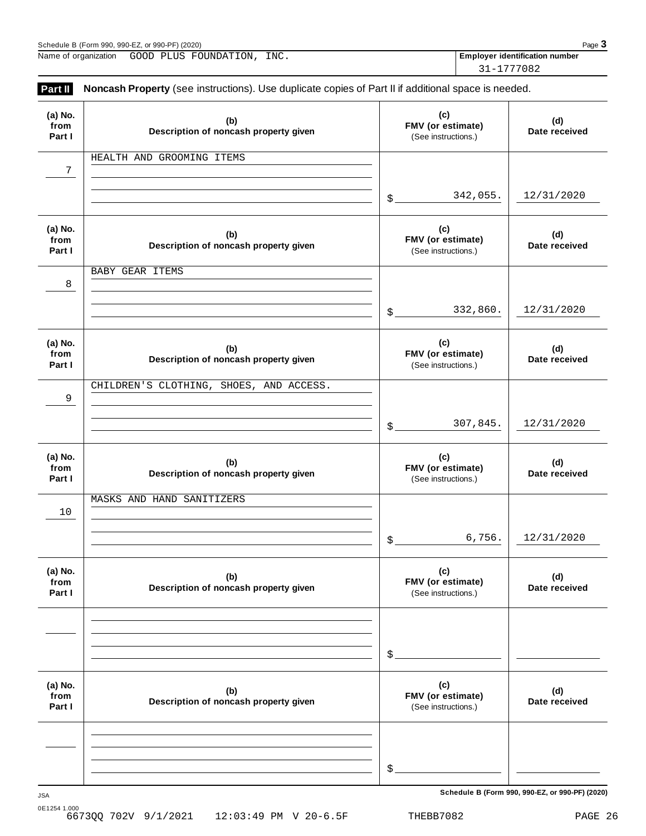| Page 3<br>Schedule B (Form 990, 990-EZ, or 990-PF) (2020) |  |                            |  |                                       |  |
|-----------------------------------------------------------|--|----------------------------|--|---------------------------------------|--|
| Name of organization                                      |  | GOOD PLUS FOUNDATION, INC. |  | <b>Employer identification number</b> |  |
|                                                           |  |                            |  | 31-1777082                            |  |

| (a) No.<br>from<br>Part I | (b)<br>Description of noncash property given | (c)<br>FMV (or estimate)<br>(See instructions.) | (d)<br>Date received |
|---------------------------|----------------------------------------------|-------------------------------------------------|----------------------|
| $\overline{7}$            | HEALTH AND GROOMING ITEMS                    |                                                 |                      |
|                           |                                              | 342,055.<br>$\mathcal{S}_{-}$                   | 12/31/2020           |
| (a) No.<br>from<br>Part I | (b)<br>Description of noncash property given | (c)<br>FMV (or estimate)<br>(See instructions.) | (d)<br>Date received |
| 8                         | BABY GEAR ITEMS                              |                                                 |                      |
|                           |                                              | 332,860.<br>\$                                  | 12/31/2020           |
| (a) No.<br>from<br>Part I | (b)<br>Description of noncash property given | (c)<br>FMV (or estimate)<br>(See instructions.) | (d)<br>Date received |
| 9                         | CHILDREN'S CLOTHING, SHOES, AND ACCESS.      |                                                 |                      |
|                           |                                              | 307,845.<br>\$                                  | 12/31/2020           |
| (a) No.<br>from<br>Part I | (b)<br>Description of noncash property given | (c)<br>FMV (or estimate)<br>(See instructions.) | (d)<br>Date received |
| 10                        | MASKS AND HAND SANITIZERS                    |                                                 |                      |
|                           |                                              | 6,756.<br>$$$ .                                 | 12/31/2020           |
| (a) No.<br>from<br>Part I | (b)<br>Description of noncash property given | (c)<br>FMV (or estimate)<br>(See instructions.) | (d)<br>Date received |
|                           |                                              |                                                 |                      |
|                           |                                              | \$                                              |                      |
| (a) No.<br>from<br>Part I | (b)<br>Description of noncash property given | (c)<br>FMV (or estimate)<br>(See instructions.) | (d)<br>Date received |
|                           |                                              |                                                 |                      |
|                           |                                              | \$                                              |                      |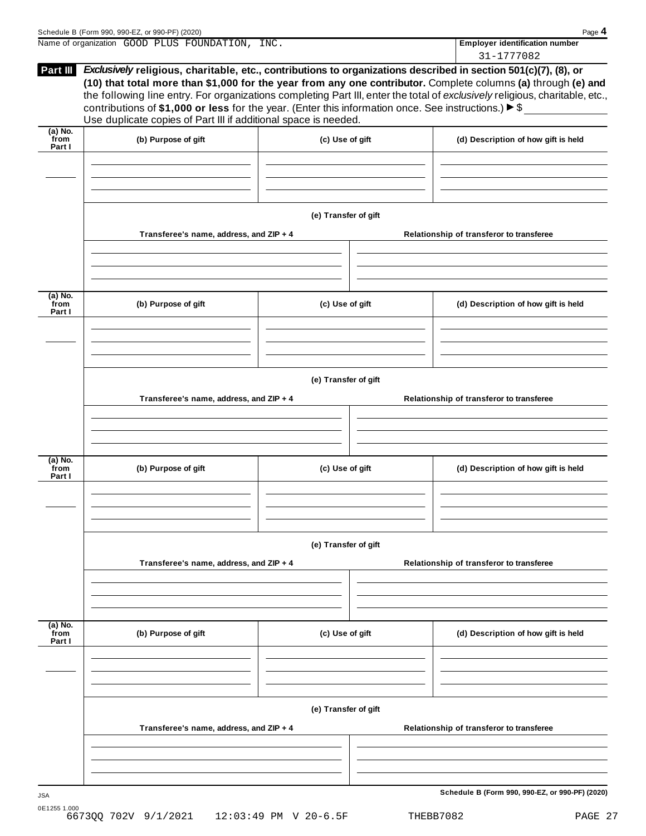|                             | Schedule B (Form 990, 990-EZ, or 990-PF) (2020)                                                                                                                                                                                                                                                                                                                                                                                                                                                                                                            |                      | Page 4                                              |
|-----------------------------|------------------------------------------------------------------------------------------------------------------------------------------------------------------------------------------------------------------------------------------------------------------------------------------------------------------------------------------------------------------------------------------------------------------------------------------------------------------------------------------------------------------------------------------------------------|----------------------|-----------------------------------------------------|
|                             | Name of organization GOOD PLUS FOUNDATION, INC.                                                                                                                                                                                                                                                                                                                                                                                                                                                                                                            |                      | <b>Employer identification number</b><br>31-1777082 |
| Part III                    | Exclusively religious, charitable, etc., contributions to organizations described in section 501(c)(7), (8), or<br>(10) that total more than \$1,000 for the year from any one contributor. Complete columns (a) through (e) and<br>the following line entry. For organizations completing Part III, enter the total of exclusively religious, charitable, etc.,<br>contributions of \$1,000 or less for the year. (Enter this information once. See instructions.) $\triangleright$ \$<br>Use duplicate copies of Part III if additional space is needed. |                      |                                                     |
| $(a)$ No.<br>from<br>Part I | (b) Purpose of gift                                                                                                                                                                                                                                                                                                                                                                                                                                                                                                                                        | (c) Use of gift      | (d) Description of how gift is held                 |
|                             |                                                                                                                                                                                                                                                                                                                                                                                                                                                                                                                                                            |                      |                                                     |
|                             | Transferee's name, address, and ZIP + 4                                                                                                                                                                                                                                                                                                                                                                                                                                                                                                                    | (e) Transfer of gift | Relationship of transferor to transferee            |
|                             |                                                                                                                                                                                                                                                                                                                                                                                                                                                                                                                                                            |                      |                                                     |
| (a) No.<br>from<br>Part I   | (b) Purpose of gift                                                                                                                                                                                                                                                                                                                                                                                                                                                                                                                                        | (c) Use of gift      | (d) Description of how gift is held                 |
|                             |                                                                                                                                                                                                                                                                                                                                                                                                                                                                                                                                                            |                      |                                                     |
|                             | Transferee's name, address, and ZIP + 4                                                                                                                                                                                                                                                                                                                                                                                                                                                                                                                    | (e) Transfer of gift | Relationship of transferor to transferee            |
|                             |                                                                                                                                                                                                                                                                                                                                                                                                                                                                                                                                                            |                      |                                                     |
| (a) No.<br>from<br>Part I   | (b) Purpose of gift                                                                                                                                                                                                                                                                                                                                                                                                                                                                                                                                        | (c) Use of gift      | (d) Description of how gift is held                 |
|                             |                                                                                                                                                                                                                                                                                                                                                                                                                                                                                                                                                            |                      |                                                     |
|                             | Transferee's name, address, and ZIP + 4                                                                                                                                                                                                                                                                                                                                                                                                                                                                                                                    | (e) Transfer of gift | Relationship of transferor to transferee            |
|                             |                                                                                                                                                                                                                                                                                                                                                                                                                                                                                                                                                            |                      |                                                     |
| $(a)$ No.<br>from<br>Part I | (b) Purpose of gift                                                                                                                                                                                                                                                                                                                                                                                                                                                                                                                                        | (c) Use of gift      | (d) Description of how gift is held                 |
|                             |                                                                                                                                                                                                                                                                                                                                                                                                                                                                                                                                                            |                      |                                                     |
|                             |                                                                                                                                                                                                                                                                                                                                                                                                                                                                                                                                                            | (e) Transfer of gift |                                                     |
|                             | Transferee's name, address, and ZIP + 4                                                                                                                                                                                                                                                                                                                                                                                                                                                                                                                    |                      | Relationship of transferor to transferee            |
|                             |                                                                                                                                                                                                                                                                                                                                                                                                                                                                                                                                                            |                      |                                                     |
|                             |                                                                                                                                                                                                                                                                                                                                                                                                                                                                                                                                                            |                      | Schedule B (Form 990, 990-EZ, or 990-PF) (2020)     |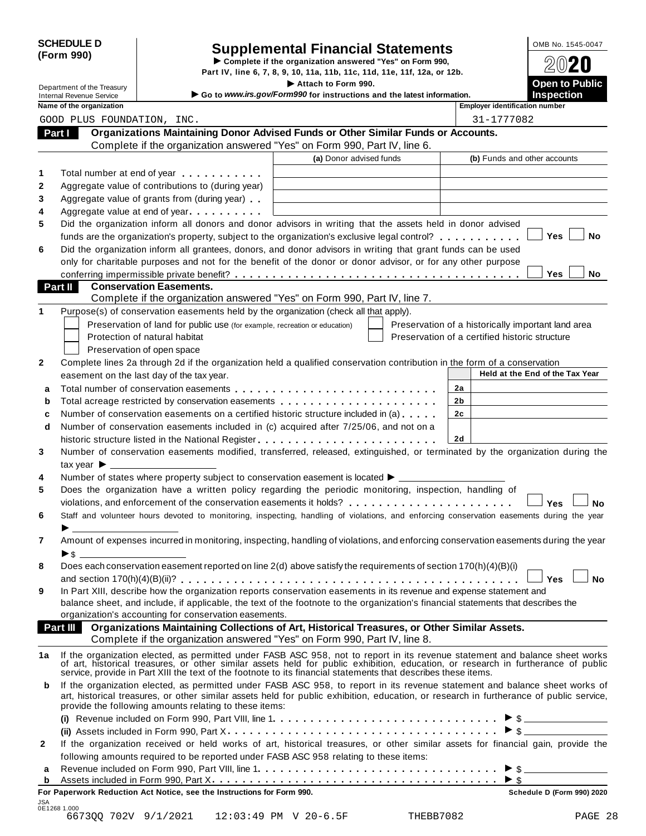| <b>SCHEDULE D</b> |  |
|-------------------|--|
| (Form 990)        |  |

# CHEDULE D<br> **Supplemental Financial Statements**<br> **Form 990) Complete if the organization answered "Yes" on Form 990,**  $\textcircled{2020}$

**Part IV, line 6, 7, 8, 9, 10, 11a, 11b, 11c, 11d, 11e, 11f, 12a, or 12b.** <br>Attach to Form 990. <br>**Part in Public** Part IV, line 6, 7, 8, 9, 10, 11a, 11b, 11c, 11d, 11e, 11f, 12a, or 12b.<br> **Department of the Treasury Open to Public Containers and the Intervalsion of the Intervalsion of the Intervalsion of the Intervalsion of the Inte** 

|  | ime of the organization |  |
|--|-------------------------|--|

| <b>Internal Revenue Service</b>                            |                                                                                                                | Attach to Form 990.                                                                                                                                                                                                                                               |                                                    | <b>Open to Public</b>           |
|------------------------------------------------------------|----------------------------------------------------------------------------------------------------------------|-------------------------------------------------------------------------------------------------------------------------------------------------------------------------------------------------------------------------------------------------------------------|----------------------------------------------------|---------------------------------|
| Name of the organization                                   |                                                                                                                | Go to www.irs.gov/Form990 for instructions and the latest information.                                                                                                                                                                                            | <b>Employer identification number</b>              | <b>Inspection</b>               |
| GOOD PLUS FOUNDATION, INC.                                 |                                                                                                                |                                                                                                                                                                                                                                                                   | 31-1777082                                         |                                 |
|                                                            |                                                                                                                | Organizations Maintaining Donor Advised Funds or Other Similar Funds or Accounts.                                                                                                                                                                                 |                                                    |                                 |
| Part I                                                     |                                                                                                                | Complete if the organization answered "Yes" on Form 990, Part IV, line 6.                                                                                                                                                                                         |                                                    |                                 |
|                                                            |                                                                                                                | (a) Donor advised funds                                                                                                                                                                                                                                           | (b) Funds and other accounts                       |                                 |
| 1                                                          |                                                                                                                |                                                                                                                                                                                                                                                                   |                                                    |                                 |
| 2                                                          | Total number at end of year example.                                                                           |                                                                                                                                                                                                                                                                   |                                                    |                                 |
|                                                            | Aggregate value of contributions to (during year)                                                              |                                                                                                                                                                                                                                                                   |                                                    |                                 |
|                                                            | Aggregate value of grants from (during year)                                                                   |                                                                                                                                                                                                                                                                   |                                                    |                                 |
|                                                            | Aggregate value at end of year example and a set of the set of the set of the set of the set of the set of the |                                                                                                                                                                                                                                                                   |                                                    |                                 |
|                                                            |                                                                                                                | Did the organization inform all donors and donor advisors in writing that the assets held in donor advised                                                                                                                                                        |                                                    | Yes<br>No                       |
|                                                            |                                                                                                                | funds are the organization's property, subject to the organization's exclusive legal control?                                                                                                                                                                     |                                                    |                                 |
|                                                            |                                                                                                                | Did the organization inform all grantees, donors, and donor advisors in writing that grant funds can be used<br>only for charitable purposes and not for the benefit of the donor or donor advisor, or for any other purpose                                      |                                                    |                                 |
|                                                            |                                                                                                                |                                                                                                                                                                                                                                                                   |                                                    | Yes<br>No                       |
| Part II                                                    | <b>Conservation Easements.</b>                                                                                 |                                                                                                                                                                                                                                                                   |                                                    |                                 |
|                                                            |                                                                                                                | Complete if the organization answered "Yes" on Form 990, Part IV, line 7.                                                                                                                                                                                         |                                                    |                                 |
|                                                            |                                                                                                                | Purpose(s) of conservation easements held by the organization (check all that apply).                                                                                                                                                                             |                                                    |                                 |
|                                                            | Preservation of land for public use (for example, recreation or education)                                     |                                                                                                                                                                                                                                                                   | Preservation of a historically important land area |                                 |
|                                                            | Protection of natural habitat                                                                                  |                                                                                                                                                                                                                                                                   | Preservation of a certified historic structure     |                                 |
|                                                            | Preservation of open space                                                                                     |                                                                                                                                                                                                                                                                   |                                                    |                                 |
|                                                            |                                                                                                                | Complete lines 2a through 2d if the organization held a qualified conservation contribution in the form of a conservation                                                                                                                                         |                                                    |                                 |
|                                                            | easement on the last day of the tax year.                                                                      |                                                                                                                                                                                                                                                                   |                                                    | Held at the End of the Tax Year |
| a                                                          |                                                                                                                | Total number of conservation easements                                                                                                                                                                                                                            | 2a                                                 |                                 |
| b                                                          |                                                                                                                | Total acreage restricted by conservation easements                                                                                                                                                                                                                | 2 <sub>b</sub>                                     |                                 |
| c                                                          |                                                                                                                | Number of conservation easements on a certified historic structure included in (a)                                                                                                                                                                                | 2c                                                 |                                 |
| d                                                          |                                                                                                                | Number of conservation easements included in (c) acquired after 7/25/06, and not on a                                                                                                                                                                             |                                                    |                                 |
|                                                            |                                                                                                                | historic structure listed in the National Register                                                                                                                                                                                                                | 2d                                                 |                                 |
|                                                            |                                                                                                                | Number of conservation easements modified, transferred, released, extinguished, or terminated by the organization during the                                                                                                                                      |                                                    |                                 |
| $\mathsf{tax}$ year $\blacktriangleright$ ________________ |                                                                                                                |                                                                                                                                                                                                                                                                   |                                                    |                                 |
|                                                            |                                                                                                                | Number of states where property subject to conservation easement is located $\blacktriangleright$ _________                                                                                                                                                       |                                                    |                                 |
|                                                            |                                                                                                                | Does the organization have a written policy regarding the periodic monitoring, inspection, handling of                                                                                                                                                            |                                                    |                                 |
|                                                            |                                                                                                                | violations, and enforcement of the conservation easements it holds?                                                                                                                                                                                               |                                                    | <b>No</b><br><b>Yes</b>         |
|                                                            |                                                                                                                |                                                                                                                                                                                                                                                                   |                                                    |                                 |
|                                                            |                                                                                                                |                                                                                                                                                                                                                                                                   |                                                    |                                 |
|                                                            |                                                                                                                | Staff and volunteer hours devoted to monitoring, inspecting, handling of violations, and enforcing conservation easements during the year                                                                                                                         |                                                    |                                 |
|                                                            |                                                                                                                |                                                                                                                                                                                                                                                                   |                                                    |                                 |
|                                                            |                                                                                                                | Amount of expenses incurred in monitoring, inspecting, handling of violations, and enforcing conservation easements during the year                                                                                                                               |                                                    |                                 |
| ▶\$                                                        |                                                                                                                |                                                                                                                                                                                                                                                                   |                                                    |                                 |
|                                                            |                                                                                                                | Does each conservation easement reported on line 2(d) above satisfy the requirements of section 170(h)(4)(B)(i)                                                                                                                                                   |                                                    | <b>No</b>                       |
|                                                            |                                                                                                                |                                                                                                                                                                                                                                                                   |                                                    | Yes l                           |
|                                                            |                                                                                                                | In Part XIII, describe how the organization reports conservation easements in its revenue and expense statement and                                                                                                                                               |                                                    |                                 |
|                                                            | organization's accounting for conservation easements.                                                          | balance sheet, and include, if applicable, the text of the footnote to the organization's financial statements that describes the                                                                                                                                 |                                                    |                                 |
|                                                            |                                                                                                                | Organizations Maintaining Collections of Art, Historical Treasures, or Other Similar Assets.                                                                                                                                                                      |                                                    |                                 |
|                                                            |                                                                                                                | Complete if the organization answered "Yes" on Form 990, Part IV, line 8.                                                                                                                                                                                         |                                                    |                                 |
|                                                            |                                                                                                                |                                                                                                                                                                                                                                                                   |                                                    |                                 |
|                                                            |                                                                                                                | If the organization elected, as permitted under FASB ASC 958, not to report in its revenue statement and balance sheet works<br>of art, historical treasures, or other similar assets held for public exhibition, education, or research in furtherance of public |                                                    |                                 |
|                                                            |                                                                                                                | service, provide in Part XIII the text of the footnote to its financial statements that describes these items.                                                                                                                                                    |                                                    |                                 |
|                                                            |                                                                                                                | If the organization elected, as permitted under FASB ASC 958, to report in its revenue statement and balance sheet works of                                                                                                                                       |                                                    |                                 |
|                                                            |                                                                                                                | art, historical treasures, or other similar assets held for public exhibition, education, or research in furtherance of public service,                                                                                                                           |                                                    |                                 |
|                                                            | provide the following amounts relating to these items:                                                         |                                                                                                                                                                                                                                                                   |                                                    |                                 |
|                                                            |                                                                                                                |                                                                                                                                                                                                                                                                   |                                                    |                                 |
|                                                            |                                                                                                                |                                                                                                                                                                                                                                                                   |                                                    |                                 |
|                                                            |                                                                                                                | If the organization received or held works of art, historical treasures, or other similar assets for financial gain, provide the                                                                                                                                  |                                                    |                                 |
|                                                            |                                                                                                                | following amounts required to be reported under FASB ASC 958 relating to these items:                                                                                                                                                                             |                                                    | $\triangleright$ \$             |
| 7<br>Part III<br>1a<br>b<br>$\mathbf{2}$<br>а<br>b         |                                                                                                                | Revenue included on Form 990, Part VIII, line 1                                                                                                                                                                                                                   | $\triangleright$ \$                                | $\triangleright$ \$             |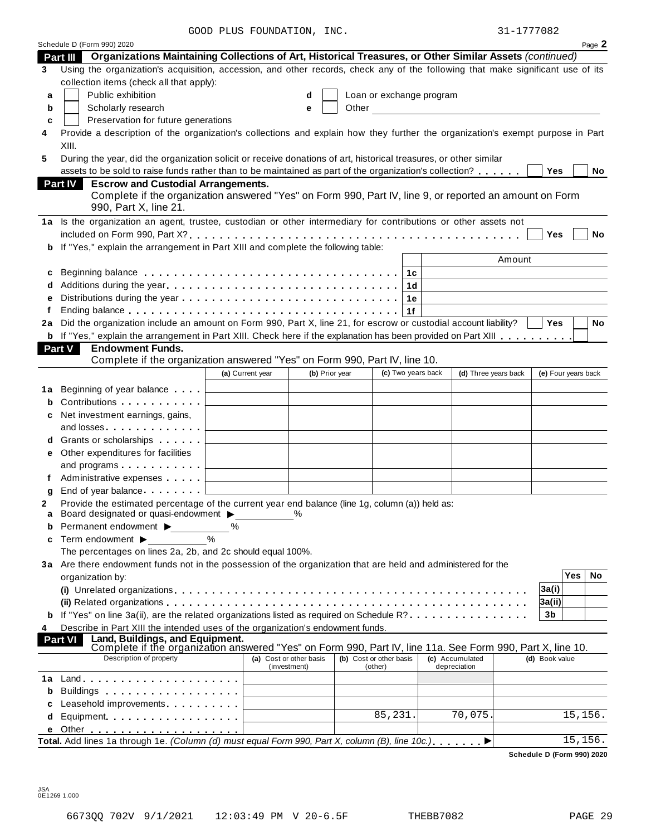GOOD PLUS FOUNDATION, INC.

| 31-1777082 |  |
|------------|--|
|------------|--|

|        | Schedule D (Form 990) 2020                                                                                                                                                                                                     | GOOD FOOD FOONDAIION, INC. |                                         |                |                                    |                    |                                                                                                                      | Page 2                     |
|--------|--------------------------------------------------------------------------------------------------------------------------------------------------------------------------------------------------------------------------------|----------------------------|-----------------------------------------|----------------|------------------------------------|--------------------|----------------------------------------------------------------------------------------------------------------------|----------------------------|
|        | Part III Organizations Maintaining Collections of Art, Historical Treasures, or Other Similar Assets (continued)                                                                                                               |                            |                                         |                |                                    |                    |                                                                                                                      |                            |
| 3      | Using the organization's acquisition, accession, and other records, check any of the following that make significant use of its                                                                                                |                            |                                         |                |                                    |                    |                                                                                                                      |                            |
|        | collection items (check all that apply):                                                                                                                                                                                       |                            |                                         |                |                                    |                    |                                                                                                                      |                            |
| a      | Public exhibition                                                                                                                                                                                                              |                            | d                                       |                | Loan or exchange program           |                    |                                                                                                                      |                            |
| b      | Scholarly research                                                                                                                                                                                                             |                            | е                                       | Other          |                                    |                    | <u> 1980 - Jan Stein Stein Stein Stein Stein Stein Stein Stein Stein Stein Stein Stein Stein Stein Stein Stein S</u> |                            |
| c      | Preservation for future generations                                                                                                                                                                                            |                            |                                         |                |                                    |                    |                                                                                                                      |                            |
| 4      | Provide a description of the organization's collections and explain how they further the organization's exempt purpose in Part                                                                                                 |                            |                                         |                |                                    |                    |                                                                                                                      |                            |
|        | XIII.                                                                                                                                                                                                                          |                            |                                         |                |                                    |                    |                                                                                                                      |                            |
| 5      | During the year, did the organization solicit or receive donations of art, historical treasures, or other similar                                                                                                              |                            |                                         |                |                                    |                    |                                                                                                                      |                            |
|        | assets to be sold to raise funds rather than to be maintained as part of the organization's collection?                                                                                                                        |                            |                                         |                |                                    |                    |                                                                                                                      | <b>Yes</b><br>No           |
|        | <b>Escrow and Custodial Arrangements.</b><br><b>Part IV</b>                                                                                                                                                                    |                            |                                         |                |                                    |                    |                                                                                                                      |                            |
|        | Complete if the organization answered "Yes" on Form 990, Part IV, line 9, or reported an amount on Form                                                                                                                        |                            |                                         |                |                                    |                    |                                                                                                                      |                            |
|        | 990, Part X, line 21.                                                                                                                                                                                                          |                            |                                         |                |                                    |                    |                                                                                                                      |                            |
|        | 1a Is the organization an agent, trustee, custodian or other intermediary for contributions or other assets not                                                                                                                |                            |                                         |                |                                    |                    |                                                                                                                      |                            |
|        |                                                                                                                                                                                                                                |                            |                                         |                |                                    |                    |                                                                                                                      | <b>No</b><br>Yes           |
| b      | If "Yes," explain the arrangement in Part XIII and complete the following table:                                                                                                                                               |                            |                                         |                |                                    |                    |                                                                                                                      |                            |
|        |                                                                                                                                                                                                                                |                            |                                         |                |                                    |                    | Amount                                                                                                               |                            |
| c      | Beginning balance enterpreteration of the contract of the contract of the contract of the contract of the contract of the contract of the contract of the contract of the contract of the contract of the contract of the cont |                            |                                         |                |                                    | 1c                 |                                                                                                                      |                            |
| d      |                                                                                                                                                                                                                                |                            |                                         |                |                                    | 1d                 |                                                                                                                      |                            |
| e<br>f |                                                                                                                                                                                                                                |                            |                                         |                |                                    | 1е                 |                                                                                                                      |                            |
| 2a     | Did the organization include an amount on Form 990, Part X, line 21, for escrow or custodial account liability?                                                                                                                |                            |                                         |                |                                    | 1f                 |                                                                                                                      | No<br>Yes                  |
| b      | If "Yes," explain the arrangement in Part XIII. Check here if the explanation has been provided on Part XIII                                                                                                                   |                            |                                         |                |                                    |                    |                                                                                                                      |                            |
|        | Part V<br><b>Endowment Funds.</b>                                                                                                                                                                                              |                            |                                         |                |                                    |                    |                                                                                                                      |                            |
|        | Complete if the organization answered "Yes" on Form 990, Part IV, line 10.                                                                                                                                                     |                            |                                         |                |                                    |                    |                                                                                                                      |                            |
|        |                                                                                                                                                                                                                                | (a) Current year           |                                         | (b) Prior year |                                    | (c) Two years back | (d) Three years back                                                                                                 | (e) Four years back        |
|        |                                                                                                                                                                                                                                |                            |                                         |                |                                    |                    |                                                                                                                      |                            |
|        |                                                                                                                                                                                                                                |                            |                                         |                |                                    |                    |                                                                                                                      |                            |
| b      | Net investment earnings, gains,                                                                                                                                                                                                |                            |                                         |                |                                    |                    |                                                                                                                      |                            |
| С      | and losses $\ldots$ $\ldots$ $\ldots$ $\ldots$                                                                                                                                                                                 |                            |                                         |                |                                    |                    |                                                                                                                      |                            |
| d      | Grants or scholarships [19]                                                                                                                                                                                                    |                            |                                         |                |                                    |                    |                                                                                                                      |                            |
| е      | Other expenditures for facilities                                                                                                                                                                                              |                            |                                         |                |                                    |                    |                                                                                                                      |                            |
|        | and programs $\Box$                                                                                                                                                                                                            |                            |                                         |                |                                    |                    |                                                                                                                      |                            |
|        | Administrative expenses $\Box$                                                                                                                                                                                                 |                            |                                         |                |                                    |                    |                                                                                                                      |                            |
| g      |                                                                                                                                                                                                                                |                            |                                         |                |                                    |                    |                                                                                                                      |                            |
|        | Provide the estimated percentage of the current year end balance (line 1g, column (a)) held as:                                                                                                                                |                            |                                         |                |                                    |                    |                                                                                                                      |                            |
| a      | Board designated or quasi-endowment $\blacktriangleright$                                                                                                                                                                      |                            |                                         |                |                                    |                    |                                                                                                                      |                            |
| b      | Permanent endowment >                                                                                                                                                                                                          | ℅                          |                                         |                |                                    |                    |                                                                                                                      |                            |
| c      | Term endowment ▶                                                                                                                                                                                                               |                            |                                         |                |                                    |                    |                                                                                                                      |                            |
|        | The percentages on lines 2a, 2b, and 2c should equal 100%.                                                                                                                                                                     |                            |                                         |                |                                    |                    |                                                                                                                      |                            |
|        | 3a Are there endowment funds not in the possession of the organization that are held and administered for the                                                                                                                  |                            |                                         |                |                                    |                    |                                                                                                                      |                            |
|        | organization by:                                                                                                                                                                                                               |                            |                                         |                |                                    |                    |                                                                                                                      | Yes<br>No                  |
|        |                                                                                                                                                                                                                                |                            |                                         |                |                                    |                    |                                                                                                                      | 3a(i)                      |
|        |                                                                                                                                                                                                                                |                            |                                         |                |                                    |                    |                                                                                                                      | 3a(ii)                     |
|        | If "Yes" on line 3a(ii), are the related organizations listed as required on Schedule R?                                                                                                                                       |                            |                                         |                |                                    |                    |                                                                                                                      | 3b                         |
| 4      | Describe in Part XIII the intended uses of the organization's endowment funds.                                                                                                                                                 |                            |                                         |                |                                    |                    |                                                                                                                      |                            |
|        | Land, Buildings, and Equipment.<br><b>Part VI</b><br>Complete if the organization answered "Yes" on Form 990, Part IV, line 11a. See Form 990, Part X, line 10.                                                                |                            |                                         |                |                                    |                    |                                                                                                                      |                            |
|        | Description of property                                                                                                                                                                                                        |                            | (a) Cost or other basis<br>(investment) |                | (b) Cost or other basis<br>(other) |                    | (c) Accumulated<br>depreciation                                                                                      | (d) Book value             |
| 1a     | Land                                                                                                                                                                                                                           |                            |                                         |                |                                    |                    |                                                                                                                      |                            |
|        | Buildings                                                                                                                                                                                                                      |                            |                                         |                |                                    |                    |                                                                                                                      |                            |
| с      | Leasehold improvements entitled and the set of the set of the set of the set of the set of the set of the set o                                                                                                                |                            |                                         |                |                                    |                    |                                                                                                                      |                            |
| d      | Equipment                                                                                                                                                                                                                      |                            |                                         |                | 85,231.                            |                    | 70,075.                                                                                                              | 15,156.                    |
| е      |                                                                                                                                                                                                                                |                            |                                         |                |                                    |                    |                                                                                                                      |                            |
|        | Total. Add lines 1a through 1e. (Column (d) must equal Form 990, Part X, column (B), line 10c.)                                                                                                                                |                            |                                         |                |                                    |                    |                                                                                                                      | 15,156.                    |
|        |                                                                                                                                                                                                                                |                            |                                         |                |                                    |                    |                                                                                                                      | Schedule D (Form 990) 2020 |

JSA 0E1269 1.000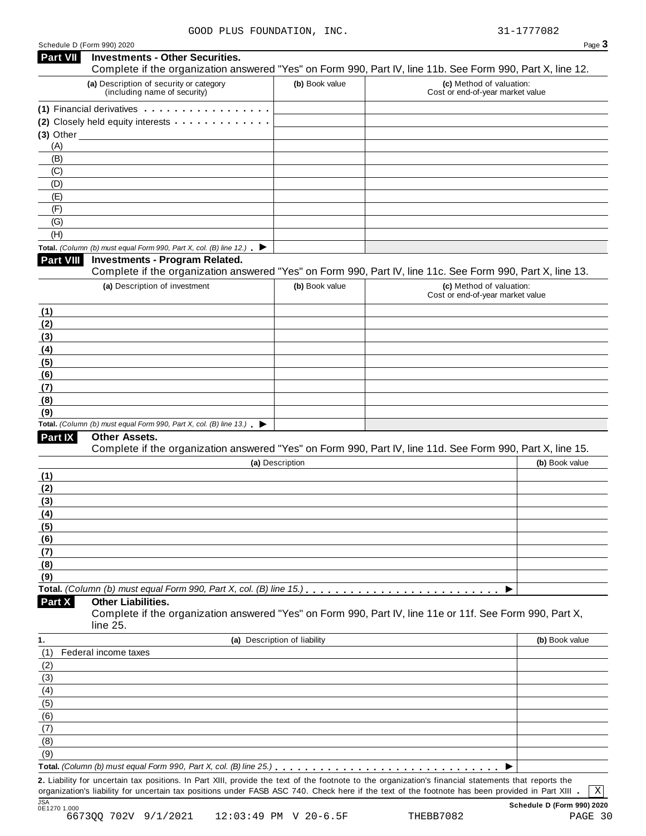| Schedule D (Form 990) 2020 |  |  |
|----------------------------|--|--|
|----------------------------|--|--|

|                 | GOOD FIUS FOUNDAIION,<br>Schedule D (Form 990) 2020                                                                                                                                                                                                                                       |                              |                                                              | 31-1777004<br>Page 3 |
|-----------------|-------------------------------------------------------------------------------------------------------------------------------------------------------------------------------------------------------------------------------------------------------------------------------------------|------------------------------|--------------------------------------------------------------|----------------------|
| <b>Part VII</b> | <b>Investments - Other Securities.</b><br>Complete if the organization answered "Yes" on Form 990, Part IV, line 11b. See Form 990, Part X, line 12.                                                                                                                                      |                              |                                                              |                      |
|                 | (a) Description of security or category<br>(including name of security)                                                                                                                                                                                                                   | (b) Book value               | (c) Method of valuation:<br>Cost or end-of-year market value |                      |
|                 | (1) Financial derivatives experiences and the set of the set of the set of the set of the set of the set of the set of the set of the set of the set of the set of the set of the set of the set of the set of the set of the                                                             |                              |                                                              |                      |
|                 | (2) Closely held equity interests <b>contained</b> and <b>contained</b> and <b>contained</b> and <b>contained</b> and <b>contained</b> and <b>contained</b> and <b>contained</b> and <b>contained</b> and <b>contained</b> and <b>contained</b> and <b>contained</b> and <b>contained</b> |                              |                                                              |                      |
|                 | $(3)$ Other $\qquad \qquad$                                                                                                                                                                                                                                                               |                              |                                                              |                      |
| (A)             |                                                                                                                                                                                                                                                                                           |                              |                                                              |                      |
| (B)             |                                                                                                                                                                                                                                                                                           |                              |                                                              |                      |
| (C)             |                                                                                                                                                                                                                                                                                           |                              |                                                              |                      |
| (D)             |                                                                                                                                                                                                                                                                                           |                              |                                                              |                      |
| (E)             |                                                                                                                                                                                                                                                                                           |                              |                                                              |                      |
| (F)             |                                                                                                                                                                                                                                                                                           |                              |                                                              |                      |
| (G)             |                                                                                                                                                                                                                                                                                           |                              |                                                              |                      |
| (H)             |                                                                                                                                                                                                                                                                                           |                              |                                                              |                      |
|                 | Total. (Column (b) must equal Form 990, Part X, col. (B) line 12.) $\blacktriangleright$                                                                                                                                                                                                  |                              |                                                              |                      |
| Part VIII       | <b>Investments - Program Related.</b>                                                                                                                                                                                                                                                     |                              |                                                              |                      |
|                 | Complete if the organization answered "Yes" on Form 990, Part IV, line 11c. See Form 990, Part X, line 13.                                                                                                                                                                                |                              |                                                              |                      |
|                 | (a) Description of investment                                                                                                                                                                                                                                                             | (b) Book value               | (c) Method of valuation:                                     |                      |
|                 |                                                                                                                                                                                                                                                                                           |                              | Cost or end-of-year market value                             |                      |
|                 |                                                                                                                                                                                                                                                                                           |                              |                                                              |                      |
| (1)<br>(2)      |                                                                                                                                                                                                                                                                                           |                              |                                                              |                      |
|                 |                                                                                                                                                                                                                                                                                           |                              |                                                              |                      |
| (3)             |                                                                                                                                                                                                                                                                                           |                              |                                                              |                      |
| (4)             |                                                                                                                                                                                                                                                                                           |                              |                                                              |                      |
| (5)             |                                                                                                                                                                                                                                                                                           |                              |                                                              |                      |
| (6)             |                                                                                                                                                                                                                                                                                           |                              |                                                              |                      |
| (7)             |                                                                                                                                                                                                                                                                                           |                              |                                                              |                      |
| (8)             |                                                                                                                                                                                                                                                                                           |                              |                                                              |                      |
| (9)             |                                                                                                                                                                                                                                                                                           |                              |                                                              |                      |
|                 | Total. (Column (b) must equal Form 990, Part X, col. (B) line $13$ .)                                                                                                                                                                                                                     |                              |                                                              |                      |
| Part IX         | Other Assets.<br>Complete if the organization answered "Yes" on Form 990, Part IV, line 11d. See Form 990, Part X, line 15.                                                                                                                                                               |                              |                                                              |                      |
|                 |                                                                                                                                                                                                                                                                                           | (a) Description              |                                                              | (b) Book value       |
| (1)             |                                                                                                                                                                                                                                                                                           |                              |                                                              |                      |
| (2)             |                                                                                                                                                                                                                                                                                           |                              |                                                              |                      |
| (3)             |                                                                                                                                                                                                                                                                                           |                              |                                                              |                      |
|                 |                                                                                                                                                                                                                                                                                           |                              |                                                              |                      |
| (4)             |                                                                                                                                                                                                                                                                                           |                              |                                                              |                      |
| (5)             |                                                                                                                                                                                                                                                                                           |                              |                                                              |                      |
| (6)             |                                                                                                                                                                                                                                                                                           |                              |                                                              |                      |
| (7)             |                                                                                                                                                                                                                                                                                           |                              |                                                              |                      |
| (8)             |                                                                                                                                                                                                                                                                                           |                              |                                                              |                      |
| (9)             |                                                                                                                                                                                                                                                                                           |                              |                                                              |                      |
|                 | <b>Other Liabilities.</b>                                                                                                                                                                                                                                                                 |                              |                                                              |                      |
| Part X          | Complete if the organization answered "Yes" on Form 990, Part IV, line 11e or 11f. See Form 990, Part X,<br>line 25.                                                                                                                                                                      |                              |                                                              |                      |
| 1.              |                                                                                                                                                                                                                                                                                           | (a) Description of liability |                                                              | (b) Book value       |
| (1)             | Federal income taxes                                                                                                                                                                                                                                                                      |                              |                                                              |                      |
| (2)             |                                                                                                                                                                                                                                                                                           |                              |                                                              |                      |
| (3)             |                                                                                                                                                                                                                                                                                           |                              |                                                              |                      |
| (4)             |                                                                                                                                                                                                                                                                                           |                              |                                                              |                      |
| (5)             |                                                                                                                                                                                                                                                                                           |                              |                                                              |                      |
| (6)             |                                                                                                                                                                                                                                                                                           |                              |                                                              |                      |
|                 |                                                                                                                                                                                                                                                                                           |                              |                                                              |                      |
| (7)             |                                                                                                                                                                                                                                                                                           |                              |                                                              |                      |
| (8)             |                                                                                                                                                                                                                                                                                           |                              |                                                              |                      |
| (9)             |                                                                                                                                                                                                                                                                                           |                              |                                                              |                      |
|                 | Total. (Column (b) must equal Form 990, Part X, col. (B) line 25.) $\ldots \ldots \ldots \ldots \ldots \ldots \ldots \ldots \ldots \ldots \ldots \ldots$                                                                                                                                  |                              |                                                              |                      |
|                 | 2. Liability for uncertain tax positions. In Part XIII, provide the text of the footnote to the organization's financial statements that reports the                                                                                                                                      |                              |                                                              |                      |
|                 | organization's liability for uncertain tax positions under FASB ASC 740. Check here if the text of the footnote has been provided in Part XIII .                                                                                                                                          |                              |                                                              | Χ                    |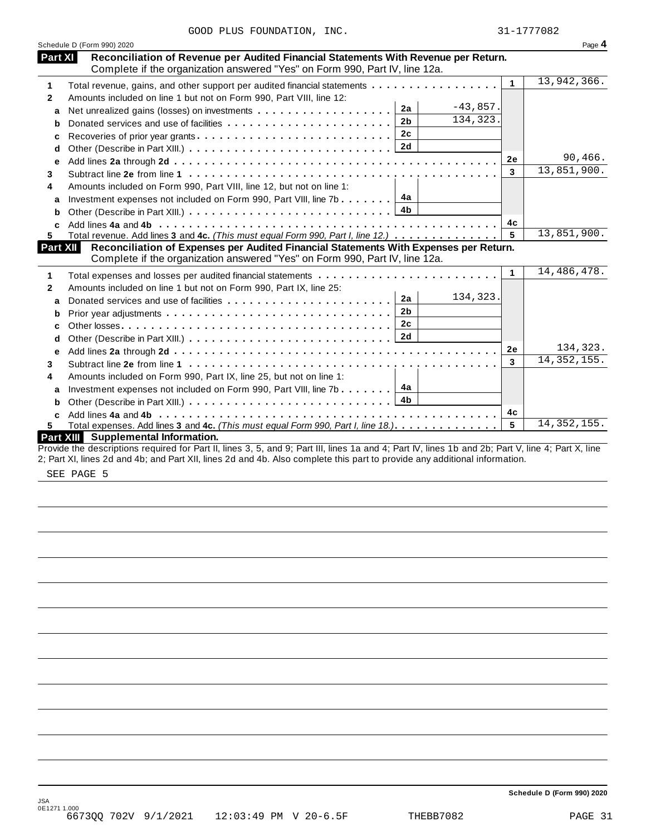|  |  | GOOD PLUS FOUNDATION, | INC. |
|--|--|-----------------------|------|
|--|--|-----------------------|------|

|                  | GOOD PLUS FOUNDATION, INC.                                                                                                                                                                                                                                                       |              | 31-1777082    |
|------------------|----------------------------------------------------------------------------------------------------------------------------------------------------------------------------------------------------------------------------------------------------------------------------------|--------------|---------------|
|                  | Schedule D (Form 990) 2020                                                                                                                                                                                                                                                       |              | Page 4        |
| Part XI          | Reconciliation of Revenue per Audited Financial Statements With Revenue per Return.<br>Complete if the organization answered "Yes" on Form 990, Part IV, line 12a.                                                                                                               |              |               |
| 1                | Total revenue, gains, and other support per audited financial statements                                                                                                                                                                                                         | $\mathbf{1}$ | 13,942,366.   |
| $\overline{2}$   | Amounts included on line 1 but not on Form 990, Part VIII, line 12:                                                                                                                                                                                                              |              |               |
| a                | $-43,857.$<br>2a                                                                                                                                                                                                                                                                 |              |               |
| b                | 134, 323.<br>2 <sub>b</sub><br>Donated services and use of facilities                                                                                                                                                                                                            |              |               |
| C                | 2c<br>Recoveries of prior year grants                                                                                                                                                                                                                                            |              |               |
| d                | 2d                                                                                                                                                                                                                                                                               |              |               |
| е                |                                                                                                                                                                                                                                                                                  | <b>2e</b>    | 90,466.       |
| 3                |                                                                                                                                                                                                                                                                                  | 3            | 13,851,900.   |
| 4                | Amounts included on Form 990, Part VIII, line 12, but not on line 1:                                                                                                                                                                                                             |              |               |
| a                | 4а<br>Investment expenses not included on Form 990, Part VIII, line 7b                                                                                                                                                                                                           |              |               |
| b                | 4b                                                                                                                                                                                                                                                                               |              |               |
|                  |                                                                                                                                                                                                                                                                                  | 4c           |               |
| 5                | Total revenue. Add lines 3 and 4c. (This must equal Form 990, Part I, line 12.)                                                                                                                                                                                                  | 5            | 13,851,900.   |
| Part XII         | Reconciliation of Expenses per Audited Financial Statements With Expenses per Return.                                                                                                                                                                                            |              |               |
|                  | Complete if the organization answered "Yes" on Form 990, Part IV, line 12a.                                                                                                                                                                                                      |              |               |
| 1                |                                                                                                                                                                                                                                                                                  | $\mathbf{1}$ | 14, 486, 478. |
| $\mathbf{2}$     | Amounts included on line 1 but not on Form 990, Part IX, line 25:                                                                                                                                                                                                                |              |               |
| a                | 134,323.<br>2a                                                                                                                                                                                                                                                                   |              |               |
| b                | 2 <sub>b</sub>                                                                                                                                                                                                                                                                   |              |               |
| C                | 2c                                                                                                                                                                                                                                                                               |              |               |
| d                | 2d                                                                                                                                                                                                                                                                               |              |               |
| e                |                                                                                                                                                                                                                                                                                  | <b>2e</b>    | 134,323.      |
| 3                |                                                                                                                                                                                                                                                                                  | 3            | 14, 352, 155. |
| 4                | Amounts included on Form 990, Part IX, line 25, but not on line 1:                                                                                                                                                                                                               |              |               |
| a                | 4а<br>Investment expenses not included on Form 990, Part VIII, line 7b $\ldots \ldots$                                                                                                                                                                                           |              |               |
| b                | 4 <sub>b</sub>                                                                                                                                                                                                                                                                   |              |               |
| c                |                                                                                                                                                                                                                                                                                  | 4c           |               |
| 5.               | Total expenses. Add lines 3 and 4c. (This must equal Form 990, Part I, line 18.).                                                                                                                                                                                                | 5            | 14, 352, 155. |
| <b>Part XIII</b> | Supplemental Information.                                                                                                                                                                                                                                                        |              |               |
|                  | Provide the descriptions required for Part II, lines 3, 5, and 9; Part III, lines 1a and 4; Part IV, lines 1b and 2b; Part V, line 4; Part X, line<br>2; Part XI, lines 2d and 4b; and Part XII, lines 2d and 4b. Also complete this part to provide any additional information. |              |               |

SEE PAGE 5

**Schedule D (Form 990) 2020**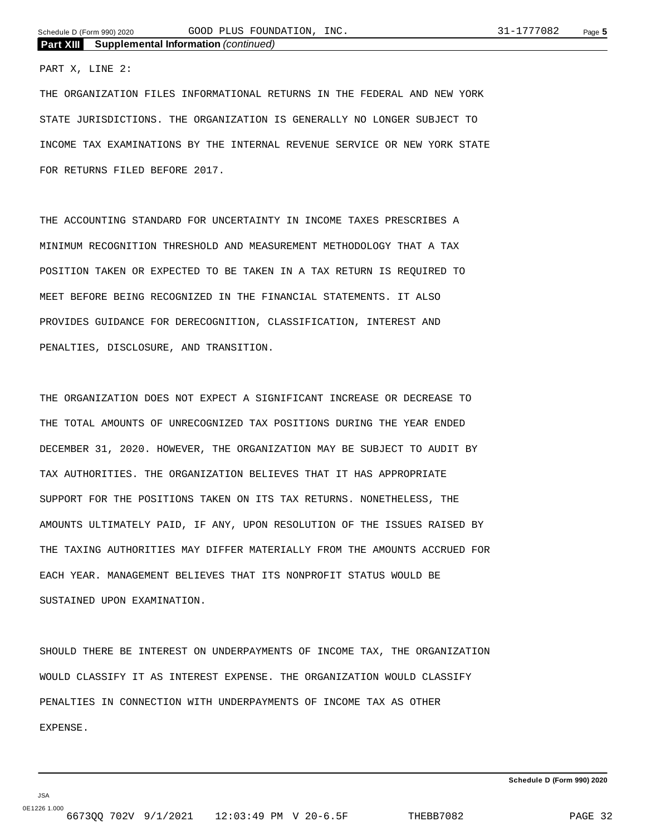PART X, LINE 2:

THE ORGANIZATION FILES INFORMATIONAL RETURNS IN THE FEDERAL AND NEW YORK STATE JURISDICTIONS. THE ORGANIZATION IS GENERALLY NO LONGER SUBJECT TO INCOME TAX EXAMINATIONS BY THE INTERNAL REVENUE SERVICE OR NEW YORK STATE FOR RETURNS FILED BEFORE 2017.

THE ACCOUNTING STANDARD FOR UNCERTAINTY IN INCOME TAXES PRESCRIBES A MINIMUM RECOGNITION THRESHOLD AND MEASUREMENT METHODOLOGY THAT A TAX POSITION TAKEN OR EXPECTED TO BE TAKEN IN A TAX RETURN IS REQUIRED TO MEET BEFORE BEING RECOGNIZED IN THE FINANCIAL STATEMENTS. IT ALSO PROVIDES GUIDANCE FOR DERECOGNITION, CLASSIFICATION, INTEREST AND PENALTIES, DISCLOSURE, AND TRANSITION.

THE ORGANIZATION DOES NOT EXPECT A SIGNIFICANT INCREASE OR DECREASE TO THE TOTAL AMOUNTS OF UNRECOGNIZED TAX POSITIONS DURING THE YEAR ENDED DECEMBER 31, 2020. HOWEVER, THE ORGANIZATION MAY BE SUBJECT TO AUDIT BY TAX AUTHORITIES. THE ORGANIZATION BELIEVES THAT IT HAS APPROPRIATE SUPPORT FOR THE POSITIONS TAKEN ON ITS TAX RETURNS. NONETHELESS, THE AMOUNTS ULTIMATELY PAID, IF ANY, UPON RESOLUTION OF THE ISSUES RAISED BY THE TAXING AUTHORITIES MAY DIFFER MATERIALLY FROM THE AMOUNTS ACCRUED FOR EACH YEAR. MANAGEMENT BELIEVES THAT ITS NONPROFIT STATUS WOULD BE SUSTAINED UPON EXAMINATION.

SHOULD THERE BE INTEREST ON UNDERPAYMENTS OF INCOME TAX, THE ORGANIZATION WOULD CLASSIFY IT AS INTEREST EXPENSE. THE ORGANIZATION WOULD CLASSIFY PENALTIES IN CONNECTION WITH UNDERPAYMENTS OF INCOME TAX AS OTHER EXPENSE.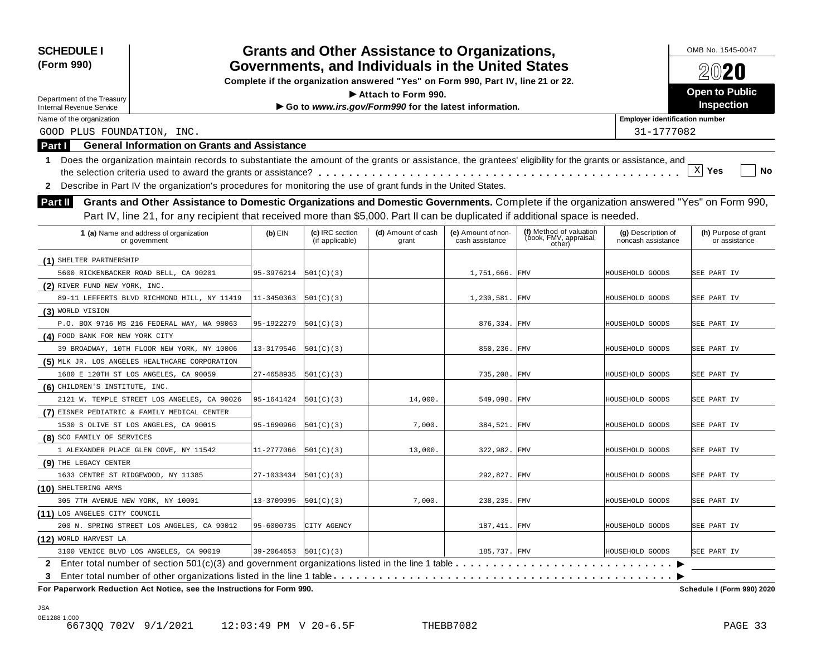| (Form 990)<br>Department of the Treasury<br><b>Internal Revenue Service</b><br>Name of the organization<br>GOOD PLUS FOUNDATION, INC.<br>Part I<br>$\mathbf{1}$ | <b>General Information on Grants and Assistance</b>                                                                                                        |                         |                                    | Governments, and Individuals in the United States<br>Complete if the organization answered "Yes" on Form 990, Part IV, line 21 or 22.<br>$\blacktriangleright$ Attach to Form 990. |                                       |                                                             |                                          | 2020                                  |
|-----------------------------------------------------------------------------------------------------------------------------------------------------------------|------------------------------------------------------------------------------------------------------------------------------------------------------------|-------------------------|------------------------------------|------------------------------------------------------------------------------------------------------------------------------------------------------------------------------------|---------------------------------------|-------------------------------------------------------------|------------------------------------------|---------------------------------------|
|                                                                                                                                                                 |                                                                                                                                                            |                         |                                    |                                                                                                                                                                                    |                                       |                                                             |                                          |                                       |
|                                                                                                                                                                 |                                                                                                                                                            |                         |                                    |                                                                                                                                                                                    |                                       |                                                             |                                          |                                       |
|                                                                                                                                                                 |                                                                                                                                                            |                         |                                    |                                                                                                                                                                                    |                                       |                                                             |                                          | <b>Open to Public</b>                 |
|                                                                                                                                                                 |                                                                                                                                                            |                         |                                    | Go to www.irs.gov/Form990 for the latest information.                                                                                                                              |                                       |                                                             |                                          | <b>Inspection</b>                     |
|                                                                                                                                                                 |                                                                                                                                                            |                         |                                    |                                                                                                                                                                                    |                                       |                                                             | <b>Employer identification number</b>    |                                       |
|                                                                                                                                                                 |                                                                                                                                                            |                         |                                    |                                                                                                                                                                                    |                                       |                                                             | 31-1777082                               |                                       |
|                                                                                                                                                                 |                                                                                                                                                            |                         |                                    |                                                                                                                                                                                    |                                       |                                                             |                                          |                                       |
|                                                                                                                                                                 | Does the organization maintain records to substantiate the amount of the grants or assistance, the grantees' eligibility for the grants or assistance, and |                         |                                    |                                                                                                                                                                                    |                                       |                                                             |                                          |                                       |
|                                                                                                                                                                 |                                                                                                                                                            |                         |                                    |                                                                                                                                                                                    |                                       |                                                             |                                          | $\mathbf{x}$<br>Yes<br>No             |
| $\mathbf{2}$                                                                                                                                                    | Describe in Part IV the organization's procedures for monitoring the use of grant funds in the United States.                                              |                         |                                    |                                                                                                                                                                                    |                                       |                                                             |                                          |                                       |
| Part II                                                                                                                                                         | Grants and Other Assistance to Domestic Organizations and Domestic Governments. Complete if the organization answered "Yes" on Form 990,                   |                         |                                    |                                                                                                                                                                                    |                                       |                                                             |                                          |                                       |
|                                                                                                                                                                 | Part IV, line 21, for any recipient that received more than \$5,000. Part II can be duplicated if additional space is needed.                              |                         |                                    |                                                                                                                                                                                    |                                       |                                                             |                                          |                                       |
|                                                                                                                                                                 |                                                                                                                                                            |                         |                                    |                                                                                                                                                                                    |                                       |                                                             |                                          |                                       |
| 1 (a) Name and address of organization<br>or government                                                                                                         |                                                                                                                                                            | $(b)$ EIN               | (c) IRC section<br>(if applicable) | (d) Amount of cash<br>grant                                                                                                                                                        | (e) Amount of non-<br>cash assistance | (f) Method of valuation<br>(book, FMV, appraisal,<br>other) | (g) Description of<br>noncash assistance | (h) Purpose of grant<br>or assistance |
| (1) SHELTER PARTNERSHIP                                                                                                                                         |                                                                                                                                                            |                         |                                    |                                                                                                                                                                                    |                                       |                                                             |                                          |                                       |
| 5600 RICKENBACKER ROAD BELL, CA 90201                                                                                                                           |                                                                                                                                                            | 95-3976214              | 501(C)(3)                          |                                                                                                                                                                                    | 1,751,666. FMV                        |                                                             | HOUSEHOLD GOODS                          | SEE PART IV                           |
| (2) RIVER FUND NEW YORK, INC.                                                                                                                                   |                                                                                                                                                            |                         |                                    |                                                                                                                                                                                    |                                       |                                                             |                                          |                                       |
|                                                                                                                                                                 | 89-11 LEFFERTS BLVD RICHMOND HILL, NY 11419                                                                                                                | 11-3450363              | 501(C)(3)                          |                                                                                                                                                                                    | 1,230,581. FMV                        |                                                             | HOUSEHOLD GOODS                          | SEE PART IV                           |
| (3) WORLD VISION                                                                                                                                                |                                                                                                                                                            |                         |                                    |                                                                                                                                                                                    |                                       |                                                             |                                          |                                       |
| P.O. BOX 9716 MS 216 FEDERAL WAY, WA 98063                                                                                                                      |                                                                                                                                                            | 95-1922279              | 501(C)(3)                          |                                                                                                                                                                                    | 876,334. FMV                          |                                                             | HOUSEHOLD GOODS                          | SEE PART IV                           |
| (4) FOOD BANK FOR NEW YORK CITY                                                                                                                                 |                                                                                                                                                            |                         |                                    |                                                                                                                                                                                    |                                       |                                                             |                                          |                                       |
| 39 BROADWAY, 10TH FLOOR NEW YORK, NY 10006                                                                                                                      |                                                                                                                                                            | 13-3179546              | 501(C)(3)                          |                                                                                                                                                                                    | 850,236. FMV                          |                                                             | HOUSEHOLD GOODS                          | SEE PART IV                           |
| (5) MLK JR. LOS ANGELES HEALTHCARE CORPORATION                                                                                                                  |                                                                                                                                                            |                         |                                    |                                                                                                                                                                                    |                                       |                                                             |                                          |                                       |
| 1680 E 120TH ST LOS ANGELES, CA 90059                                                                                                                           |                                                                                                                                                            | 27-4658935              | 501(C)(3)                          |                                                                                                                                                                                    | 735,208.                              | FMV                                                         | HOUSEHOLD GOODS                          | SEE PART IV                           |
| (6) CHILDREN'S INSTITUTE, INC.                                                                                                                                  |                                                                                                                                                            |                         |                                    |                                                                                                                                                                                    |                                       |                                                             |                                          |                                       |
|                                                                                                                                                                 | 2121 W. TEMPLE STREET LOS ANGELES, CA 90026                                                                                                                | 95-1641424              | 501(C)(3)                          | 14,000.                                                                                                                                                                            | 549,098.                              | <b>FMV</b>                                                  | HOUSEHOLD GOODS                          | SEE PART IV                           |
| (7) EISNER PEDIATRIC & FAMILY MEDICAL CENTER                                                                                                                    |                                                                                                                                                            |                         |                                    |                                                                                                                                                                                    |                                       |                                                             |                                          |                                       |
| 1530 S OLIVE ST LOS ANGELES, CA 90015                                                                                                                           |                                                                                                                                                            | 95-1690966              | 501(C)(3)                          | 7,000.                                                                                                                                                                             | 384,521. FMV                          |                                                             | HOUSEHOLD GOODS                          | SEE PART IV                           |
| (8) SCO FAMILY OF SERVICES                                                                                                                                      |                                                                                                                                                            |                         |                                    |                                                                                                                                                                                    |                                       |                                                             |                                          |                                       |
| 1 ALEXANDER PLACE GLEN COVE, NY 11542                                                                                                                           |                                                                                                                                                            | 11-2777066              | 501(C)(3)                          | 13,000.                                                                                                                                                                            | 322,982.                              | FMV                                                         | HOUSEHOLD GOODS                          | SEE PART IV                           |
| (9) THE LEGACY CENTER                                                                                                                                           |                                                                                                                                                            |                         |                                    |                                                                                                                                                                                    |                                       |                                                             |                                          |                                       |
| 1633 CENTRE ST RIDGEWOOD, NY 11385                                                                                                                              |                                                                                                                                                            | 27-1033434              | 501(C)(3)                          |                                                                                                                                                                                    | 292,827. FMV                          |                                                             | HOUSEHOLD GOODS                          | SEE PART IV                           |
| (10) SHELTERING ARMS                                                                                                                                            |                                                                                                                                                            |                         |                                    |                                                                                                                                                                                    |                                       |                                                             |                                          |                                       |
| 305 7TH AVENUE NEW YORK, NY 10001                                                                                                                               |                                                                                                                                                            | 13-3709095              | 501(C)(3)                          | 7,000.                                                                                                                                                                             | 238,235. FMV                          |                                                             | HOUSEHOLD GOODS                          | SEE PART IV                           |
| (11) LOS ANGELES CITY COUNCIL                                                                                                                                   |                                                                                                                                                            |                         |                                    |                                                                                                                                                                                    |                                       |                                                             |                                          |                                       |
|                                                                                                                                                                 | 200 N. SPRING STREET LOS ANGELES, CA 90012                                                                                                                 | 95-6000735              | CITY AGENCY                        |                                                                                                                                                                                    | 187, 411. FMV                         |                                                             | HOUSEHOLD GOODS                          | SEE PART IV                           |
| (12) WORLD HARVEST LA                                                                                                                                           |                                                                                                                                                            |                         |                                    |                                                                                                                                                                                    |                                       |                                                             |                                          |                                       |
| 3100 VENICE BLVD LOS ANGELES, CA 90019                                                                                                                          |                                                                                                                                                            | $39-2064653$  501(C)(3) |                                    |                                                                                                                                                                                    | 185,737. FMV                          |                                                             | HOUSEHOLD GOODS                          | SEE PART IV                           |
|                                                                                                                                                                 |                                                                                                                                                            |                         |                                    |                                                                                                                                                                                    |                                       |                                                             |                                          |                                       |
| 3                                                                                                                                                               |                                                                                                                                                            |                         |                                    |                                                                                                                                                                                    |                                       |                                                             |                                          |                                       |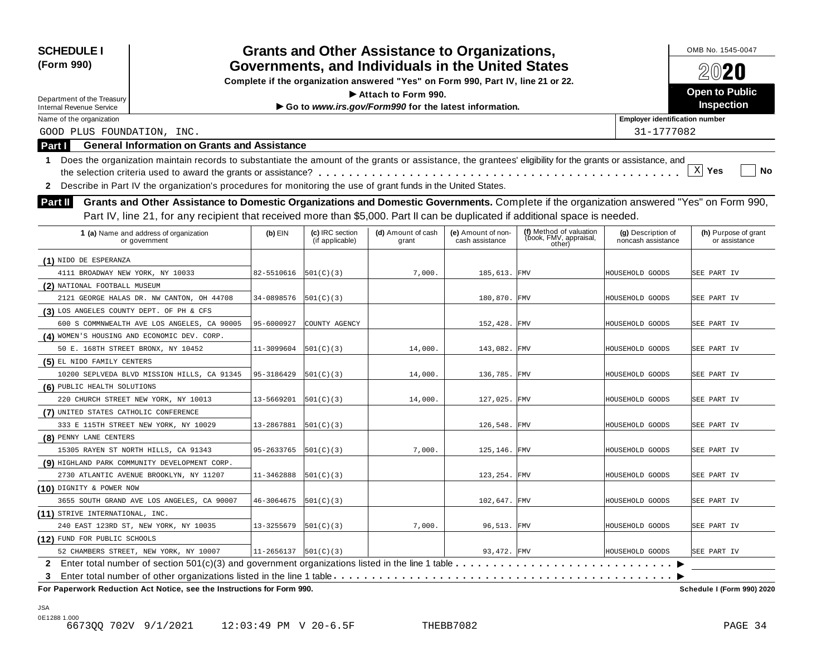| <b>SCHEDULE I</b>                        |                                                                                                                                                            |                            |                                    | <b>Grants and Other Assistance to Organizations,</b>                             |                                       |                                                             |                                          | OMB No. 1545-0047                     |
|------------------------------------------|------------------------------------------------------------------------------------------------------------------------------------------------------------|----------------------------|------------------------------------|----------------------------------------------------------------------------------|---------------------------------------|-------------------------------------------------------------|------------------------------------------|---------------------------------------|
| (Form 990)                               |                                                                                                                                                            |                            |                                    | Governments, and Individuals in the United States                                |                                       |                                                             |                                          | 2020                                  |
|                                          |                                                                                                                                                            |                            |                                    | Complete if the organization answered "Yes" on Form 990, Part IV, line 21 or 22. |                                       |                                                             |                                          |                                       |
| Department of the Treasury               |                                                                                                                                                            |                            |                                    | Attach to Form 990.                                                              |                                       |                                                             |                                          | <b>Open to Public</b>                 |
| <b>Internal Revenue Service</b>          |                                                                                                                                                            |                            |                                    | Go to www.irs.gov/Form990 for the latest information.                            |                                       |                                                             |                                          | <b>Inspection</b>                     |
| Name of the organization                 |                                                                                                                                                            |                            |                                    |                                                                                  |                                       |                                                             | <b>Employer identification number</b>    |                                       |
| GOOD PLUS FOUNDATION, INC.               |                                                                                                                                                            |                            |                                    |                                                                                  |                                       |                                                             | 31-1777082                               |                                       |
| Part I                                   | <b>General Information on Grants and Assistance</b>                                                                                                        |                            |                                    |                                                                                  |                                       |                                                             |                                          |                                       |
| $\mathbf{1}$                             | Does the organization maintain records to substantiate the amount of the grants or assistance, the grantees' eligibility for the grants or assistance, and |                            |                                    |                                                                                  |                                       |                                                             |                                          |                                       |
|                                          |                                                                                                                                                            |                            |                                    |                                                                                  |                                       |                                                             |                                          | $\mathbf{x}$<br>Yes<br>No             |
| $\mathbf{2}$                             | Describe in Part IV the organization's procedures for monitoring the use of grant funds in the United States.                                              |                            |                                    |                                                                                  |                                       |                                                             |                                          |                                       |
| Part II                                  | Grants and Other Assistance to Domestic Organizations and Domestic Governments. Complete if the organization answered "Yes" on Form 990,                   |                            |                                    |                                                                                  |                                       |                                                             |                                          |                                       |
|                                          | Part IV, line 21, for any recipient that received more than \$5,000. Part II can be duplicated if additional space is needed.                              |                            |                                    |                                                                                  |                                       |                                                             |                                          |                                       |
|                                          |                                                                                                                                                            |                            |                                    |                                                                                  |                                       |                                                             |                                          |                                       |
|                                          | 1 (a) Name and address of organization<br>or government                                                                                                    | $(b)$ EIN                  | (c) IRC section<br>(if applicable) | (d) Amount of cash<br>grant                                                      | (e) Amount of non-<br>cash assistance | (f) Method of valuation<br>(book, FMV, appraisal,<br>other) | (g) Description of<br>noncash assistance | (h) Purpose of grant<br>or assistance |
| (1) NIDO DE ESPERANZA                    |                                                                                                                                                            |                            |                                    |                                                                                  |                                       |                                                             |                                          |                                       |
| 4111 BROADWAY NEW YORK, NY 10033         |                                                                                                                                                            | 82-5510616                 | 501(C)(3)                          | 7,000.                                                                           | 185,613. FMV                          |                                                             | HOUSEHOLD GOODS                          | SEE PART IV                           |
| (2) NATIONAL FOOTBALL MUSEUM             |                                                                                                                                                            |                            |                                    |                                                                                  |                                       |                                                             |                                          |                                       |
|                                          | 2121 GEORGE HALAS DR. NW CANTON, OH 44708                                                                                                                  | 34-0898576                 | 501(C)(3)                          |                                                                                  | 180,870. FMV                          |                                                             | HOUSEHOLD GOODS                          | SEE PART IV                           |
| (3) LOS ANGELES COUNTY DEPT. OF PH & CFS |                                                                                                                                                            |                            |                                    |                                                                                  |                                       |                                                             |                                          |                                       |
|                                          | 600 S COMMNWEALTH AVE LOS ANGELES, CA 90005                                                                                                                | 95-6000927                 | COUNTY AGENCY                      |                                                                                  | 152,428.                              | FMV                                                         | HOUSEHOLD GOODS                          | SEE PART IV                           |
|                                          | (4) WOMEN'S HOUSING AND ECONOMIC DEV. CORP.                                                                                                                |                            |                                    |                                                                                  |                                       |                                                             |                                          |                                       |
|                                          | 50 E. 168TH STREET BRONX, NY 10452                                                                                                                         | 11-3099604                 | 501(C)(3)                          | 14,000.                                                                          | 143,082.                              | <b>FMV</b>                                                  | HOUSEHOLD GOODS                          | SEE PART IV                           |
| (5) EL NIDO FAMILY CENTERS               |                                                                                                                                                            |                            |                                    |                                                                                  |                                       |                                                             |                                          |                                       |
|                                          | 10200 SEPLVEDA BLVD MISSION HILLS, CA 91345                                                                                                                | 95-3186429                 | 501(C)(3)                          | 14,000.                                                                          | 136,785.                              | FMV                                                         | HOUSEHOLD GOODS                          | SEE PART IV                           |
| (6) PUBLIC HEALTH SOLUTIONS              |                                                                                                                                                            |                            |                                    |                                                                                  |                                       |                                                             |                                          |                                       |
|                                          | 220 CHURCH STREET NEW YORK, NY 10013                                                                                                                       | 13-5669201                 | 501(C)(3)                          | 14,000.                                                                          | 127,025.                              | FMV                                                         | HOUSEHOLD GOODS                          | SEE PART IV                           |
| (7) UNITED STATES CATHOLIC CONFERENCE    |                                                                                                                                                            |                            |                                    |                                                                                  |                                       |                                                             |                                          |                                       |
|                                          | 333 E 115TH STREET NEW YORK, NY 10029                                                                                                                      | 13-2867881                 | 501(C)(3)                          |                                                                                  | 126,548.                              | FMV                                                         | HOUSEHOLD GOODS                          | SEE PART IV                           |
| (8) PENNY LANE CENTERS                   |                                                                                                                                                            |                            |                                    |                                                                                  |                                       |                                                             |                                          |                                       |
|                                          | 15305 RAYEN ST NORTH HILLS, CA 91343                                                                                                                       | 95-2633765                 | 501(C)(3)                          | 7,000.                                                                           | 125,146. FMV                          |                                                             | HOUSEHOLD GOODS                          | SEE PART IV                           |
|                                          | (9) HIGHLAND PARK COMMUNITY DEVELOPMENT CORP.                                                                                                              |                            |                                    |                                                                                  |                                       |                                                             |                                          |                                       |
|                                          | 2730 ATLANTIC AVENUE BROOKLYN, NY 11207                                                                                                                    | 11-3462888                 | 501(C)(3)                          |                                                                                  | 123,254. FMV                          |                                                             | HOUSEHOLD GOODS                          | SEE PART IV                           |
| (10) DIGNITY & POWER NOW                 |                                                                                                                                                            |                            |                                    |                                                                                  |                                       |                                                             |                                          |                                       |
|                                          | 3655 SOUTH GRAND AVE LOS ANGELES, CA 90007                                                                                                                 | 46-3064675                 | 501(C)(3)                          |                                                                                  | 102,647. FMV                          |                                                             | HOUSEHOLD GOODS                          | SEE PART IV                           |
| (11) STRIVE INTERNATIONAL, INC.          |                                                                                                                                                            |                            |                                    |                                                                                  |                                       |                                                             |                                          |                                       |
|                                          | 240 EAST 123RD ST, NEW YORK, NY 10035                                                                                                                      | 13-3255679                 | 501(C)(3)                          | 7,000.                                                                           | 96,513. FMV                           |                                                             | HOUSEHOLD GOODS                          | SEE PART IV                           |
| (12) FUND FOR PUBLIC SCHOOLS             |                                                                                                                                                            |                            |                                    |                                                                                  |                                       |                                                             |                                          |                                       |
|                                          | 52 CHAMBERS STREET, NEW YORK, NY 10007                                                                                                                     | $11-2656137$ $ 501(C)(3) $ |                                    |                                                                                  | 93,472. FMV                           |                                                             | HOUSEHOLD GOODS                          | SEE PART IV                           |
|                                          |                                                                                                                                                            |                            |                                    |                                                                                  |                                       |                                                             |                                          |                                       |
| 3                                        |                                                                                                                                                            |                            |                                    |                                                                                  |                                       |                                                             |                                          |                                       |
|                                          | For Paperwork Reduction Act Notice, see the Instructions for Form 990.                                                                                     |                            |                                    |                                                                                  |                                       |                                                             |                                          | Schedule I (Form 990) 2020            |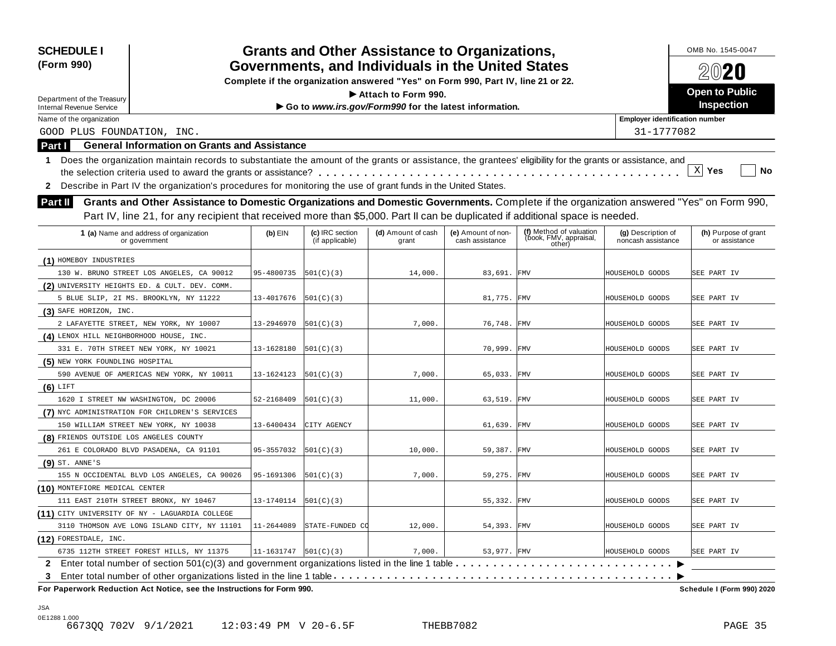| <b>SCHEDULE I</b>                                                                                                                                                |                                                                                                                                       |                                    | <b>Grants and Other Assistance to Organizations,</b>  |                                       |                                                             |                                          | OMB No. 1545-0047                     |  |
|------------------------------------------------------------------------------------------------------------------------------------------------------------------|---------------------------------------------------------------------------------------------------------------------------------------|------------------------------------|-------------------------------------------------------|---------------------------------------|-------------------------------------------------------------|------------------------------------------|---------------------------------------|--|
| (Form 990)                                                                                                                                                       | Governments, and Individuals in the United States<br>Complete if the organization answered "Yes" on Form 990, Part IV, line 21 or 22. |                                    |                                                       |                                       |                                                             |                                          | 2020                                  |  |
|                                                                                                                                                                  |                                                                                                                                       |                                    |                                                       |                                       |                                                             |                                          | <b>Open to Public</b>                 |  |
| Department of the Treasury                                                                                                                                       |                                                                                                                                       |                                    | Attach to Form 990.                                   |                                       |                                                             |                                          | Inspection                            |  |
| <b>Internal Revenue Service</b>                                                                                                                                  |                                                                                                                                       |                                    | Go to www.irs.gov/Form990 for the latest information. |                                       |                                                             |                                          |                                       |  |
| Name of the organization                                                                                                                                         |                                                                                                                                       |                                    |                                                       |                                       |                                                             | <b>Employer identification number</b>    |                                       |  |
| GOOD PLUS FOUNDATION, INC.                                                                                                                                       |                                                                                                                                       |                                    |                                                       |                                       |                                                             | 31-1777082                               |                                       |  |
| <b>General Information on Grants and Assistance</b><br><b>Part I</b>                                                                                             |                                                                                                                                       |                                    |                                                       |                                       |                                                             |                                          |                                       |  |
| Does the organization maintain records to substantiate the amount of the grants or assistance, the grantees' eligibility for the grants or assistance, and<br>1. |                                                                                                                                       |                                    |                                                       |                                       |                                                             |                                          |                                       |  |
|                                                                                                                                                                  |                                                                                                                                       |                                    |                                                       |                                       |                                                             |                                          | $\mathbf{x}$<br>Yes<br>No             |  |
| Describe in Part IV the organization's procedures for monitoring the use of grant funds in the United States.<br>$\mathbf{2}$                                    |                                                                                                                                       |                                    |                                                       |                                       |                                                             |                                          |                                       |  |
| Grants and Other Assistance to Domestic Organizations and Domestic Governments. Complete if the organization answered "Yes" on Form 990,<br>Part II              |                                                                                                                                       |                                    |                                                       |                                       |                                                             |                                          |                                       |  |
| Part IV, line 21, for any recipient that received more than \$5,000. Part II can be duplicated if additional space is needed.                                    |                                                                                                                                       |                                    |                                                       |                                       |                                                             |                                          |                                       |  |
| 1 (a) Name and address of organization<br>or government                                                                                                          | $(b)$ EIN                                                                                                                             | (c) IRC section<br>(if applicable) | (d) Amount of cash<br>grant                           | (e) Amount of non-<br>cash assistance | (f) Method of valuation<br>(book, FMV, appraisal,<br>other) | (g) Description of<br>noncash assistance | (h) Purpose of grant<br>or assistance |  |
| (1) HOMEBOY INDUSTRIES                                                                                                                                           |                                                                                                                                       |                                    |                                                       |                                       |                                                             |                                          |                                       |  |
| 130 W. BRUNO STREET LOS ANGELES, CA 90012                                                                                                                        | 95-4800735                                                                                                                            | 501(C)(3)                          | 14,000.                                               | 83,691. FMV                           |                                                             | HOUSEHOLD GOODS                          | SEE PART IV                           |  |
| (2) UNIVERSITY HEIGHTS ED. & CULT. DEV. COMM.                                                                                                                    |                                                                                                                                       |                                    |                                                       |                                       |                                                             |                                          |                                       |  |
| 5 BLUE SLIP, 2I MS. BROOKLYN, NY 11222                                                                                                                           | 13-4017676                                                                                                                            | 501(C)(3)                          |                                                       | 81,775. FMV                           |                                                             | HOUSEHOLD GOODS                          | SEE PART IV                           |  |
| (3) SAFE HORIZON, INC.                                                                                                                                           |                                                                                                                                       |                                    |                                                       |                                       |                                                             |                                          |                                       |  |
| 2 LAFAYETTE STREET, NEW YORK, NY 10007                                                                                                                           | 13-2946970                                                                                                                            | 501(C)(3)                          | 7,000.                                                | 76,748.                               | <b>FMV</b>                                                  | HOUSEHOLD GOODS                          | SEE PART IV                           |  |
| (4) LENOX HILL NEIGHBORHOOD HOUSE, INC.                                                                                                                          |                                                                                                                                       |                                    |                                                       |                                       |                                                             |                                          |                                       |  |
| 331 E. 70TH STREET NEW YORK, NY 10021                                                                                                                            | 13-1628180                                                                                                                            | 501(C)(3)                          |                                                       | 70,999.                               | <b>FMV</b>                                                  | HOUSEHOLD GOODS                          | SEE PART IV                           |  |
| (5) NEW YORK FOUNDLING HOSPITAL                                                                                                                                  |                                                                                                                                       |                                    |                                                       |                                       |                                                             |                                          |                                       |  |
| 590 AVENUE OF AMERICAS NEW YORK, NY 10011                                                                                                                        | 13-1624123                                                                                                                            | 501(C)(3)                          | 7,000.                                                | 65,033. FMV                           |                                                             | HOUSEHOLD GOODS                          | SEE PART IV                           |  |
| $(6)$ LIFT                                                                                                                                                       |                                                                                                                                       |                                    |                                                       |                                       |                                                             |                                          |                                       |  |
| 1620 I STREET NW WASHINGTON, DC 20006                                                                                                                            | 52-2168409                                                                                                                            | 501(C)(3)                          | 11,000.                                               | 63,519. FMV                           |                                                             | HOUSEHOLD GOODS                          | SEE PART IV                           |  |
| (7) NYC ADMINISTRATION FOR CHILDREN'S SERVICES                                                                                                                   |                                                                                                                                       |                                    |                                                       |                                       |                                                             |                                          |                                       |  |
| 150 WILLIAM STREET NEW YORK, NY 10038                                                                                                                            | 13-6400434                                                                                                                            | CITY AGENCY                        |                                                       | 61,639.                               | FMV                                                         | HOUSEHOLD GOODS                          | SEE PART IV                           |  |
| (8) FRIENDS OUTSIDE LOS ANGELES COUNTY                                                                                                                           |                                                                                                                                       |                                    |                                                       |                                       |                                                             |                                          |                                       |  |
| 261 E COLORADO BLVD PASADENA, CA 91101                                                                                                                           | 95-3557032                                                                                                                            | 501(C)(3)                          | 10,000.                                               | 59,387. FMV                           |                                                             | HOUSEHOLD GOODS                          | SEE PART IV                           |  |
| $(9)$ ST. ANNE'S                                                                                                                                                 |                                                                                                                                       |                                    |                                                       |                                       |                                                             |                                          |                                       |  |
| 155 N OCCIDENTAL BLVD LOS ANGELES, CA 90026                                                                                                                      | 95-1691306                                                                                                                            | 501(C)(3)                          | 7,000.                                                | 59,275. FMV                           |                                                             | HOUSEHOLD GOODS                          | SEE PART IV                           |  |
| (10) MONTEFIORE MEDICAL CENTER                                                                                                                                   |                                                                                                                                       |                                    |                                                       |                                       |                                                             |                                          |                                       |  |
| 111 EAST 210TH STREET BRONX, NY 10467                                                                                                                            | 13-1740114                                                                                                                            | 501(C)(3)                          |                                                       | 55,332. FMV                           |                                                             | HOUSEHOLD GOODS                          | SEE PART IV                           |  |
| (11) CITY UNIVERSITY OF NY - LAGUARDIA COLLEGE                                                                                                                   |                                                                                                                                       |                                    |                                                       |                                       |                                                             |                                          |                                       |  |
| 3110 THOMSON AVE LONG ISLAND CITY, NY 11101                                                                                                                      | 11-2644089                                                                                                                            | STATE-FUNDED CO                    | 12,000.                                               | 54,393. FMV                           |                                                             | HOUSEHOLD GOODS                          | SEE PART IV                           |  |
| (12) FORESTDALE, INC.                                                                                                                                            |                                                                                                                                       |                                    |                                                       |                                       |                                                             |                                          |                                       |  |
| 6735 112TH STREET FOREST HILLS, NY 11375                                                                                                                         | 11-1631747                                                                                                                            | 501(C)(3)                          | 7,000.                                                | 53,977. FMV                           |                                                             | HOUSEHOLD GOODS                          | SEE PART IV                           |  |
| 2 Enter total number of section 501(c)(3) and government organizations listed in the line 1 table                                                                |                                                                                                                                       |                                    |                                                       |                                       |                                                             |                                          |                                       |  |
| 3                                                                                                                                                                |                                                                                                                                       |                                    |                                                       |                                       |                                                             |                                          |                                       |  |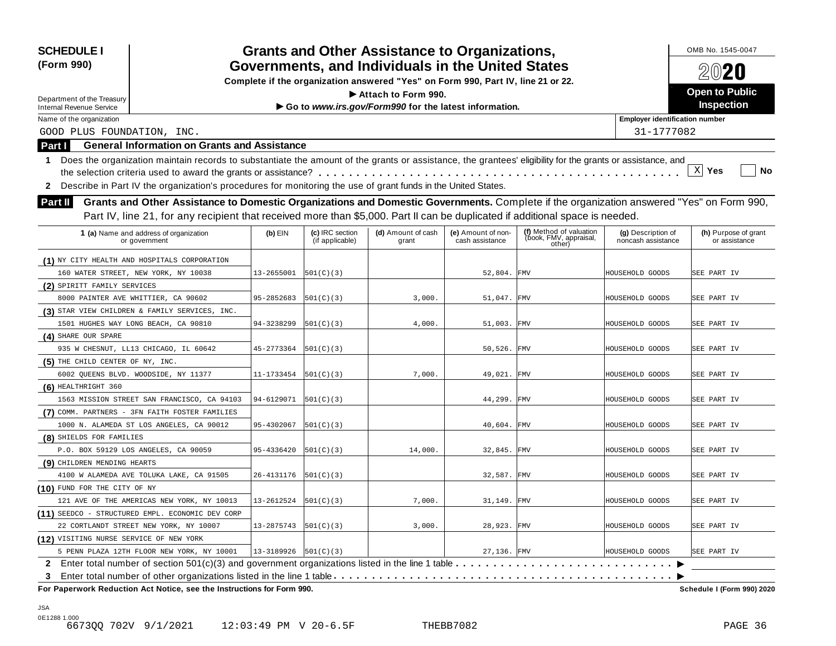| <b>SCHEDULE I</b>                                                      |                                                                                                                                                            |            |                                    | <b>Grants and Other Assistance to Organizations,</b>                             |                                       |                                                             |                                          | OMB No. 1545-0047                     |
|------------------------------------------------------------------------|------------------------------------------------------------------------------------------------------------------------------------------------------------|------------|------------------------------------|----------------------------------------------------------------------------------|---------------------------------------|-------------------------------------------------------------|------------------------------------------|---------------------------------------|
| (Form 990)                                                             |                                                                                                                                                            |            |                                    | Governments, and Individuals in the United States                                |                                       |                                                             |                                          | 2020                                  |
|                                                                        |                                                                                                                                                            |            |                                    | Complete if the organization answered "Yes" on Form 990, Part IV, line 21 or 22. |                                       |                                                             |                                          |                                       |
| Department of the Treasury                                             |                                                                                                                                                            |            |                                    | $\blacktriangleright$ Attach to Form 990.                                        |                                       |                                                             |                                          | <b>Open to Public</b>                 |
| <b>Internal Revenue Service</b>                                        |                                                                                                                                                            |            |                                    | Go to www.irs.gov/Form990 for the latest information.                            |                                       |                                                             |                                          | Inspection                            |
| Name of the organization                                               |                                                                                                                                                            |            |                                    |                                                                                  |                                       |                                                             | <b>Employer identification number</b>    |                                       |
| GOOD PLUS FOUNDATION, INC.                                             |                                                                                                                                                            |            |                                    |                                                                                  |                                       |                                                             | 31-1777082                               |                                       |
| <b>Part I</b>                                                          | <b>General Information on Grants and Assistance</b>                                                                                                        |            |                                    |                                                                                  |                                       |                                                             |                                          |                                       |
| 1                                                                      | Does the organization maintain records to substantiate the amount of the grants or assistance, the grantees' eligibility for the grants or assistance, and |            |                                    |                                                                                  |                                       |                                                             |                                          |                                       |
|                                                                        |                                                                                                                                                            |            |                                    |                                                                                  |                                       |                                                             |                                          | $\mathbf{x}$<br>Yes<br>No             |
| $\mathbf{2}$                                                           | Describe in Part IV the organization's procedures for monitoring the use of grant funds in the United States.                                              |            |                                    |                                                                                  |                                       |                                                             |                                          |                                       |
| <b>Part II</b>                                                         | Grants and Other Assistance to Domestic Organizations and Domestic Governments. Complete if the organization answered "Yes" on Form 990,                   |            |                                    |                                                                                  |                                       |                                                             |                                          |                                       |
|                                                                        |                                                                                                                                                            |            |                                    |                                                                                  |                                       |                                                             |                                          |                                       |
|                                                                        | Part IV, line 21, for any recipient that received more than \$5,000. Part II can be duplicated if additional space is needed.                              |            |                                    |                                                                                  |                                       |                                                             |                                          |                                       |
| 1 (a) Name and address of organization<br>or government                |                                                                                                                                                            | $(b)$ EIN  | (c) IRC section<br>(if applicable) | (d) Amount of cash<br>grant                                                      | (e) Amount of non-<br>cash assistance | (f) Method of valuation<br>(book, FMV, appraisal,<br>other) | (g) Description of<br>noncash assistance | (h) Purpose of grant<br>or assistance |
| (1) NY CITY HEALTH AND HOSPITALS CORPORATION                           |                                                                                                                                                            |            |                                    |                                                                                  |                                       |                                                             |                                          |                                       |
| 160 WATER STREET, NEW YORK, NY 10038                                   |                                                                                                                                                            | 13-2655001 | 501(C)(3)                          |                                                                                  | 52,804. FMV                           |                                                             | HOUSEHOLD GOODS                          | SEE PART IV                           |
| (2) SPIRITT FAMILY SERVICES                                            |                                                                                                                                                            |            |                                    |                                                                                  |                                       |                                                             |                                          |                                       |
| 8000 PAINTER AVE WHITTIER, CA 90602                                    |                                                                                                                                                            | 95-2852683 | 501(C)(3)                          | 3,000.                                                                           | 51,047. FMV                           |                                                             | HOUSEHOLD GOODS                          | SEE PART IV                           |
| (3) STAR VIEW CHILDREN & FAMILY SERVICES, INC.                         |                                                                                                                                                            |            |                                    |                                                                                  |                                       |                                                             |                                          |                                       |
| 1501 HUGHES WAY LONG BEACH, CA 90810                                   |                                                                                                                                                            | 94-3238299 | 501(C)(3)                          | 4,000.                                                                           | 51,003.                               | FMV                                                         | HOUSEHOLD GOODS                          | SEE PART IV                           |
| (4) SHARE OUR SPARE                                                    |                                                                                                                                                            |            |                                    |                                                                                  |                                       |                                                             |                                          |                                       |
| 935 W CHESNUT, LL13 CHICAGO, IL 60642                                  |                                                                                                                                                            | 45-2773364 | 501(C)(3)                          |                                                                                  | 50,526. FMV                           |                                                             | HOUSEHOLD GOODS                          | SEE PART IV                           |
| (5) THE CHILD CENTER OF NY, INC.                                       |                                                                                                                                                            |            |                                    |                                                                                  |                                       |                                                             |                                          |                                       |
| 6002 QUEENS BLVD. WOODSIDE, NY 11377                                   |                                                                                                                                                            | 11-1733454 | 501(C)(3)                          | 7,000.                                                                           | 49,021.                               | FMV                                                         | HOUSEHOLD GOODS                          | SEE PART IV                           |
| (6) HEALTHRIGHT 360                                                    |                                                                                                                                                            |            |                                    |                                                                                  |                                       |                                                             |                                          |                                       |
|                                                                        | 1563 MISSION STREET SAN FRANCISCO, CA 94103                                                                                                                | 94-6129071 | 501(C)(3)                          |                                                                                  | 44,299.                               | <b>FMV</b>                                                  | HOUSEHOLD GOODS                          | SEE PART IV                           |
| (7) COMM. PARTNERS - 3FN FAITH FOSTER FAMILIES                         |                                                                                                                                                            |            |                                    |                                                                                  |                                       |                                                             |                                          |                                       |
| 1000 N. ALAMEDA ST LOS ANGELES, CA 90012                               |                                                                                                                                                            | 95-4302067 | 501(C)(3)                          |                                                                                  | 40,604.                               | <b>FMV</b>                                                  | HOUSEHOLD GOODS                          | SEE PART IV                           |
| (8) SHIELDS FOR FAMILIES                                               |                                                                                                                                                            |            |                                    |                                                                                  |                                       |                                                             |                                          |                                       |
| P.O. BOX 59129 LOS ANGELES, CA 90059                                   |                                                                                                                                                            | 95-4336420 | 501(C)(3)                          | 14,000.                                                                          | 32,845.                               | FMV                                                         | HOUSEHOLD GOODS                          | SEE PART IV                           |
| (9) CHILDREN MENDING HEARTS                                            |                                                                                                                                                            |            |                                    |                                                                                  |                                       |                                                             |                                          |                                       |
| 4100 W ALAMEDA AVE TOLUKA LAKE, CA 91505                               |                                                                                                                                                            | 26-4131176 | 501(C)(3)                          |                                                                                  | 32,587. FMV                           |                                                             | HOUSEHOLD GOODS                          | SEE PART IV                           |
| (10) FUND FOR THE CITY OF NY                                           |                                                                                                                                                            |            |                                    |                                                                                  |                                       |                                                             |                                          |                                       |
|                                                                        | 121 AVE OF THE AMERICAS NEW YORK, NY 10013                                                                                                                 | 13-2612524 | 501(C)(3)                          | 7,000.                                                                           | 31,149. FMV                           |                                                             | HOUSEHOLD GOODS                          | SEE PART IV                           |
| (11) SEEDCO - STRUCTURED EMPL. ECONOMIC DEV CORP                       |                                                                                                                                                            |            |                                    |                                                                                  |                                       |                                                             |                                          |                                       |
| 22 CORTLANDT STREET NEW YORK, NY 10007                                 |                                                                                                                                                            | 13-2875743 | 501(C)(3)                          | 3,000.                                                                           | 28,923. FMV                           |                                                             | HOUSEHOLD GOODS                          | SEE PART IV                           |
| (12) VISITING NURSE SERVICE OF NEW YORK                                |                                                                                                                                                            |            |                                    |                                                                                  |                                       |                                                             |                                          |                                       |
|                                                                        | 5 PENN PLAZA 12TH FLOOR NEW YORK, NY 10001                                                                                                                 | 13-3189926 | 501(C)(3)                          |                                                                                  | 27,136. FMV                           |                                                             | HOUSEHOLD GOODS                          | SEE PART IV                           |
|                                                                        |                                                                                                                                                            |            |                                    |                                                                                  |                                       |                                                             |                                          |                                       |
| 3                                                                      |                                                                                                                                                            |            |                                    |                                                                                  |                                       |                                                             |                                          |                                       |
| For Paperwork Reduction Act Notice, see the Instructions for Form 990. |                                                                                                                                                            |            |                                    |                                                                                  |                                       |                                                             |                                          | Schedule I (Form 990) 2020            |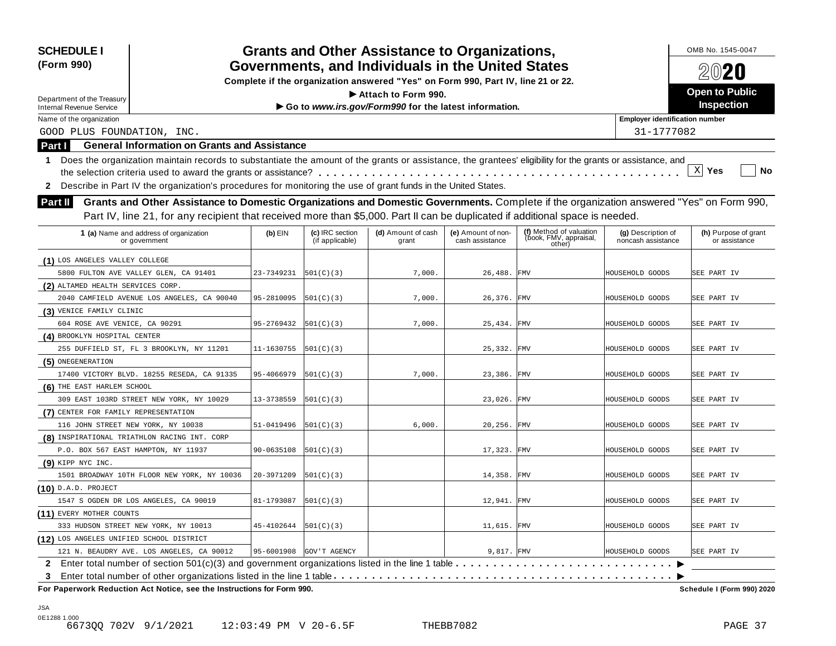| GOOD PLUS FOUNDATION, INC.<br><b>General Information on Grants and Assistance</b> |                                   |                                    | Governments, and Individuals in the United States<br>Complete if the organization answered "Yes" on Form 990, Part IV, line 21 or 22.<br>Attach to Form 990. |                                       |                                                                                                               |                                                                                                                                                                 |                                                                                                                                                                                                                                                                                                                                                                                                                                                                                                                                                                                                                                                                                                                  |  |
|-----------------------------------------------------------------------------------|-----------------------------------|------------------------------------|--------------------------------------------------------------------------------------------------------------------------------------------------------------|---------------------------------------|---------------------------------------------------------------------------------------------------------------|-----------------------------------------------------------------------------------------------------------------------------------------------------------------|------------------------------------------------------------------------------------------------------------------------------------------------------------------------------------------------------------------------------------------------------------------------------------------------------------------------------------------------------------------------------------------------------------------------------------------------------------------------------------------------------------------------------------------------------------------------------------------------------------------------------------------------------------------------------------------------------------------|--|
|                                                                                   |                                   |                                    |                                                                                                                                                              |                                       |                                                                                                               |                                                                                                                                                                 | 2020                                                                                                                                                                                                                                                                                                                                                                                                                                                                                                                                                                                                                                                                                                             |  |
|                                                                                   |                                   |                                    |                                                                                                                                                              |                                       |                                                                                                               |                                                                                                                                                                 |                                                                                                                                                                                                                                                                                                                                                                                                                                                                                                                                                                                                                                                                                                                  |  |
|                                                                                   |                                   |                                    |                                                                                                                                                              |                                       |                                                                                                               |                                                                                                                                                                 | <b>Open to Public</b>                                                                                                                                                                                                                                                                                                                                                                                                                                                                                                                                                                                                                                                                                            |  |
|                                                                                   |                                   |                                    | Go to www.irs.gov/Form990 for the latest information.                                                                                                        |                                       |                                                                                                               |                                                                                                                                                                 | Inspection                                                                                                                                                                                                                                                                                                                                                                                                                                                                                                                                                                                                                                                                                                       |  |
|                                                                                   |                                   |                                    |                                                                                                                                                              |                                       |                                                                                                               | <b>Employer identification number</b>                                                                                                                           |                                                                                                                                                                                                                                                                                                                                                                                                                                                                                                                                                                                                                                                                                                                  |  |
|                                                                                   |                                   |                                    |                                                                                                                                                              |                                       |                                                                                                               | 31-1777082                                                                                                                                                      |                                                                                                                                                                                                                                                                                                                                                                                                                                                                                                                                                                                                                                                                                                                  |  |
|                                                                                   |                                   |                                    |                                                                                                                                                              |                                       |                                                                                                               |                                                                                                                                                                 |                                                                                                                                                                                                                                                                                                                                                                                                                                                                                                                                                                                                                                                                                                                  |  |
|                                                                                   |                                   |                                    |                                                                                                                                                              |                                       |                                                                                                               |                                                                                                                                                                 |                                                                                                                                                                                                                                                                                                                                                                                                                                                                                                                                                                                                                                                                                                                  |  |
|                                                                                   |                                   |                                    |                                                                                                                                                              |                                       |                                                                                                               |                                                                                                                                                                 | $\mathbf{x}$<br>Yes<br>No                                                                                                                                                                                                                                                                                                                                                                                                                                                                                                                                                                                                                                                                                        |  |
|                                                                                   |                                   |                                    |                                                                                                                                                              |                                       |                                                                                                               |                                                                                                                                                                 |                                                                                                                                                                                                                                                                                                                                                                                                                                                                                                                                                                                                                                                                                                                  |  |
|                                                                                   |                                   |                                    |                                                                                                                                                              |                                       |                                                                                                               |                                                                                                                                                                 |                                                                                                                                                                                                                                                                                                                                                                                                                                                                                                                                                                                                                                                                                                                  |  |
|                                                                                   |                                   |                                    |                                                                                                                                                              |                                       |                                                                                                               |                                                                                                                                                                 |                                                                                                                                                                                                                                                                                                                                                                                                                                                                                                                                                                                                                                                                                                                  |  |
| 1 (a) Name and address of organization<br>or government                           | $(b)$ EIN                         | (c) IRC section<br>(if applicable) | (d) Amount of cash<br>grant                                                                                                                                  | (e) Amount of non-<br>cash assistance | (f) Method of valuation<br>(book, FMV, appraisal,<br>other)                                                   | (g) Description of<br>noncash assistance                                                                                                                        | (h) Purpose of grant<br>or assistance                                                                                                                                                                                                                                                                                                                                                                                                                                                                                                                                                                                                                                                                            |  |
| (1) LOS ANGELES VALLEY COLLEGE                                                    |                                   |                                    |                                                                                                                                                              |                                       |                                                                                                               |                                                                                                                                                                 |                                                                                                                                                                                                                                                                                                                                                                                                                                                                                                                                                                                                                                                                                                                  |  |
| 5800 FULTON AVE VALLEY GLEN, CA 91401                                             | 23-7349231                        |                                    | 7,000.                                                                                                                                                       |                                       |                                                                                                               |                                                                                                                                                                 | SEE PART IV                                                                                                                                                                                                                                                                                                                                                                                                                                                                                                                                                                                                                                                                                                      |  |
|                                                                                   |                                   |                                    |                                                                                                                                                              |                                       |                                                                                                               |                                                                                                                                                                 |                                                                                                                                                                                                                                                                                                                                                                                                                                                                                                                                                                                                                                                                                                                  |  |
| 2040 CAMFIELD AVENUE LOS ANGELES, CA 90040                                        | 95-2810095                        | 501(C)(3)                          | 7,000.                                                                                                                                                       |                                       |                                                                                                               |                                                                                                                                                                 | SEE PART IV                                                                                                                                                                                                                                                                                                                                                                                                                                                                                                                                                                                                                                                                                                      |  |
|                                                                                   |                                   |                                    |                                                                                                                                                              |                                       |                                                                                                               |                                                                                                                                                                 |                                                                                                                                                                                                                                                                                                                                                                                                                                                                                                                                                                                                                                                                                                                  |  |
| 604 ROSE AVE VENICE, CA 90291                                                     | 95-2769432                        | 501(C)(3)                          | 7,000.                                                                                                                                                       |                                       |                                                                                                               |                                                                                                                                                                 | SEE PART IV                                                                                                                                                                                                                                                                                                                                                                                                                                                                                                                                                                                                                                                                                                      |  |
| (4) BROOKLYN HOSPITAL CENTER                                                      |                                   |                                    |                                                                                                                                                              |                                       |                                                                                                               |                                                                                                                                                                 |                                                                                                                                                                                                                                                                                                                                                                                                                                                                                                                                                                                                                                                                                                                  |  |
| 255 DUFFIELD ST, FL 3 BROOKLYN, NY 11201                                          | 11-1630755                        |                                    |                                                                                                                                                              |                                       |                                                                                                               |                                                                                                                                                                 | SEE PART IV                                                                                                                                                                                                                                                                                                                                                                                                                                                                                                                                                                                                                                                                                                      |  |
|                                                                                   |                                   |                                    |                                                                                                                                                              |                                       |                                                                                                               |                                                                                                                                                                 |                                                                                                                                                                                                                                                                                                                                                                                                                                                                                                                                                                                                                                                                                                                  |  |
| 17400 VICTORY BLVD. 18255 RESEDA, CA 91335                                        | 95-4066979                        | 501(C)(3)                          | 7,000.                                                                                                                                                       | 23,386.                               |                                                                                                               |                                                                                                                                                                 | SEE PART IV                                                                                                                                                                                                                                                                                                                                                                                                                                                                                                                                                                                                                                                                                                      |  |
| (6) THE EAST HARLEM SCHOOL                                                        |                                   |                                    |                                                                                                                                                              |                                       |                                                                                                               |                                                                                                                                                                 |                                                                                                                                                                                                                                                                                                                                                                                                                                                                                                                                                                                                                                                                                                                  |  |
| 309 EAST 103RD STREET NEW YORK, NY 10029                                          | 13-3738559                        | 501(C)(3)                          |                                                                                                                                                              | 23,026.                               |                                                                                                               |                                                                                                                                                                 | SEE PART IV                                                                                                                                                                                                                                                                                                                                                                                                                                                                                                                                                                                                                                                                                                      |  |
| (7) CENTER FOR FAMILY REPRESENTATION                                              |                                   |                                    |                                                                                                                                                              |                                       |                                                                                                               |                                                                                                                                                                 |                                                                                                                                                                                                                                                                                                                                                                                                                                                                                                                                                                                                                                                                                                                  |  |
| 116 JOHN STREET NEW YORK, NY 10038                                                | 51-0419496                        | 501(C)(3)                          | 6,000.                                                                                                                                                       |                                       |                                                                                                               |                                                                                                                                                                 | SEE PART IV                                                                                                                                                                                                                                                                                                                                                                                                                                                                                                                                                                                                                                                                                                      |  |
| (8) INSPIRATIONAL TRIATHLON RACING INT. CORP                                      |                                   |                                    |                                                                                                                                                              |                                       |                                                                                                               |                                                                                                                                                                 |                                                                                                                                                                                                                                                                                                                                                                                                                                                                                                                                                                                                                                                                                                                  |  |
| P.O. BOX 567 EAST HAMPTON, NY 11937                                               | 90-0635108                        | 501(C)(3)                          |                                                                                                                                                              | 17,323.                               |                                                                                                               |                                                                                                                                                                 | SEE PART IV                                                                                                                                                                                                                                                                                                                                                                                                                                                                                                                                                                                                                                                                                                      |  |
|                                                                                   |                                   |                                    |                                                                                                                                                              |                                       |                                                                                                               |                                                                                                                                                                 |                                                                                                                                                                                                                                                                                                                                                                                                                                                                                                                                                                                                                                                                                                                  |  |
| 1501 BROADWAY 10TH FLOOR NEW YORK, NY 10036                                       | 20-3971209                        | 501(C)(3)                          |                                                                                                                                                              | 14,358.                               |                                                                                                               |                                                                                                                                                                 | SEE PART IV                                                                                                                                                                                                                                                                                                                                                                                                                                                                                                                                                                                                                                                                                                      |  |
|                                                                                   |                                   |                                    |                                                                                                                                                              |                                       |                                                                                                               |                                                                                                                                                                 |                                                                                                                                                                                                                                                                                                                                                                                                                                                                                                                                                                                                                                                                                                                  |  |
| 1547 S OGDEN DR LOS ANGELES, CA 90019                                             | 81-1793087                        |                                    |                                                                                                                                                              |                                       |                                                                                                               |                                                                                                                                                                 | SEE PART IV                                                                                                                                                                                                                                                                                                                                                                                                                                                                                                                                                                                                                                                                                                      |  |
|                                                                                   |                                   |                                    |                                                                                                                                                              |                                       |                                                                                                               |                                                                                                                                                                 |                                                                                                                                                                                                                                                                                                                                                                                                                                                                                                                                                                                                                                                                                                                  |  |
| 333 HUDSON STREET NEW YORK, NY 10013                                              | 45-4102644                        |                                    |                                                                                                                                                              |                                       |                                                                                                               |                                                                                                                                                                 | SEE PART IV                                                                                                                                                                                                                                                                                                                                                                                                                                                                                                                                                                                                                                                                                                      |  |
| (12) LOS ANGELES UNIFIED SCHOOL DISTRICT                                          |                                   |                                    |                                                                                                                                                              |                                       |                                                                                                               |                                                                                                                                                                 |                                                                                                                                                                                                                                                                                                                                                                                                                                                                                                                                                                                                                                                                                                                  |  |
| 121 N. BEAUDRY AVE. LOS ANGELES, CA 90012                                         |                                   |                                    |                                                                                                                                                              |                                       |                                                                                                               |                                                                                                                                                                 | SEE PART IV                                                                                                                                                                                                                                                                                                                                                                                                                                                                                                                                                                                                                                                                                                      |  |
|                                                                                   |                                   |                                    |                                                                                                                                                              |                                       |                                                                                                               |                                                                                                                                                                 |                                                                                                                                                                                                                                                                                                                                                                                                                                                                                                                                                                                                                                                                                                                  |  |
|                                                                                   |                                   |                                    |                                                                                                                                                              |                                       |                                                                                                               |                                                                                                                                                                 |                                                                                                                                                                                                                                                                                                                                                                                                                                                                                                                                                                                                                                                                                                                  |  |
|                                                                                   | (2) ALTAMED HEALTH SERVICES CORP. |                                    | 501(C)(3) <br> 501(C)(3) <br> 501(C)(3) <br> 501(C)(3) <br>95-6001908 GOV'T AGENCY<br>For Paperwork Reduction Act Notice, see the Instructions for Form 990. |                                       | Describe in Part IV the organization's procedures for monitoring the use of grant funds in the United States. | 26,488. FMV<br>26,376. FMV<br>25,434. FMV<br>25,332. FMV<br><b>FMV</b><br><b>FMV</b><br>20,256. FMV<br>FMV<br>FMV<br>12,941. FMV<br>11,615. FMV<br>$9,817.$ FMV | Does the organization maintain records to substantiate the amount of the grants or assistance, the grantees' eligibility for the grants or assistance, and<br>Grants and Other Assistance to Domestic Organizations and Domestic Governments. Complete if the organization answered "Yes" on Form 990,<br>Part IV, line 21, for any recipient that received more than \$5,000. Part II can be duplicated if additional space is needed.<br>HOUSEHOLD GOODS<br>HOUSEHOLD GOODS<br>HOUSEHOLD GOODS<br>HOUSEHOLD GOODS<br>HOUSEHOLD GOODS<br>HOUSEHOLD GOODS<br>HOUSEHOLD GOODS<br>HOUSEHOLD GOODS<br>HOUSEHOLD GOODS<br>HOUSEHOLD GOODS<br>HOUSEHOLD GOODS<br>HOUSEHOLD GOODS<br><b>Schedule I (Form 990) 2020</b> |  |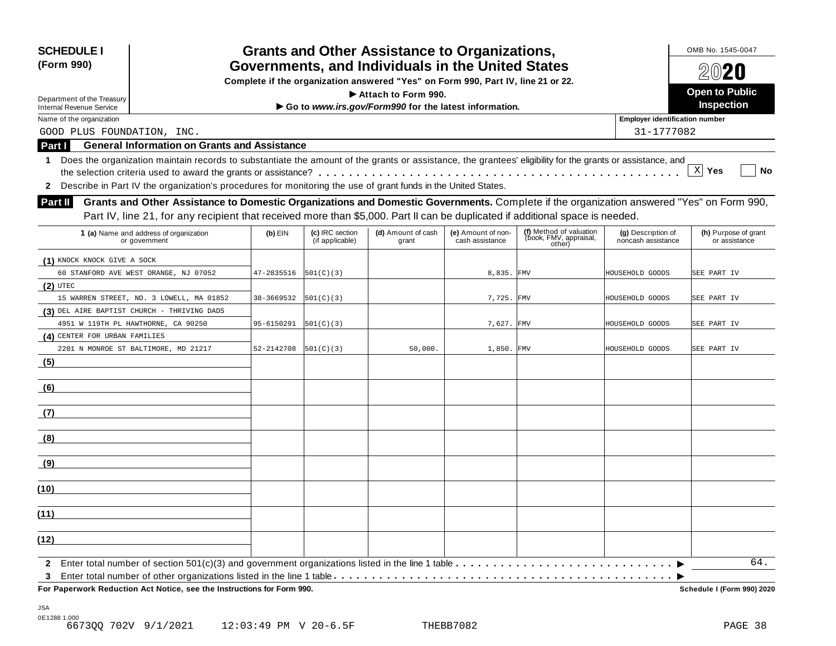| <b>SCHEDULE I</b><br>(Form 990) |                                                                                                                                                            |                                                                                                                                       |                                    | <b>Grants and Other Assistance to Organizations,</b>  |                                       |                                                             |                                          | OMB No. 1545-0047                     |
|---------------------------------|------------------------------------------------------------------------------------------------------------------------------------------------------------|---------------------------------------------------------------------------------------------------------------------------------------|------------------------------------|-------------------------------------------------------|---------------------------------------|-------------------------------------------------------------|------------------------------------------|---------------------------------------|
|                                 |                                                                                                                                                            | Governments, and Individuals in the United States<br>Complete if the organization answered "Yes" on Form 990, Part IV, line 21 or 22. |                                    |                                                       |                                       |                                                             |                                          | 2020                                  |
|                                 |                                                                                                                                                            |                                                                                                                                       |                                    |                                                       |                                       |                                                             |                                          |                                       |
| Department of the Treasury      |                                                                                                                                                            |                                                                                                                                       |                                    | Attach to Form 990.                                   |                                       |                                                             |                                          | <b>Open to Public</b>                 |
| <b>Internal Revenue Service</b> |                                                                                                                                                            |                                                                                                                                       |                                    | Go to www.irs.gov/Form990 for the latest information. |                                       |                                                             |                                          | Inspection                            |
| Name of the organization        |                                                                                                                                                            |                                                                                                                                       |                                    |                                                       |                                       |                                                             | <b>Employer identification number</b>    |                                       |
| GOOD PLUS FOUNDATION, INC.      |                                                                                                                                                            |                                                                                                                                       |                                    |                                                       |                                       |                                                             | 31-1777082                               |                                       |
| Part I                          | <b>General Information on Grants and Assistance</b>                                                                                                        |                                                                                                                                       |                                    |                                                       |                                       |                                                             |                                          |                                       |
| 1                               | Does the organization maintain records to substantiate the amount of the grants or assistance, the grantees' eligibility for the grants or assistance, and |                                                                                                                                       |                                    |                                                       |                                       |                                                             |                                          |                                       |
|                                 |                                                                                                                                                            |                                                                                                                                       |                                    |                                                       |                                       |                                                             |                                          | $X$ Yes<br>No                         |
| $\mathbf{2}$                    | Describe in Part IV the organization's procedures for monitoring the use of grant funds in the United States.                                              |                                                                                                                                       |                                    |                                                       |                                       |                                                             |                                          |                                       |
| Part II                         | Grants and Other Assistance to Domestic Organizations and Domestic Governments. Complete if the organization answered "Yes" on Form 990,                   |                                                                                                                                       |                                    |                                                       |                                       |                                                             |                                          |                                       |
|                                 | Part IV, line 21, for any recipient that received more than \$5,000. Part II can be duplicated if additional space is needed.                              |                                                                                                                                       |                                    |                                                       |                                       |                                                             |                                          |                                       |
|                                 |                                                                                                                                                            |                                                                                                                                       |                                    |                                                       |                                       |                                                             |                                          |                                       |
|                                 | 1 (a) Name and address of organization<br>or government                                                                                                    | $(b)$ EIN                                                                                                                             | (c) IRC section<br>(if applicable) | (d) Amount of cash<br>grant                           | (e) Amount of non-<br>cash assistance | (f) Method of valuation<br>(book, FMV, appraisal,<br>other) | (g) Description of<br>noncash assistance | (h) Purpose of grant<br>or assistance |
| (1) KNOCK KNOCK GIVE A SOCK     |                                                                                                                                                            |                                                                                                                                       |                                    |                                                       |                                       |                                                             |                                          |                                       |
|                                 | 60 STANFORD AVE WEST ORANGE, NJ 07052                                                                                                                      | 47-2835516                                                                                                                            | 501(C)(3)                          |                                                       | 8,835. FMV                            |                                                             | HOUSEHOLD GOODS                          | SEE PART IV                           |
| $(2)$ UTEC                      |                                                                                                                                                            |                                                                                                                                       |                                    |                                                       |                                       |                                                             |                                          |                                       |
|                                 | 15 WARREN STREET, NO. 3 LOWELL, MA 01852                                                                                                                   | 38-3669532                                                                                                                            | 501(C)(3)                          |                                                       | 7,725. FMV                            |                                                             | HOUSEHOLD GOODS                          | SEE PART IV                           |
|                                 | (3) DEL AIRE BAPTIST CHURCH - THRIVING DADS                                                                                                                |                                                                                                                                       |                                    |                                                       |                                       |                                                             |                                          |                                       |
|                                 | 4951 W 119TH PL HAWTHORNE, CA 90250                                                                                                                        | 95-6150291                                                                                                                            | 501(C)(3)                          |                                                       | 7,627. FMV                            |                                                             | HOUSEHOLD GOODS                          | SEE PART IV                           |
| (4) CENTER FOR URBAN FAMILIES   |                                                                                                                                                            |                                                                                                                                       |                                    |                                                       |                                       |                                                             |                                          |                                       |
|                                 | 2201 N MONROE ST BALTIMORE, MD 21217                                                                                                                       | 52-2142708                                                                                                                            | 501(C)(3)                          | 50,000.                                               | 1,850. FMV                            |                                                             | HOUSEHOLD GOODS                          | SEE PART IV                           |
| (5)                             |                                                                                                                                                            |                                                                                                                                       |                                    |                                                       |                                       |                                                             |                                          |                                       |
| (6)                             |                                                                                                                                                            |                                                                                                                                       |                                    |                                                       |                                       |                                                             |                                          |                                       |
| (7)                             |                                                                                                                                                            |                                                                                                                                       |                                    |                                                       |                                       |                                                             |                                          |                                       |
| (8)                             |                                                                                                                                                            |                                                                                                                                       |                                    |                                                       |                                       |                                                             |                                          |                                       |
| (9)                             |                                                                                                                                                            |                                                                                                                                       |                                    |                                                       |                                       |                                                             |                                          |                                       |
| (10)                            |                                                                                                                                                            |                                                                                                                                       |                                    |                                                       |                                       |                                                             |                                          |                                       |
| (11)                            |                                                                                                                                                            |                                                                                                                                       |                                    |                                                       |                                       |                                                             |                                          |                                       |
| (12)                            |                                                                                                                                                            |                                                                                                                                       |                                    |                                                       |                                       |                                                             |                                          |                                       |
| $\mathbf{2}$                    |                                                                                                                                                            |                                                                                                                                       |                                    |                                                       |                                       |                                                             |                                          | 64.                                   |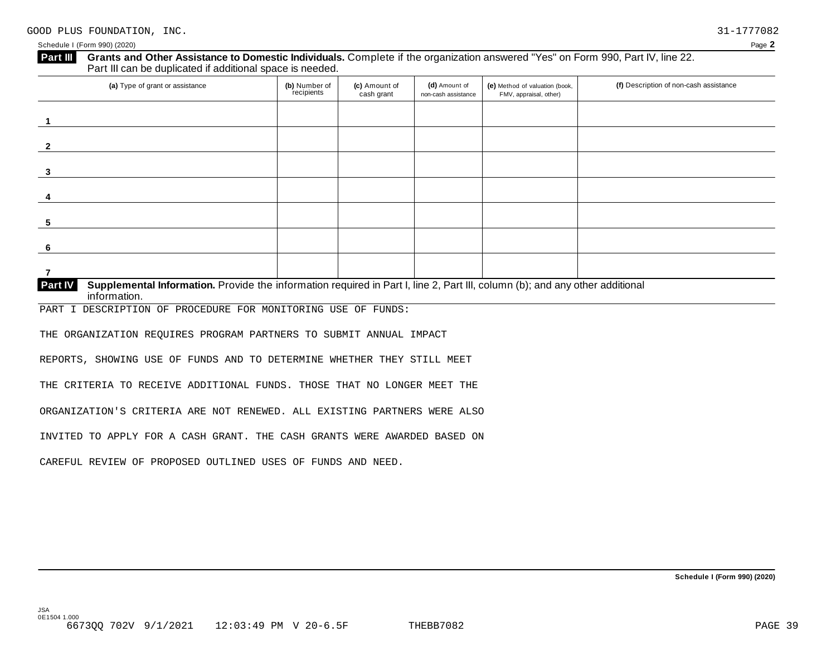| (a) Type of grant or assistance | (b) Number of<br>recipients | (c) Amount of<br>cash grant | (d) Amount of<br>non-cash assistance | (e) Method of valuation (book,<br>FMV, appraisal, other) | (f) Description of non-cash assistance |
|---------------------------------|-----------------------------|-----------------------------|--------------------------------------|----------------------------------------------------------|----------------------------------------|
|                                 |                             |                             |                                      |                                                          |                                        |
|                                 |                             |                             |                                      |                                                          |                                        |
|                                 |                             |                             |                                      |                                                          |                                        |
|                                 |                             |                             |                                      |                                                          |                                        |
|                                 |                             |                             |                                      |                                                          |                                        |
|                                 |                             |                             |                                      |                                                          |                                        |
|                                 |                             |                             |                                      |                                                          |                                        |

PART I DESCRIPTION OF PROCEDURE FOR MONITORING USE OF FUNDS:

THE ORGANIZATION REQUIRES PROGRAM PARTNERS TO SUBMIT ANNUAL IMPACT

REPORTS, SHOWING USE OF FUNDS AND TO DETERMINE WHETHER THEY STILL MEET

THE CRITERIA TO RECEIVE ADDITIONAL FUNDS. THOSE THAT NO LONGER MEET THE

ORGANIZATION'S CRITERIA ARE NOT RENEWED. ALL EXISTING PARTNERS WERE ALSO

INVITED TO APPLY FOR A CASH GRANT. THE CASH GRANTS WERE AWARDED BASED ON

CAREFUL REVIEW OF PROPOSED OUTLINED USES OF FUNDS AND NEED.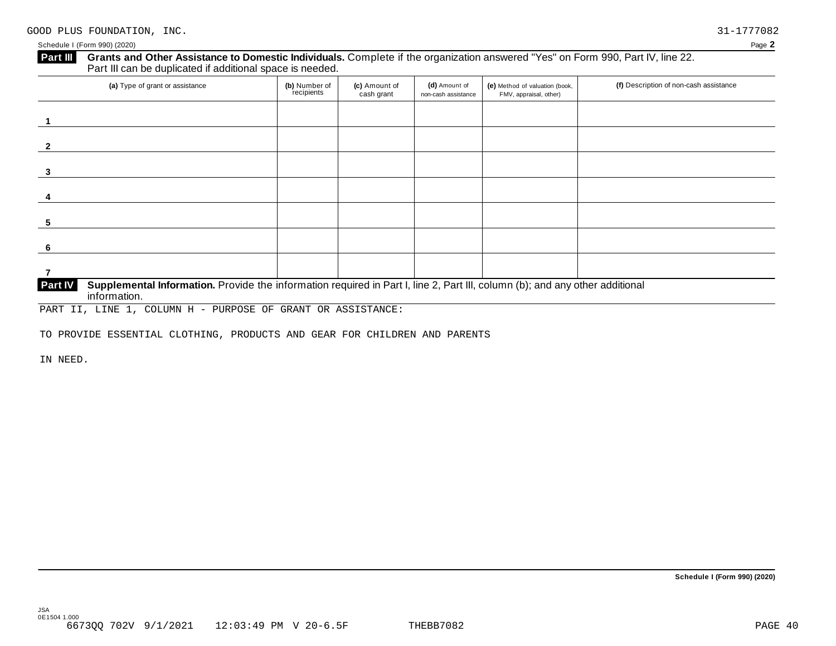| (a) Type of grant or assistance | (b) Number of<br>recipients | (c) Amount of<br>cash grant | (d) Amount of<br>non-cash assistance | (e) Method of valuation (book,<br>FMV, appraisal, other) | (f) Description of non-cash assistance |
|---------------------------------|-----------------------------|-----------------------------|--------------------------------------|----------------------------------------------------------|----------------------------------------|
|                                 |                             |                             |                                      |                                                          |                                        |
|                                 |                             |                             |                                      |                                                          |                                        |
|                                 |                             |                             |                                      |                                                          |                                        |
|                                 |                             |                             |                                      |                                                          |                                        |
|                                 |                             |                             |                                      |                                                          |                                        |
|                                 |                             |                             |                                      |                                                          |                                        |
|                                 |                             |                             |                                      |                                                          |                                        |

PART II, LINE 1, COLUMN H - PURPOSE OF GRANT OR ASSISTANCE:

TO PROVIDE ESSENTIAL CLOTHING, PRODUCTS AND GEAR FOR CHILDREN AND PARENTS

IN NEED.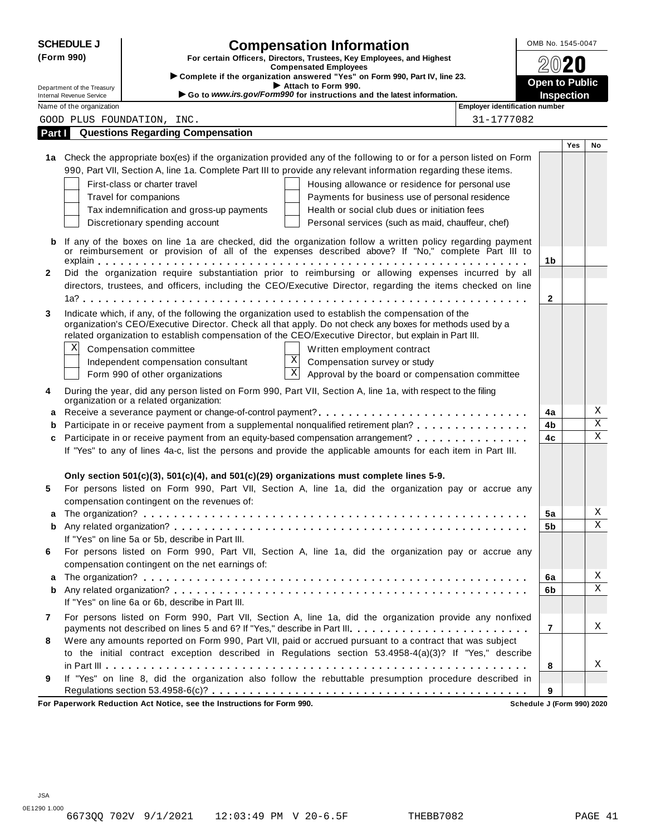|                                                                                                                     | <b>SCHEDULE J</b><br><b>Compensation Information</b><br>OMB No. 1545-0047 |                                                                                                                      |                                            |     |                              |  |
|---------------------------------------------------------------------------------------------------------------------|---------------------------------------------------------------------------|----------------------------------------------------------------------------------------------------------------------|--------------------------------------------|-----|------------------------------|--|
| (Form 990)<br>For certain Officers, Directors, Trustees, Key Employees, and Highest<br><b>Compensated Employees</b> |                                                                           |                                                                                                                      |                                            |     |                              |  |
|                                                                                                                     |                                                                           | Complete if the organization answered "Yes" on Form 990, Part IV, line 23.                                           |                                            |     |                              |  |
|                                                                                                                     | Department of the Treasury<br><b>Internal Revenue Service</b>             | Attach to Form 990.<br>Go to www.irs.gov/Form990 for instructions and the latest information.                        | <b>Open to Public</b><br><b>Inspection</b> |     |                              |  |
|                                                                                                                     | Name of the organization                                                  | <b>Employer identification number</b>                                                                                |                                            |     |                              |  |
|                                                                                                                     |                                                                           | 31-1777082<br>GOOD PLUS FOUNDATION, INC.                                                                             |                                            |     |                              |  |
| Part I                                                                                                              |                                                                           | <b>Questions Regarding Compensation</b>                                                                              |                                            |     |                              |  |
|                                                                                                                     |                                                                           |                                                                                                                      |                                            | Yes | No                           |  |
|                                                                                                                     |                                                                           | 1a Check the appropriate box(es) if the organization provided any of the following to or for a person listed on Form |                                            |     |                              |  |
|                                                                                                                     |                                                                           | 990, Part VII, Section A, line 1a. Complete Part III to provide any relevant information regarding these items.      |                                            |     |                              |  |
|                                                                                                                     |                                                                           | First-class or charter travel<br>Housing allowance or residence for personal use                                     |                                            |     |                              |  |
|                                                                                                                     |                                                                           | Travel for companions<br>Payments for business use of personal residence                                             |                                            |     |                              |  |
|                                                                                                                     |                                                                           | Health or social club dues or initiation fees<br>Tax indemnification and gross-up payments                           |                                            |     |                              |  |
|                                                                                                                     |                                                                           | Discretionary spending account<br>Personal services (such as maid, chauffeur, chef)                                  |                                            |     |                              |  |
|                                                                                                                     |                                                                           | If any of the boxes on line 1a are checked, did the organization follow a written policy regarding payment           |                                            |     |                              |  |
| b                                                                                                                   |                                                                           | or reimbursement or provision of all of the expenses described above? If "No," complete Part III to                  |                                            |     |                              |  |
|                                                                                                                     |                                                                           |                                                                                                                      | 1b                                         |     |                              |  |
| $\mathbf{2}$                                                                                                        |                                                                           | Did the organization require substantiation prior to reimbursing or allowing expenses incurred by all                |                                            |     |                              |  |
|                                                                                                                     |                                                                           | directors, trustees, and officers, including the CEO/Executive Director, regarding the items checked on line         |                                            |     |                              |  |
|                                                                                                                     |                                                                           |                                                                                                                      | $\mathbf{2}$                               |     |                              |  |
| 3                                                                                                                   |                                                                           | Indicate which, if any, of the following the organization used to establish the compensation of the                  |                                            |     |                              |  |
|                                                                                                                     |                                                                           | organization's CEO/Executive Director. Check all that apply. Do not check any boxes for methods used by a            |                                            |     |                              |  |
|                                                                                                                     |                                                                           | related organization to establish compensation of the CEO/Executive Director, but explain in Part III.               |                                            |     |                              |  |
|                                                                                                                     | Χ                                                                         | Compensation committee<br>Written employment contract                                                                |                                            |     |                              |  |
|                                                                                                                     |                                                                           | $\mathbf X$<br>Compensation survey or study<br>Independent compensation consultant                                   |                                            |     |                              |  |
|                                                                                                                     |                                                                           | $\mathbf X$<br>Approval by the board or compensation committee<br>Form 990 of other organizations                    |                                            |     |                              |  |
| 4                                                                                                                   |                                                                           | During the year, did any person listed on Form 990, Part VII, Section A, line 1a, with respect to the filing         |                                            |     |                              |  |
|                                                                                                                     |                                                                           | organization or a related organization:                                                                              |                                            |     |                              |  |
| a                                                                                                                   |                                                                           |                                                                                                                      | 4a                                         |     | Χ<br>$\overline{\mathbf{x}}$ |  |
| b                                                                                                                   |                                                                           | Participate in or receive payment from a supplemental nonqualified retirement plan?                                  | 4b                                         |     | $\mathbf X$                  |  |
| c                                                                                                                   |                                                                           | Participate in or receive payment from an equity-based compensation arrangement?                                     | 4c                                         |     |                              |  |
|                                                                                                                     |                                                                           | If "Yes" to any of lines 4a-c, list the persons and provide the applicable amounts for each item in Part III.        |                                            |     |                              |  |
|                                                                                                                     |                                                                           |                                                                                                                      |                                            |     |                              |  |
|                                                                                                                     |                                                                           | Only section 501(c)(3), 501(c)(4), and 501(c)(29) organizations must complete lines 5-9.                             |                                            |     |                              |  |
| 5                                                                                                                   |                                                                           | For persons listed on Form 990, Part VII, Section A, line 1a, did the organization pay or accrue any                 |                                            |     |                              |  |
|                                                                                                                     |                                                                           | compensation contingent on the revenues of:                                                                          |                                            |     | Χ                            |  |
|                                                                                                                     |                                                                           |                                                                                                                      | 5a                                         |     | X                            |  |
| b                                                                                                                   |                                                                           | If "Yes" on line 5a or 5b, describe in Part III.                                                                     | 5b                                         |     |                              |  |
| 6                                                                                                                   |                                                                           | For persons listed on Form 990, Part VII, Section A, line 1a, did the organization pay or accrue any                 |                                            |     |                              |  |
|                                                                                                                     |                                                                           | compensation contingent on the net earnings of:                                                                      |                                            |     |                              |  |
| a                                                                                                                   |                                                                           |                                                                                                                      | 6a                                         |     | Χ                            |  |
| b                                                                                                                   |                                                                           |                                                                                                                      | 6b                                         |     | $\mathbf X$                  |  |
|                                                                                                                     |                                                                           | If "Yes" on line 6a or 6b, describe in Part III.                                                                     |                                            |     |                              |  |
| 7                                                                                                                   |                                                                           | For persons listed on Form 990, Part VII, Section A, line 1a, did the organization provide any nonfixed              |                                            |     |                              |  |
|                                                                                                                     |                                                                           | payments not described on lines 5 and 6? If "Yes," describe in Part III.                                             | $\overline{7}$                             |     | Χ                            |  |
|                                                                                                                     |                                                                           | Were any amounts reported on Form 990, Part VII, paid or accrued pursuant to a contract that was subject             |                                            |     |                              |  |
|                                                                                                                     |                                                                           | to the initial contract exception described in Regulations section 53.4958-4(a)(3)? If "Yes," describe               |                                            |     |                              |  |
|                                                                                                                     |                                                                           |                                                                                                                      |                                            |     |                              |  |
|                                                                                                                     |                                                                           |                                                                                                                      | 8                                          |     | Χ                            |  |
| 8<br>9                                                                                                              |                                                                           | If "Yes" on line 8, did the organization also follow the rebuttable presumption procedure described in               |                                            |     |                              |  |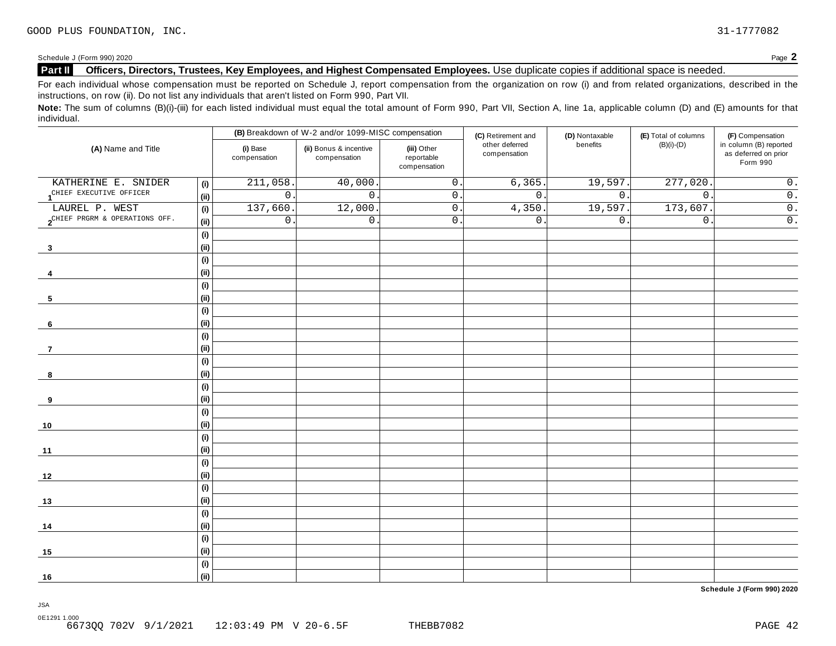Schedule J (Form 990) 2020 Page **2**

#### **Part II** Officers, Directors, Trustees, Key Employees, and Highest Compensated Employees. Use duplicate copies if additional space is needed.

For each individual whose compensation must be reported on Schedule J, report compensation from the organization on row (i) and from related organizations, described in the instructions, on row (ii). Do not list any individuals that aren't listed on Form 990, Part VII.

Note: The sum of columns (B)(i)-(iii) for each listed individual must equal the total amount of Form 990, Part VII, Section A, line 1a, applicable column (D) and (E) amounts for that individual.

|                                                   |                              |                          | (B) Breakdown of W-2 and/or 1099-MISC compensation                                  |                  | (C) Retirement and             | (D) Nontaxable   | (E) Total of columns | (F) Compensation                                           |
|---------------------------------------------------|------------------------------|--------------------------|-------------------------------------------------------------------------------------|------------------|--------------------------------|------------------|----------------------|------------------------------------------------------------|
| (A) Name and Title                                |                              | (i) Base<br>compensation | (ii) Bonus & incentive<br>(iii) Other<br>reportable<br>compensation<br>compensation |                  | other deferred<br>compensation | benefits         | $(B)(i)-(D)$         | in column (B) reported<br>as deferred on prior<br>Form 990 |
| KATHERINE E. SNIDER                               | (i)                          | 211,058                  | 40,000.                                                                             | $\mathsf{O}$ .   | 6, 365                         | 19,597.          | 277,020              | $0$ .                                                      |
| 1 <sup>CHIEF</sup> EXECUTIVE OFFICER              | (ii)                         | $\mathsf{O}$ .           | $\mathsf{O}$ .                                                                      | $\mathsf{O}$ .   | $0$ .                          | 0.               | $\overline{0}$ .     | $\overline{0}$ .                                           |
| LAUREL P. WEST                                    | (i)                          | 137,660                  | 12,000.                                                                             | $\mathsf{0}$ .   | 4,350.                         | 19,597.          | 173,607.             | $\overline{0}$ .                                           |
| $2^{\text{CHIEF PRGRM & \text{OPERATIONS OFF.}}}$ | (ii)                         | $\mathsf{O}$ .           | $0$ .                                                                               | $\overline{0}$ . | $0$ .                          | $\overline{0}$ . | $\mathsf{0}$ .       | $\overline{0}$ .                                           |
|                                                   | (i)                          |                          |                                                                                     |                  |                                |                  |                      |                                                            |
| $\overline{\mathbf{3}}$                           | (ii)                         |                          |                                                                                     |                  |                                |                  |                      |                                                            |
|                                                   | (i)                          |                          |                                                                                     |                  |                                |                  |                      |                                                            |
| 4                                                 | (i)                          |                          |                                                                                     |                  |                                |                  |                      |                                                            |
|                                                   | (i)                          |                          |                                                                                     |                  |                                |                  |                      |                                                            |
| 5                                                 | (ii)                         |                          |                                                                                     |                  |                                |                  |                      |                                                            |
|                                                   | (i)                          |                          |                                                                                     |                  |                                |                  |                      |                                                            |
| 6                                                 | (ii)                         |                          |                                                                                     |                  |                                |                  |                      |                                                            |
|                                                   | (i)                          |                          |                                                                                     |                  |                                |                  |                      |                                                            |
| $\overline{7}$                                    | (ii)                         |                          |                                                                                     |                  |                                |                  |                      |                                                            |
|                                                   | (i)                          |                          |                                                                                     |                  |                                |                  |                      |                                                            |
| 8                                                 | (i)                          |                          |                                                                                     |                  |                                |                  |                      |                                                            |
|                                                   | $\qquad \qquad \textbf{(i)}$ |                          |                                                                                     |                  |                                |                  |                      |                                                            |
| 9                                                 | (ii)                         |                          |                                                                                     |                  |                                |                  |                      |                                                            |
|                                                   | (i)                          |                          |                                                                                     |                  |                                |                  |                      |                                                            |
| 10                                                | (ii)                         |                          |                                                                                     |                  |                                |                  |                      |                                                            |
|                                                   | (i)                          |                          |                                                                                     |                  |                                |                  |                      |                                                            |
| 11                                                | (ii)                         |                          |                                                                                     |                  |                                |                  |                      |                                                            |
|                                                   | $\qquad \qquad \textbf{(i)}$ |                          |                                                                                     |                  |                                |                  |                      |                                                            |
| 12                                                | (ii)                         |                          |                                                                                     |                  |                                |                  |                      |                                                            |
|                                                   | $\qquad \qquad \textbf{(i)}$ |                          |                                                                                     |                  |                                |                  |                      |                                                            |
| 13                                                | (ii)                         |                          |                                                                                     |                  |                                |                  |                      |                                                            |
|                                                   | (i)                          |                          |                                                                                     |                  |                                |                  |                      |                                                            |
| 14                                                | (i)                          |                          |                                                                                     |                  |                                |                  |                      |                                                            |
|                                                   | (i)                          |                          |                                                                                     |                  |                                |                  |                      |                                                            |
| 15                                                | (i)                          |                          |                                                                                     |                  |                                |                  |                      |                                                            |
|                                                   | (i)                          |                          |                                                                                     |                  |                                |                  |                      |                                                            |
| 16                                                | (ii)                         |                          |                                                                                     |                  |                                |                  |                      |                                                            |

**Schedule J (Form 990) 2020**

JSA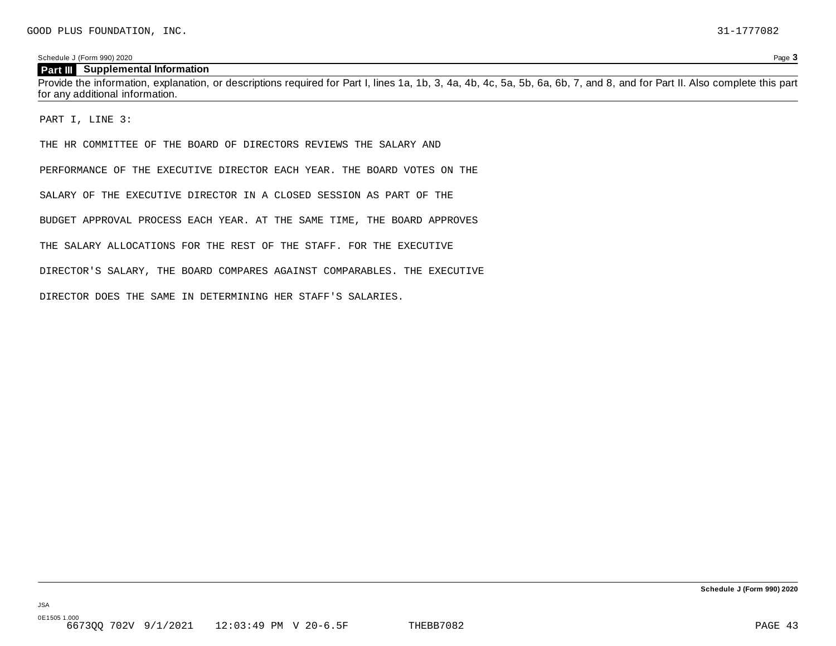Schedule J (Form 990) 2020 Page **3**

#### **Part III** Supplemental Information

Provide the information, explanation, or descriptions required for Part I, lines 1a, 1b, 3, 4a, 4b, 4c, 5a, 5b, 6a, 6b, 7, and 8, and for Part II. Also complete this part for any additional information.

PART I, LINE 3:

THE HR COMMITTEE OF THE BOARD OF DIRECTORS REVIEWS THE SALARY AND

PERFORMANCE OF THE EXECUTIVE DIRECTOR EACH YEAR. THE BOARD VOTES ON THE

SALARY OF THE EXECUTIVE DIRECTOR IN A CLOSED SESSION AS PART OF THE

BUDGET APPROVAL PROCESS EACH YEAR. AT THE SAME TIME, THE BOARD APPROVES

THE SALARY ALLOCATIONS FOR THE REST OF THE STAFF. FOR THE EXECUTIVE

DIRECTOR'S SALARY, THE BOARD COMPARES AGAINST COMPARABLES. THE EXECUTIVE

DIRECTOR DOES THE SAME IN DETERMINING HER STAFF'S SALARIES.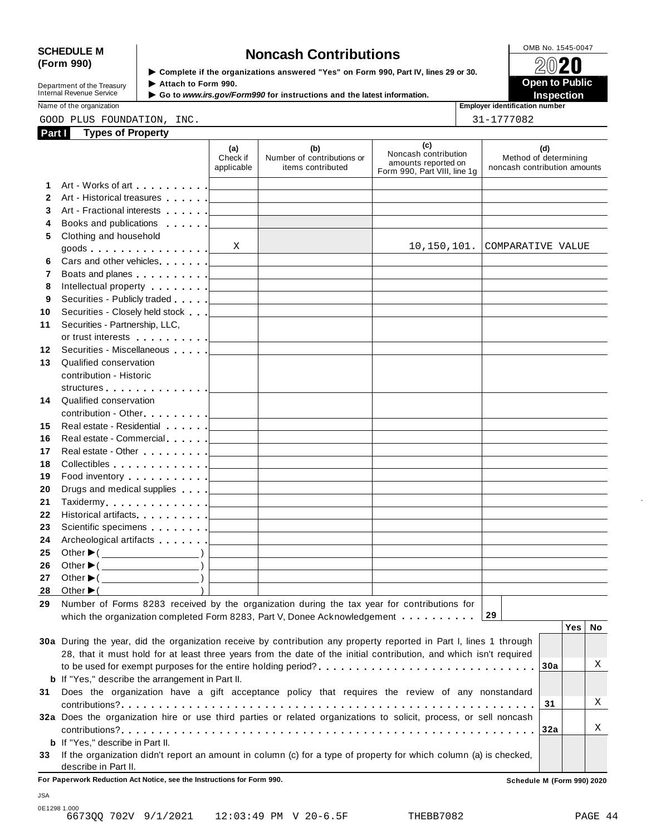# SCHEDULE M<br>
(Form 990) **Solutions**<br> **Solutions**<br> **Solutions**<br> **Solutions**<br> **Solutions**<br> **Solutions**<br> **Solutions**<br> **Solutions**<br> **Solutions**<br> **Solutions**<br> **Solutions**<br> **Solutions**<br> **Solutions**<br> **Solutions**<br> **Solutions**<br> **So**

| Department of the Treasury |  |
|----------------------------|--|
| Internal Revenue Service   |  |
|                            |  |

▶ Complete if the organizations answered "Yes" on Form 990, Part IV, lines 29 or 30. Attach to Form 990.

 **Open to Public**  ▶ Go to *www.irs.gov/Form990* for instructions and the latest information. **INSPECTION** 

Name of the organization **Employer identification number Employer identification number** 

|              | GOOD PLUS FOUNDATION, INC.                                                                                                                                                                                                                                                                                                                                                                                                                                                                          |                                   |                                                                                                                     |                                                                                    | 31-1777082                                                   |
|--------------|-----------------------------------------------------------------------------------------------------------------------------------------------------------------------------------------------------------------------------------------------------------------------------------------------------------------------------------------------------------------------------------------------------------------------------------------------------------------------------------------------------|-----------------------------------|---------------------------------------------------------------------------------------------------------------------|------------------------------------------------------------------------------------|--------------------------------------------------------------|
| Part I       | <b>Types of Property</b>                                                                                                                                                                                                                                                                                                                                                                                                                                                                            |                                   |                                                                                                                     |                                                                                    |                                                              |
|              |                                                                                                                                                                                                                                                                                                                                                                                                                                                                                                     | (a)<br>Check if<br>applicable     | (b)<br>Number of contributions or<br>items contributed                                                              | (c)<br>Noncash contribution<br>amounts reported on<br>Form 990, Part VIII, line 1g | (d)<br>Method of determining<br>noncash contribution amounts |
| 1            | Art - Works of art example and all                                                                                                                                                                                                                                                                                                                                                                                                                                                                  |                                   |                                                                                                                     |                                                                                    |                                                              |
| $\mathbf{2}$ | Art - Historical treasures                                                                                                                                                                                                                                                                                                                                                                                                                                                                          |                                   |                                                                                                                     |                                                                                    |                                                              |
| 3            |                                                                                                                                                                                                                                                                                                                                                                                                                                                                                                     |                                   |                                                                                                                     |                                                                                    |                                                              |
| 4            | Books and publications [19]                                                                                                                                                                                                                                                                                                                                                                                                                                                                         |                                   |                                                                                                                     |                                                                                    |                                                              |
| 5            | Clothing and household                                                                                                                                                                                                                                                                                                                                                                                                                                                                              |                                   |                                                                                                                     |                                                                                    |                                                              |
|              | goods $\ldots$ $\ldots$ $\ldots$ $\ldots$ $\ldots$                                                                                                                                                                                                                                                                                                                                                                                                                                                  | X                                 |                                                                                                                     | 10,150,101.                                                                        | COMPARATIVE VALUE                                            |
| 6            | Cars and other vehicles                                                                                                                                                                                                                                                                                                                                                                                                                                                                             | <u>and the state of the state</u> | <u> 1989 - Johann Barn, mars ann an t-Amhain an t-Amhain an t-Amhain an t-Amhain an t-Amhain an t-Amhain an t-A</u> |                                                                                    |                                                              |
| 7            | Boats and planes <u>  _ _ _ _ _</u>                                                                                                                                                                                                                                                                                                                                                                                                                                                                 |                                   |                                                                                                                     |                                                                                    |                                                              |
| 8            | Intellectual property   _ _ _ _ _ _ _ _ _ _                                                                                                                                                                                                                                                                                                                                                                                                                                                         |                                   | <u> 1980 - Johann Barbara, martxa alemaniar a</u>                                                                   |                                                                                    |                                                              |
| 9            | Securities - Publicly traded [100]                                                                                                                                                                                                                                                                                                                                                                                                                                                                  |                                   | <u> 1989 - John Stein, Amerikaansk politiker (</u>                                                                  |                                                                                    |                                                              |
| 10           | Securities - Closely held stock                                                                                                                                                                                                                                                                                                                                                                                                                                                                     |                                   |                                                                                                                     |                                                                                    |                                                              |
| 11           | Securities - Partnership, LLC,                                                                                                                                                                                                                                                                                                                                                                                                                                                                      |                                   |                                                                                                                     |                                                                                    |                                                              |
|              | or trust interests entertainment in the set of the set of the set of the set of the set of the set of the set o                                                                                                                                                                                                                                                                                                                                                                                     |                                   |                                                                                                                     |                                                                                    |                                                              |
| 12           | Securities - Miscellaneous                                                                                                                                                                                                                                                                                                                                                                                                                                                                          |                                   |                                                                                                                     |                                                                                    |                                                              |
| 13           | Qualified conservation                                                                                                                                                                                                                                                                                                                                                                                                                                                                              |                                   |                                                                                                                     |                                                                                    |                                                              |
|              | contribution - Historic                                                                                                                                                                                                                                                                                                                                                                                                                                                                             |                                   |                                                                                                                     |                                                                                    |                                                              |
|              | structures [19]                                                                                                                                                                                                                                                                                                                                                                                                                                                                                     |                                   |                                                                                                                     |                                                                                    |                                                              |
| 14           | Qualified conservation                                                                                                                                                                                                                                                                                                                                                                                                                                                                              |                                   |                                                                                                                     |                                                                                    |                                                              |
|              |                                                                                                                                                                                                                                                                                                                                                                                                                                                                                                     |                                   |                                                                                                                     |                                                                                    |                                                              |
| 15           | Real estate - Residential                                                                                                                                                                                                                                                                                                                                                                                                                                                                           | the company of the company        | the control of the control of the control of the control of the control of                                          |                                                                                    |                                                              |
| 16           | Real estate - Commercial entering the state of the state of the state of the state of the state of the state of the state of the state of the state of the state of the state of the state of the state of the state of the st                                                                                                                                                                                                                                                                      |                                   |                                                                                                                     |                                                                                    |                                                              |
| 17           |                                                                                                                                                                                                                                                                                                                                                                                                                                                                                                     |                                   |                                                                                                                     |                                                                                    |                                                              |
| 18           | $\textsf{Collectibles} \texttt{} \ldots \ldots \ldots \textcolor{red}{\textcolor{red}{\bigcup_{\textcolor{blue}{\textbf{[1]} \text{ } \text{[1]} \text{ [1]} \text{ [1]} \text{ [1]} \text{ [1]} \text{ [1]} \text{ [1]} \text{ [1]} \text{ [1]} \text{ [1]}}}} \ldots \ldots \ldots \textcolor{red}{\bigcup_{\textcolor{blue}{\text{[1]} \text{ [1]} \text{ [1]} \text{ [1]} \text{ [1] } \text{ [1]}} \ldots \textcolor{red}{\bigcup_{\textcolor{blue}{\text{[1]} \text{ [1]} \text{ [1]} \text{$ |                                   |                                                                                                                     |                                                                                    |                                                              |
| 19           | Food inventory <u>  _ _ _ _</u> _                                                                                                                                                                                                                                                                                                                                                                                                                                                                   |                                   | <u> 1980 - Johann Barbara, martxa alemaniar a</u>                                                                   |                                                                                    |                                                              |
| 20           | Drugs and medical supplies                                                                                                                                                                                                                                                                                                                                                                                                                                                                          |                                   | <u> 1989 - John Stein, Amerikaansk politiker († 1908)</u>                                                           |                                                                                    |                                                              |
| 21           |                                                                                                                                                                                                                                                                                                                                                                                                                                                                                                     |                                   |                                                                                                                     |                                                                                    |                                                              |
| 22           | Historical artifacts [19]                                                                                                                                                                                                                                                                                                                                                                                                                                                                           | <b>Contract Contract Contract</b> | <u> 1980 - Johann Barbara, martxa alemaniar a</u>                                                                   |                                                                                    |                                                              |
| 23           |                                                                                                                                                                                                                                                                                                                                                                                                                                                                                                     |                                   |                                                                                                                     |                                                                                    |                                                              |
| 24           |                                                                                                                                                                                                                                                                                                                                                                                                                                                                                                     |                                   | the control of the control of the control of the control of the control of                                          |                                                                                    |                                                              |
| 25           | Other $\blacktriangleright$ ( $\qquad \qquad$                                                                                                                                                                                                                                                                                                                                                                                                                                                       | <u> Liberal Communication</u>     |                                                                                                                     |                                                                                    |                                                              |
| 26           | Other $\blacktriangleright$ ( $\_\_\_\_\_\_\_\_\_$ )                                                                                                                                                                                                                                                                                                                                                                                                                                                |                                   |                                                                                                                     |                                                                                    |                                                              |
| 27           | Other $\blacktriangleright$ (                                                                                                                                                                                                                                                                                                                                                                                                                                                                       |                                   |                                                                                                                     |                                                                                    |                                                              |
| 28           | Other $\blacktriangleright$ (                                                                                                                                                                                                                                                                                                                                                                                                                                                                       |                                   |                                                                                                                     |                                                                                    |                                                              |
| 29           | Number of Forms 8283 received by the organization during the tax year for contributions for                                                                                                                                                                                                                                                                                                                                                                                                         |                                   |                                                                                                                     |                                                                                    |                                                              |
|              | which the organization completed Form 8283, Part V, Donee Acknowledgement                                                                                                                                                                                                                                                                                                                                                                                                                           |                                   |                                                                                                                     |                                                                                    | 29                                                           |
|              |                                                                                                                                                                                                                                                                                                                                                                                                                                                                                                     |                                   |                                                                                                                     |                                                                                    | Yes   No                                                     |
|              | 30a During the year, did the organization receive by contribution any property reported in Part I, lines 1 through                                                                                                                                                                                                                                                                                                                                                                                  |                                   |                                                                                                                     |                                                                                    |                                                              |
|              | 28, that it must hold for at least three years from the date of the initial contribution, and which isn't required                                                                                                                                                                                                                                                                                                                                                                                  |                                   |                                                                                                                     |                                                                                    |                                                              |
|              |                                                                                                                                                                                                                                                                                                                                                                                                                                                                                                     |                                   |                                                                                                                     |                                                                                    | Χ<br>30a                                                     |
|              | <b>b</b> If "Yes," describe the arrangement in Part II.                                                                                                                                                                                                                                                                                                                                                                                                                                             |                                   |                                                                                                                     |                                                                                    |                                                              |
| 31           | Does the organization have a gift acceptance policy that requires the review of any nonstandard                                                                                                                                                                                                                                                                                                                                                                                                     |                                   |                                                                                                                     |                                                                                    |                                                              |
|              |                                                                                                                                                                                                                                                                                                                                                                                                                                                                                                     |                                   |                                                                                                                     |                                                                                    | Χ<br>31                                                      |
|              | 32a Does the organization hire or use third parties or related organizations to solicit, process, or sell noncash                                                                                                                                                                                                                                                                                                                                                                                   |                                   |                                                                                                                     |                                                                                    |                                                              |
|              |                                                                                                                                                                                                                                                                                                                                                                                                                                                                                                     |                                   |                                                                                                                     |                                                                                    | Χ<br>32a                                                     |
|              | <b>b</b> If "Yes," describe in Part II.                                                                                                                                                                                                                                                                                                                                                                                                                                                             |                                   |                                                                                                                     |                                                                                    |                                                              |
| 33           | If the organization didn't report an amount in column (c) for a type of property for which column (a) is checked,<br>describe in Part II.                                                                                                                                                                                                                                                                                                                                                           |                                   |                                                                                                                     |                                                                                    |                                                              |

**For Paperwork Reduction Act Notice, see the Instructions for Form 990. Schedule M (Form 990) 2020**

JSA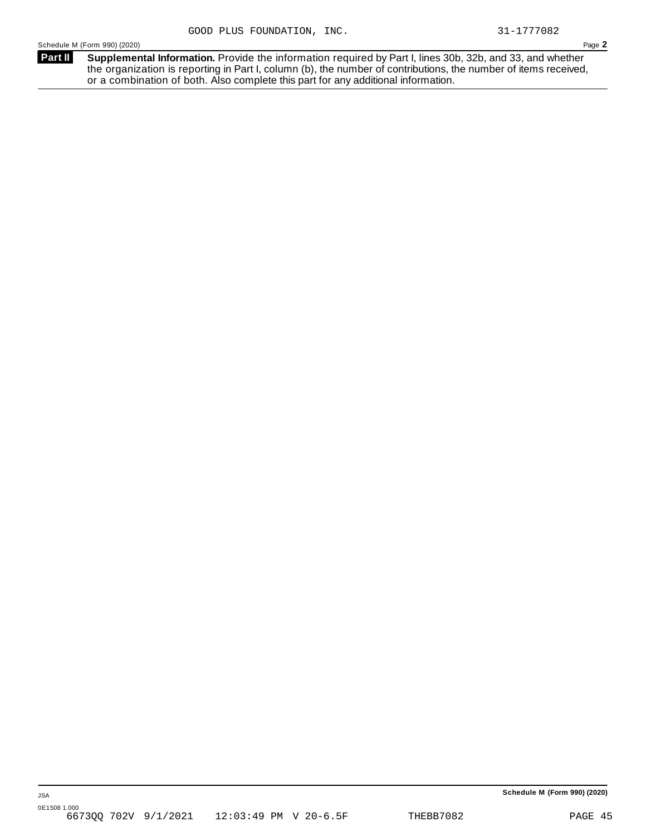**Supplemental Information.** Provide the information required by Part I, lines 30b, 32b, and 33, and whether the organization is reporting in Part I, column (b), the number of contributions, the number of items received, or a combination of both. Also complete this part for any additional information. **Part II**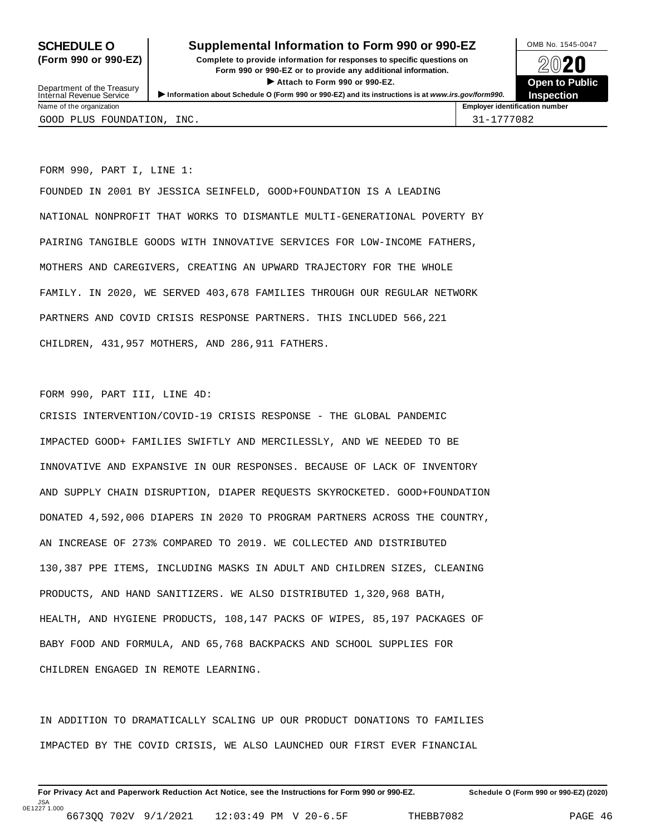### **SCHEDULE O** Supplemental Information to Form 990 or 990-EZ MB No. 1545-0047

**(Form 990 or 990-EZ) Complete to provide information for responses to specific questions on** plete to provide information for responses to specific questions on  $\sim$  20 $\sim$ 20 $\sim$ **ISONET ATTACH THE CONSERVANCE CONSERVANCE CONSERVANCE CONSERVANCE CONSERVANCE CONSERVANCE CONSERVANCE CONSERVANCE CONSERVANCE CONSERVANCE CONSERVANCE CONSERVANCE CONSERVANCE CONSERVANCE CONSERVANCE CONSERVANCE CONSERVANC** 



| Department of the Treasury |                          | Allach to Form 990 or 990-EZ.                                                                     |                                       |                   |  |  |  |
|----------------------------|--------------------------|---------------------------------------------------------------------------------------------------|---------------------------------------|-------------------|--|--|--|
|                            | Internal Revenue Service | Information about Schedule O (Form 990 or 990-EZ) and its instructions is at www.irs.gov/form990. |                                       | <b>Inspection</b> |  |  |  |
|                            | Name of the organization |                                                                                                   | <b>Employer identification number</b> |                   |  |  |  |
|                            | GOOD PLUS FOUNDATION,    | INC.                                                                                              | 31-1777082                            |                   |  |  |  |

FORM 990, PART I, LINE 1:

FOUNDED IN 2001 BY JESSICA SEINFELD, GOOD+FOUNDATION IS A LEADING NATIONAL NONPROFIT THAT WORKS TO DISMANTLE MULTI-GENERATIONAL POVERTY BY PAIRING TANGIBLE GOODS WITH INNOVATIVE SERVICES FOR LOW-INCOME FATHERS, MOTHERS AND CAREGIVERS, CREATING AN UPWARD TRAJECTORY FOR THE WHOLE FAMILY. IN 2020, WE SERVED 403,678 FAMILIES THROUGH OUR REGULAR NETWORK PARTNERS AND COVID CRISIS RESPONSE PARTNERS. THIS INCLUDED 566,221 CHILDREN, 431,957 MOTHERS, AND 286,911 FATHERS.

#### FORM 990, PART III, LINE 4D:

CRISIS INTERVENTION/COVID-19 CRISIS RESPONSE - THE GLOBAL PANDEMIC IMPACTED GOOD+ FAMILIES SWIFTLY AND MERCILESSLY, AND WE NEEDED TO BE INNOVATIVE AND EXPANSIVE IN OUR RESPONSES. BECAUSE OF LACK OF INVENTORY AND SUPPLY CHAIN DISRUPTION, DIAPER REQUESTS SKYROCKETED. GOOD+FOUNDATION DONATED 4,592,006 DIAPERS IN 2020 TO PROGRAM PARTNERS ACROSS THE COUNTRY, AN INCREASE OF 273% COMPARED TO 2019. WE COLLECTED AND DISTRIBUTED 130,387 PPE ITEMS, INCLUDING MASKS IN ADULT AND CHILDREN SIZES, CLEANING PRODUCTS, AND HAND SANITIZERS. WE ALSO DISTRIBUTED 1,320,968 BATH, HEALTH, AND HYGIENE PRODUCTS, 108,147 PACKS OF WIPES, 85,197 PACKAGES OF BABY FOOD AND FORMULA, AND 65,768 BACKPACKS AND SCHOOL SUPPLIES FOR CHILDREN ENGAGED IN REMOTE LEARNING.

IN ADDITION TO DRAMATICALLY SCALING UP OUR PRODUCT DONATIONS TO FAMILIES IMPACTED BY THE COVID CRISIS, WE ALSO LAUNCHED OUR FIRST EVER FINANCIAL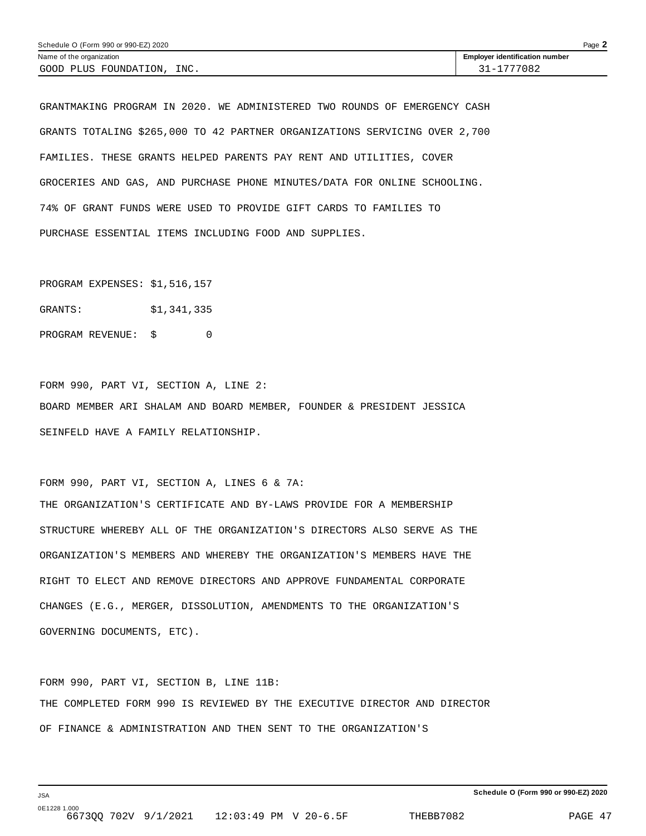| Schedule O (Form 990 or 990-EZ) 2020 | $P$ age $\blacktriangle$              |  |
|--------------------------------------|---------------------------------------|--|
| Name of the organization             | <b>Employer identification number</b> |  |
| INC.<br>GOOD PLUS FOUNDATION,        | 31-1777082                            |  |

GRANTMAKING PROGRAM IN 2020. WE ADMINISTERED TWO ROUNDS OF EMERGENCY CASH GRANTS TOTALING \$265,000 TO 42 PARTNER ORGANIZATIONS SERVICING OVER 2,700 FAMILIES. THESE GRANTS HELPED PARENTS PAY RENT AND UTILITIES, COVER GROCERIES AND GAS, AND PURCHASE PHONE MINUTES/DATA FOR ONLINE SCHOOLING. 74% OF GRANT FUNDS WERE USED TO PROVIDE GIFT CARDS TO FAMILIES TO PURCHASE ESSENTIAL ITEMS INCLUDING FOOD AND SUPPLIES.

PROGRAM EXPENSES: \$1,516,157

GRANTS: \$1,341,335

PROGRAM REVENUE: \$ 0

FORM 990, PART VI, SECTION A, LINE 2: BOARD MEMBER ARI SHALAM AND BOARD MEMBER, FOUNDER & PRESIDENT JESSICA SEINFELD HAVE A FAMILY RELATIONSHIP.

FORM 990, PART VI, SECTION A, LINES 6 & 7A: THE ORGANIZATION'S CERTIFICATE AND BY-LAWS PROVIDE FOR A MEMBERSHIP STRUCTURE WHEREBY ALL OF THE ORGANIZATION'S DIRECTORS ALSO SERVE AS THE ORGANIZATION'S MEMBERS AND WHEREBY THE ORGANIZATION'S MEMBERS HAVE THE RIGHT TO ELECT AND REMOVE DIRECTORS AND APPROVE FUNDAMENTAL CORPORATE CHANGES (E.G., MERGER, DISSOLUTION, AMENDMENTS TO THE ORGANIZATION'S GOVERNING DOCUMENTS, ETC).

FORM 990, PART VI, SECTION B, LINE 11B: THE COMPLETED FORM 990 IS REVIEWED BY THE EXECUTIVE DIRECTOR AND DIRECTOR OF FINANCE & ADMINISTRATION AND THEN SENT TO THE ORGANIZATION'S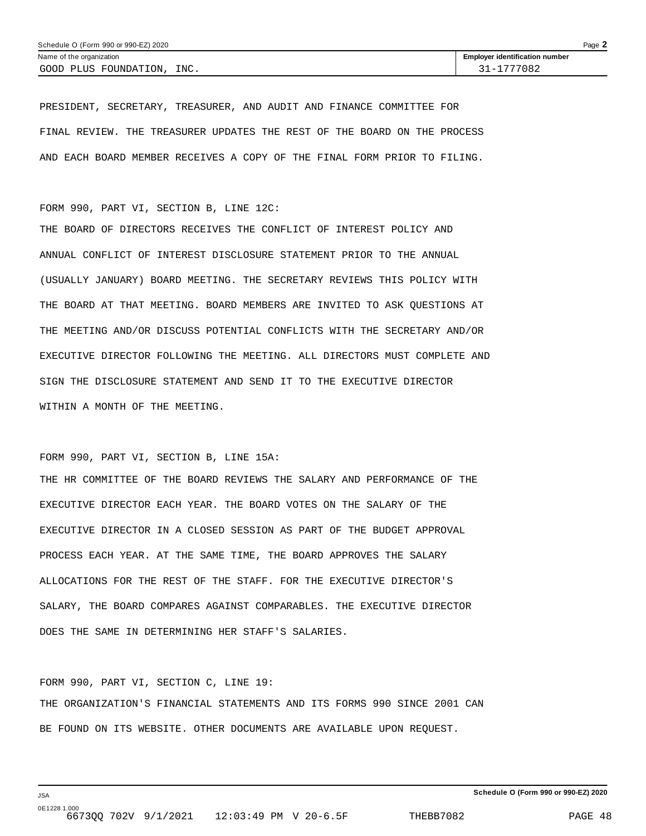PRESIDENT, SECRETARY, TREASURER, AND AUDIT AND FINANCE COMMITTEE FOR FINAL REVIEW. THE TREASURER UPDATES THE REST OF THE BOARD ON THE PROCESS AND EACH BOARD MEMBER RECEIVES A COPY OF THE FINAL FORM PRIOR TO FILING.

#### FORM 990, PART VI, SECTION B, LINE 12C:

THE BOARD OF DIRECTORS RECEIVES THE CONFLICT OF INTEREST POLICY AND ANNUAL CONFLICT OF INTEREST DISCLOSURE STATEMENT PRIOR TO THE ANNUAL (USUALLY JANUARY) BOARD MEETING. THE SECRETARY REVIEWS THIS POLICY WITH THE BOARD AT THAT MEETING. BOARD MEMBERS ARE INVITED TO ASK QUESTIONS AT THE MEETING AND/OR DISCUSS POTENTIAL CONFLICTS WITH THE SECRETARY AND/OR EXECUTIVE DIRECTOR FOLLOWING THE MEETING. ALL DIRECTORS MUST COMPLETE AND SIGN THE DISCLOSURE STATEMENT AND SEND IT TO THE EXECUTIVE DIRECTOR WITHIN A MONTH OF THE MEETING.

#### FORM 990, PART VI, SECTION B, LINE 15A:

THE HR COMMITTEE OF THE BOARD REVIEWS THE SALARY AND PERFORMANCE OF THE EXECUTIVE DIRECTOR EACH YEAR. THE BOARD VOTES ON THE SALARY OF THE EXECUTIVE DIRECTOR IN A CLOSED SESSION AS PART OF THE BUDGET APPROVAL PROCESS EACH YEAR. AT THE SAME TIME, THE BOARD APPROVES THE SALARY ALLOCATIONS FOR THE REST OF THE STAFF. FOR THE EXECUTIVE DIRECTOR'S SALARY, THE BOARD COMPARES AGAINST COMPARABLES. THE EXECUTIVE DIRECTOR DOES THE SAME IN DETERMINING HER STAFF'S SALARIES.

#### FORM 990, PART VI, SECTION C, LINE 19:

THE ORGANIZATION'S FINANCIAL STATEMENTS AND ITS FORMS 990 SINCE 2001 CAN BE FOUND ON ITS WEBSITE. OTHER DOCUMENTS ARE AVAILABLE UPON REQUEST.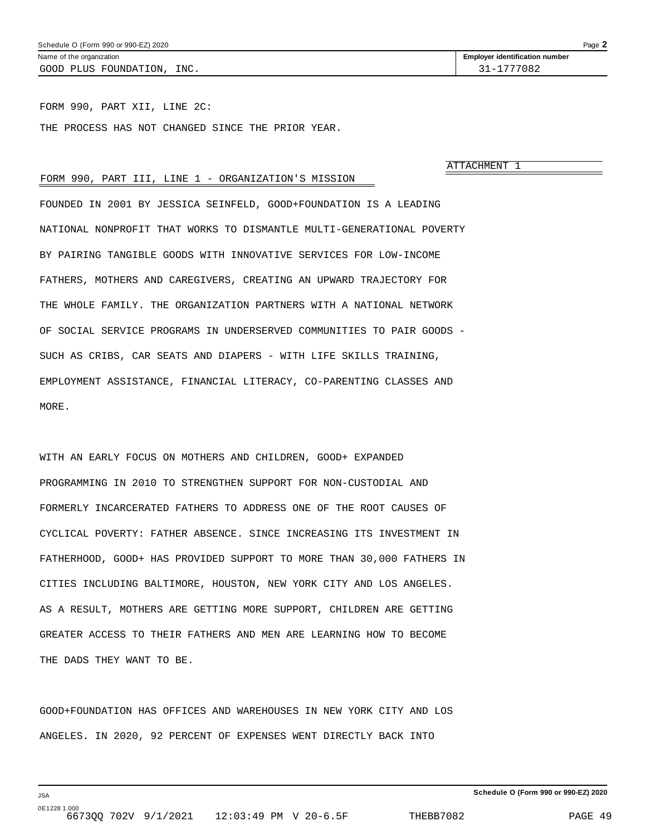FORM 990, PART XII, LINE 2C: THE PROCESS HAS NOT CHANGED SINCE THE PRIOR YEAR.

ATTACHMENT 1

#### FORM 990, PART III, LINE 1 - ORGANIZATION'S MISSION

FOUNDED IN 2001 BY JESSICA SEINFELD, GOOD+FOUNDATION IS A LEADING NATIONAL NONPROFIT THAT WORKS TO DISMANTLE MULTI-GENERATIONAL POVERTY BY PAIRING TANGIBLE GOODS WITH INNOVATIVE SERVICES FOR LOW-INCOME FATHERS, MOTHERS AND CAREGIVERS, CREATING AN UPWARD TRAJECTORY FOR THE WHOLE FAMILY. THE ORGANIZATION PARTNERS WITH A NATIONAL NETWORK OF SOCIAL SERVICE PROGRAMS IN UNDERSERVED COMMUNITIES TO PAIR GOODS - SUCH AS CRIBS, CAR SEATS AND DIAPERS - WITH LIFE SKILLS TRAINING, EMPLOYMENT ASSISTANCE, FINANCIAL LITERACY, CO-PARENTING CLASSES AND MORE.

WITH AN EARLY FOCUS ON MOTHERS AND CHILDREN, GOOD+ EXPANDED PROGRAMMING IN 2010 TO STRENGTHEN SUPPORT FOR NON-CUSTODIAL AND FORMERLY INCARCERATED FATHERS TO ADDRESS ONE OF THE ROOT CAUSES OF CYCLICAL POVERTY: FATHER ABSENCE. SINCE INCREASING ITS INVESTMENT IN FATHERHOOD, GOOD+ HAS PROVIDED SUPPORT TO MORE THAN 30,000 FATHERS IN CITIES INCLUDING BALTIMORE, HOUSTON, NEW YORK CITY AND LOS ANGELES. AS A RESULT, MOTHERS ARE GETTING MORE SUPPORT, CHILDREN ARE GETTING GREATER ACCESS TO THEIR FATHERS AND MEN ARE LEARNING HOW TO BECOME THE DADS THEY WANT TO BE.

GOOD+FOUNDATION HAS OFFICES AND WAREHOUSES IN NEW YORK CITY AND LOS ANGELES. IN 2020, 92 PERCENT OF EXPENSES WENT DIRECTLY BACK INTO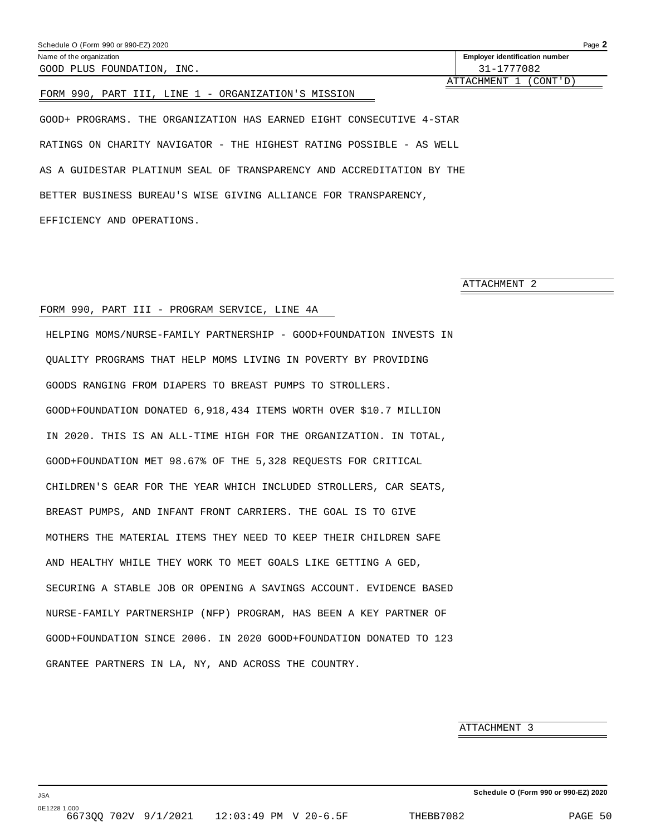| Schedule O (Form 990 or 990-EZ) 2020 |                                       | Page $\blacktriangle$ |
|--------------------------------------|---------------------------------------|-----------------------|
| Name of the organization             | <b>Employer identification number</b> |                       |
| INC.<br>GOOD PLUS FOUNDATION,        | 31-1777082                            |                       |

ATTACHMENT 1 (CONT'D)

#### FORM 990, PART III, LINE 1 - ORGANIZATION'S MISSION

GOOD+ PROGRAMS. THE ORGANIZATION HAS EARNED EIGHT CONSECUTIVE 4-STAR RATINGS ON CHARITY NAVIGATOR - THE HIGHEST RATING POSSIBLE - AS WELL AS A GUIDESTAR PLATINUM SEAL OF TRANSPARENCY AND ACCREDITATION BY THE BETTER BUSINESS BUREAU'S WISE GIVING ALLIANCE FOR TRANSPARENCY, EFFICIENCY AND OPERATIONS.

ATTACHMENT 2

#### FORM 990, PART III - PROGRAM SERVICE, LINE 4A

HELPING MOMS/NURSE-FAMILY PARTNERSHIP - GOOD+FOUNDATION INVESTS IN QUALITY PROGRAMS THAT HELP MOMS LIVING IN POVERTY BY PROVIDING GOODS RANGING FROM DIAPERS TO BREAST PUMPS TO STROLLERS. GOOD+FOUNDATION DONATED 6,918,434 ITEMS WORTH OVER \$10.7 MILLION IN 2020. THIS IS AN ALL-TIME HIGH FOR THE ORGANIZATION. IN TOTAL, GOOD+FOUNDATION MET 98.67% OF THE 5,328 REQUESTS FOR CRITICAL CHILDREN'S GEAR FOR THE YEAR WHICH INCLUDED STROLLERS, CAR SEATS, BREAST PUMPS, AND INFANT FRONT CARRIERS. THE GOAL IS TO GIVE MOTHERS THE MATERIAL ITEMS THEY NEED TO KEEP THEIR CHILDREN SAFE AND HEALTHY WHILE THEY WORK TO MEET GOALS LIKE GETTING A GED, SECURING A STABLE JOB OR OPENING A SAVINGS ACCOUNT. EVIDENCE BASED NURSE-FAMILY PARTNERSHIP (NFP) PROGRAM, HAS BEEN A KEY PARTNER OF GOOD+FOUNDATION SINCE 2006. IN 2020 GOOD+FOUNDATION DONATED TO 123 GRANTEE PARTNERS IN LA, NY, AND ACROSS THE COUNTRY.

ATTACHMENT 3